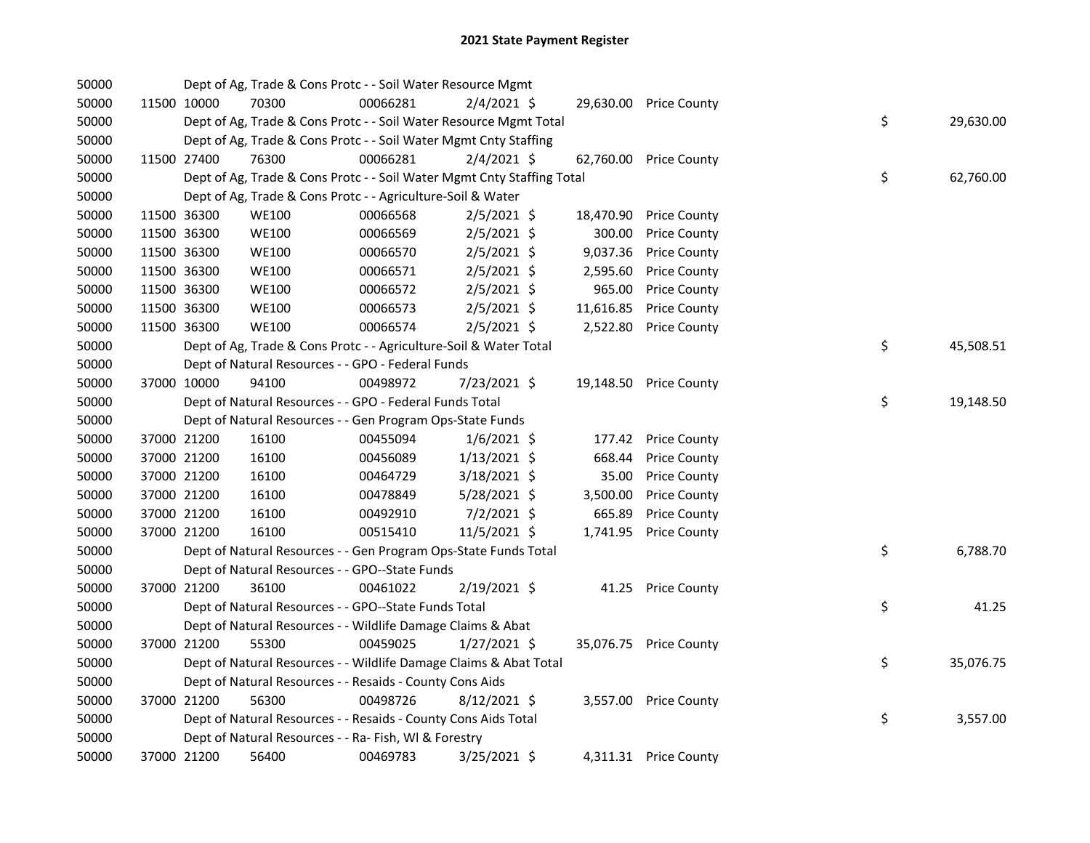| 50000 |             | Dept of Ag, Trade & Cons Protc - - Soil Water Resource Mgmt            |          |                |           |                        |    |           |
|-------|-------------|------------------------------------------------------------------------|----------|----------------|-----------|------------------------|----|-----------|
| 50000 | 11500 10000 | 70300                                                                  | 00066281 | $2/4/2021$ \$  |           | 29,630.00 Price County |    |           |
| 50000 |             | Dept of Ag, Trade & Cons Protc - - Soil Water Resource Mgmt Total      |          |                |           |                        | \$ | 29,630.00 |
| 50000 |             | Dept of Ag, Trade & Cons Protc - - Soil Water Mgmt Cnty Staffing       |          |                |           |                        |    |           |
| 50000 | 11500 27400 | 76300                                                                  | 00066281 | $2/4/2021$ \$  | 62,760.00 | <b>Price County</b>    |    |           |
| 50000 |             | Dept of Ag, Trade & Cons Protc - - Soil Water Mgmt Cnty Staffing Total |          |                |           |                        | \$ | 62,760.00 |
| 50000 |             | Dept of Ag, Trade & Cons Protc - - Agriculture-Soil & Water            |          |                |           |                        |    |           |
| 50000 | 11500 36300 | <b>WE100</b>                                                           | 00066568 | $2/5/2021$ \$  | 18,470.90 | <b>Price County</b>    |    |           |
| 50000 | 11500 36300 | <b>WE100</b>                                                           | 00066569 | 2/5/2021 \$    | 300.00    | <b>Price County</b>    |    |           |
| 50000 | 11500 36300 | <b>WE100</b>                                                           | 00066570 | 2/5/2021 \$    | 9,037.36  | <b>Price County</b>    |    |           |
| 50000 | 11500 36300 | <b>WE100</b>                                                           | 00066571 | $2/5/2021$ \$  | 2,595.60  | <b>Price County</b>    |    |           |
| 50000 | 11500 36300 | <b>WE100</b>                                                           | 00066572 | $2/5/2021$ \$  | 965.00    | <b>Price County</b>    |    |           |
| 50000 | 11500 36300 | <b>WE100</b>                                                           | 00066573 | $2/5/2021$ \$  | 11,616.85 | <b>Price County</b>    |    |           |
| 50000 | 11500 36300 | <b>WE100</b>                                                           | 00066574 | $2/5/2021$ \$  | 2,522.80  | <b>Price County</b>    |    |           |
| 50000 |             | Dept of Ag, Trade & Cons Protc - - Agriculture-Soil & Water Total      |          |                |           |                        | \$ | 45,508.51 |
| 50000 |             | Dept of Natural Resources - - GPO - Federal Funds                      |          |                |           |                        |    |           |
| 50000 | 37000 10000 | 94100                                                                  | 00498972 | 7/23/2021 \$   | 19,148.50 | <b>Price County</b>    |    |           |
| 50000 |             | Dept of Natural Resources - - GPO - Federal Funds Total                |          |                |           |                        | \$ | 19,148.50 |
| 50000 |             | Dept of Natural Resources - - Gen Program Ops-State Funds              |          |                |           |                        |    |           |
| 50000 | 37000 21200 | 16100                                                                  | 00455094 | $1/6/2021$ \$  | 177.42    | <b>Price County</b>    |    |           |
| 50000 | 37000 21200 | 16100                                                                  | 00456089 | $1/13/2021$ \$ | 668.44    | <b>Price County</b>    |    |           |
| 50000 | 37000 21200 | 16100                                                                  | 00464729 | 3/18/2021 \$   | 35.00     | <b>Price County</b>    |    |           |
| 50000 | 37000 21200 | 16100                                                                  | 00478849 | 5/28/2021 \$   | 3,500.00  | <b>Price County</b>    |    |           |
| 50000 | 37000 21200 | 16100                                                                  | 00492910 | $7/2/2021$ \$  | 665.89    | <b>Price County</b>    |    |           |
| 50000 | 37000 21200 | 16100                                                                  | 00515410 | 11/5/2021 \$   | 1,741.95  | <b>Price County</b>    |    |           |
| 50000 |             | Dept of Natural Resources - - Gen Program Ops-State Funds Total        |          |                |           |                        | \$ | 6,788.70  |
| 50000 |             | Dept of Natural Resources - - GPO--State Funds                         |          |                |           |                        |    |           |
| 50000 | 37000 21200 | 36100                                                                  | 00461022 | 2/19/2021 \$   | 41.25     | <b>Price County</b>    |    |           |
| 50000 |             | Dept of Natural Resources - - GPO--State Funds Total                   |          |                |           |                        | \$ | 41.25     |
| 50000 |             | Dept of Natural Resources - - Wildlife Damage Claims & Abat            |          |                |           |                        |    |           |
| 50000 | 37000 21200 | 55300                                                                  | 00459025 | $1/27/2021$ \$ |           | 35,076.75 Price County |    |           |
| 50000 |             | Dept of Natural Resources - - Wildlife Damage Claims & Abat Total      |          |                |           |                        | \$ | 35,076.75 |
| 50000 |             | Dept of Natural Resources - - Resaids - County Cons Aids               |          |                |           |                        |    |           |
| 50000 | 37000 21200 | 56300                                                                  | 00498726 | $8/12/2021$ \$ |           | 3,557.00 Price County  |    |           |
| 50000 |             | Dept of Natural Resources - - Resaids - County Cons Aids Total         |          |                |           |                        | \$ | 3,557.00  |
| 50000 |             | Dept of Natural Resources - - Ra- Fish, WI & Forestry                  |          |                |           |                        |    |           |
| 50000 | 37000 21200 | 56400                                                                  | 00469783 | 3/25/2021 \$   |           | 4,311.31 Price County  |    |           |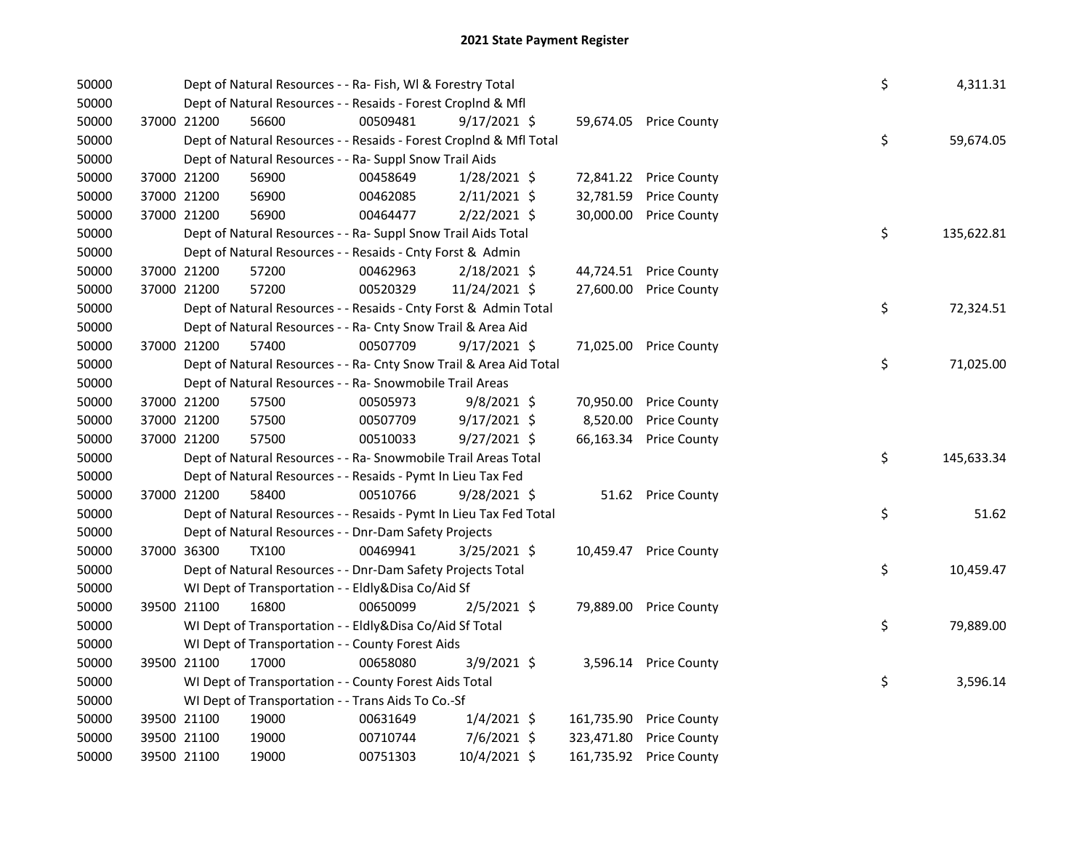| 50000 |             |             | Dept of Natural Resources - - Ra- Fish, WI & Forestry Total        |          |                |            |                        | \$ | 4,311.31   |
|-------|-------------|-------------|--------------------------------------------------------------------|----------|----------------|------------|------------------------|----|------------|
| 50000 |             |             | Dept of Natural Resources - - Resaids - Forest Croplnd & Mfl       |          |                |            |                        |    |            |
| 50000 |             | 37000 21200 | 56600                                                              | 00509481 | $9/17/2021$ \$ |            | 59,674.05 Price County |    |            |
| 50000 |             |             | Dept of Natural Resources - - Resaids - Forest CropInd & Mfl Total |          |                |            |                        | \$ | 59,674.05  |
| 50000 |             |             | Dept of Natural Resources - - Ra- Suppl Snow Trail Aids            |          |                |            |                        |    |            |
| 50000 |             | 37000 21200 | 56900                                                              | 00458649 | 1/28/2021 \$   | 72,841.22  | <b>Price County</b>    |    |            |
| 50000 | 37000 21200 |             | 56900                                                              | 00462085 | $2/11/2021$ \$ | 32,781.59  | <b>Price County</b>    |    |            |
| 50000 |             | 37000 21200 | 56900                                                              | 00464477 | $2/22/2021$ \$ | 30,000.00  | <b>Price County</b>    |    |            |
| 50000 |             |             | Dept of Natural Resources - - Ra- Suppl Snow Trail Aids Total      |          |                |            |                        | \$ | 135,622.81 |
| 50000 |             |             | Dept of Natural Resources - - Resaids - Cnty Forst & Admin         |          |                |            |                        |    |            |
| 50000 |             | 37000 21200 | 57200                                                              | 00462963 | 2/18/2021 \$   | 44,724.51  | <b>Price County</b>    |    |            |
| 50000 |             | 37000 21200 | 57200                                                              | 00520329 | 11/24/2021 \$  | 27,600.00  | <b>Price County</b>    |    |            |
| 50000 |             |             | Dept of Natural Resources - - Resaids - Cnty Forst & Admin Total   |          |                |            |                        | \$ | 72,324.51  |
| 50000 |             |             | Dept of Natural Resources - - Ra- Cnty Snow Trail & Area Aid       |          |                |            |                        |    |            |
| 50000 |             | 37000 21200 | 57400                                                              | 00507709 | $9/17/2021$ \$ | 71,025.00  | <b>Price County</b>    |    |            |
| 50000 |             |             | Dept of Natural Resources - - Ra- Cnty Snow Trail & Area Aid Total |          |                |            |                        | \$ | 71,025.00  |
| 50000 |             |             | Dept of Natural Resources - - Ra- Snowmobile Trail Areas           |          |                |            |                        |    |            |
| 50000 |             | 37000 21200 | 57500                                                              | 00505973 | $9/8/2021$ \$  | 70,950.00  | <b>Price County</b>    |    |            |
| 50000 | 37000 21200 |             | 57500                                                              | 00507709 | 9/17/2021 \$   | 8,520.00   | <b>Price County</b>    |    |            |
| 50000 |             | 37000 21200 | 57500                                                              | 00510033 | $9/27/2021$ \$ | 66,163.34  | <b>Price County</b>    |    |            |
| 50000 |             |             | Dept of Natural Resources - - Ra- Snowmobile Trail Areas Total     |          |                |            |                        | \$ | 145,633.34 |
| 50000 |             |             | Dept of Natural Resources - - Resaids - Pymt In Lieu Tax Fed       |          |                |            |                        |    |            |
| 50000 |             | 37000 21200 | 58400                                                              | 00510766 | $9/28/2021$ \$ |            | 51.62 Price County     |    |            |
| 50000 |             |             | Dept of Natural Resources - - Resaids - Pymt In Lieu Tax Fed Total |          |                |            |                        | \$ | 51.62      |
| 50000 |             |             | Dept of Natural Resources - - Dnr-Dam Safety Projects              |          |                |            |                        |    |            |
| 50000 |             | 37000 36300 | <b>TX100</b>                                                       | 00469941 | $3/25/2021$ \$ |            | 10,459.47 Price County |    |            |
| 50000 |             |             | Dept of Natural Resources - - Dnr-Dam Safety Projects Total        |          |                |            |                        | \$ | 10,459.47  |
| 50000 |             |             | WI Dept of Transportation - - Eldly&Disa Co/Aid Sf                 |          |                |            |                        |    |            |
| 50000 |             | 39500 21100 | 16800                                                              | 00650099 | $2/5/2021$ \$  | 79,889.00  | <b>Price County</b>    |    |            |
| 50000 |             |             | WI Dept of Transportation - - Eldly&Disa Co/Aid Sf Total           |          |                |            |                        | \$ | 79,889.00  |
| 50000 |             |             | WI Dept of Transportation - - County Forest Aids                   |          |                |            |                        |    |            |
| 50000 |             | 39500 21100 | 17000                                                              | 00658080 | $3/9/2021$ \$  |            | 3,596.14 Price County  |    |            |
| 50000 |             |             | WI Dept of Transportation - - County Forest Aids Total             |          |                |            |                        | \$ | 3,596.14   |
| 50000 |             |             | WI Dept of Transportation - - Trans Aids To Co.-Sf                 |          |                |            |                        |    |            |
| 50000 |             | 39500 21100 | 19000                                                              | 00631649 | $1/4/2021$ \$  | 161,735.90 | <b>Price County</b>    |    |            |
| 50000 |             | 39500 21100 | 19000                                                              | 00710744 | 7/6/2021 \$    | 323,471.80 | <b>Price County</b>    |    |            |
| 50000 |             | 39500 21100 | 19000                                                              | 00751303 | 10/4/2021 \$   | 161,735.92 | <b>Price County</b>    |    |            |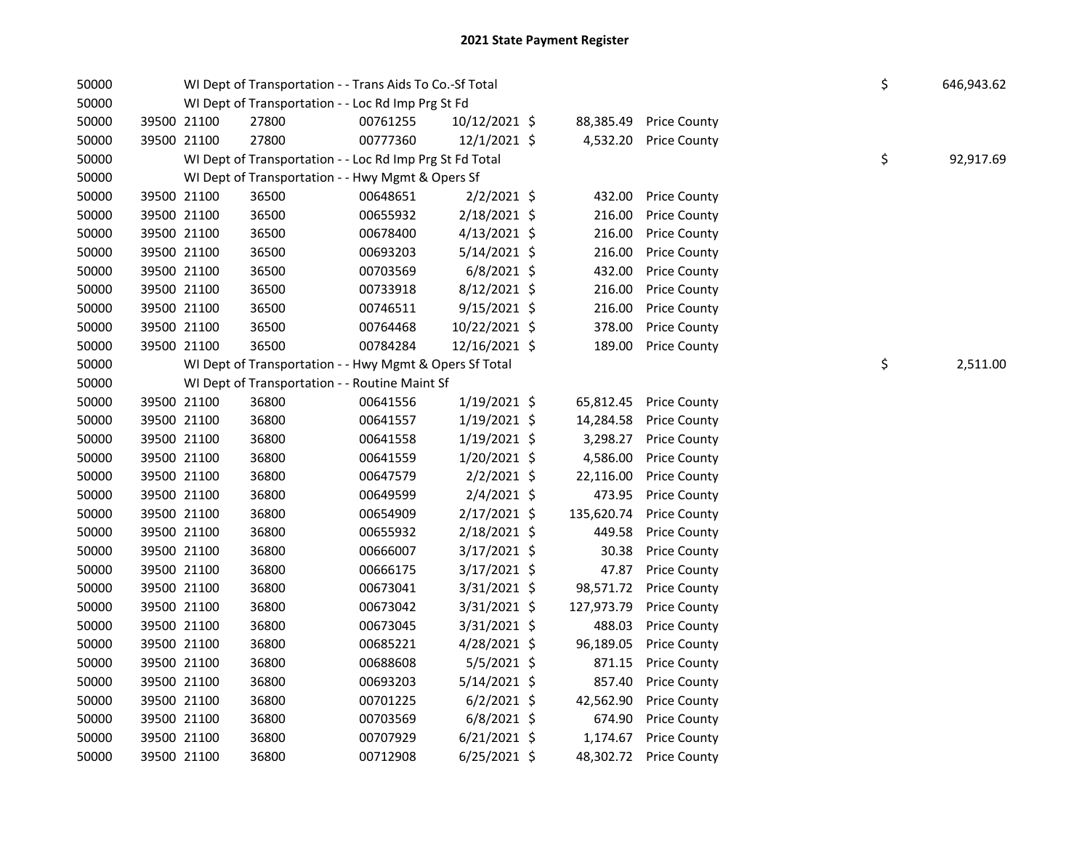| 50000 |             | WI Dept of Transportation - - Trans Aids To Co.-Sf Total |          |                |            |                     | \$ | 646,943.62 |
|-------|-------------|----------------------------------------------------------|----------|----------------|------------|---------------------|----|------------|
| 50000 |             | WI Dept of Transportation - - Loc Rd Imp Prg St Fd       |          |                |            |                     |    |            |
| 50000 | 39500 21100 | 27800                                                    | 00761255 | 10/12/2021 \$  | 88,385.49  | <b>Price County</b> |    |            |
| 50000 | 39500 21100 | 27800                                                    | 00777360 | 12/1/2021 \$   | 4,532.20   | <b>Price County</b> |    |            |
| 50000 |             | WI Dept of Transportation - - Loc Rd Imp Prg St Fd Total |          |                |            |                     | \$ | 92,917.69  |
| 50000 |             | WI Dept of Transportation - - Hwy Mgmt & Opers Sf        |          |                |            |                     |    |            |
| 50000 | 39500 21100 | 36500                                                    | 00648651 | $2/2/2021$ \$  | 432.00     | <b>Price County</b> |    |            |
| 50000 | 39500 21100 | 36500                                                    | 00655932 | 2/18/2021 \$   | 216.00     | <b>Price County</b> |    |            |
| 50000 | 39500 21100 | 36500                                                    | 00678400 | $4/13/2021$ \$ | 216.00     | <b>Price County</b> |    |            |
| 50000 | 39500 21100 | 36500                                                    | 00693203 | 5/14/2021 \$   | 216.00     | <b>Price County</b> |    |            |
| 50000 | 39500 21100 | 36500                                                    | 00703569 | $6/8/2021$ \$  | 432.00     | <b>Price County</b> |    |            |
| 50000 | 39500 21100 | 36500                                                    | 00733918 | 8/12/2021 \$   | 216.00     | <b>Price County</b> |    |            |
| 50000 | 39500 21100 | 36500                                                    | 00746511 | $9/15/2021$ \$ | 216.00     | <b>Price County</b> |    |            |
| 50000 | 39500 21100 | 36500                                                    | 00764468 | 10/22/2021 \$  | 378.00     | <b>Price County</b> |    |            |
| 50000 | 39500 21100 | 36500                                                    | 00784284 | 12/16/2021 \$  | 189.00     | <b>Price County</b> |    |            |
| 50000 |             | WI Dept of Transportation - - Hwy Mgmt & Opers Sf Total  |          |                |            |                     | \$ | 2,511.00   |
| 50000 |             | WI Dept of Transportation - - Routine Maint Sf           |          |                |            |                     |    |            |
| 50000 | 39500 21100 | 36800                                                    | 00641556 | 1/19/2021 \$   | 65,812.45  | <b>Price County</b> |    |            |
| 50000 | 39500 21100 | 36800                                                    | 00641557 | $1/19/2021$ \$ | 14,284.58  | <b>Price County</b> |    |            |
| 50000 | 39500 21100 | 36800                                                    | 00641558 | $1/19/2021$ \$ | 3,298.27   | <b>Price County</b> |    |            |
| 50000 | 39500 21100 | 36800                                                    | 00641559 | 1/20/2021 \$   | 4,586.00   | <b>Price County</b> |    |            |
| 50000 | 39500 21100 | 36800                                                    | 00647579 | $2/2/2021$ \$  | 22,116.00  | <b>Price County</b> |    |            |
| 50000 | 39500 21100 | 36800                                                    | 00649599 | $2/4/2021$ \$  | 473.95     | <b>Price County</b> |    |            |
| 50000 | 39500 21100 | 36800                                                    | 00654909 | $2/17/2021$ \$ | 135,620.74 | <b>Price County</b> |    |            |
| 50000 | 39500 21100 | 36800                                                    | 00655932 | 2/18/2021 \$   | 449.58     | <b>Price County</b> |    |            |
| 50000 | 39500 21100 | 36800                                                    | 00666007 | 3/17/2021 \$   | 30.38      | <b>Price County</b> |    |            |
| 50000 | 39500 21100 | 36800                                                    | 00666175 | 3/17/2021 \$   | 47.87      | <b>Price County</b> |    |            |
| 50000 | 39500 21100 | 36800                                                    | 00673041 | 3/31/2021 \$   | 98,571.72  | <b>Price County</b> |    |            |
| 50000 | 39500 21100 | 36800                                                    | 00673042 | 3/31/2021 \$   | 127,973.79 | <b>Price County</b> |    |            |
| 50000 | 39500 21100 | 36800                                                    | 00673045 | 3/31/2021 \$   | 488.03     | <b>Price County</b> |    |            |
| 50000 | 39500 21100 | 36800                                                    | 00685221 | 4/28/2021 \$   | 96,189.05  | <b>Price County</b> |    |            |
| 50000 | 39500 21100 | 36800                                                    | 00688608 | $5/5/2021$ \$  | 871.15     | <b>Price County</b> |    |            |
| 50000 | 39500 21100 | 36800                                                    | 00693203 | 5/14/2021 \$   | 857.40     | <b>Price County</b> |    |            |
| 50000 | 39500 21100 | 36800                                                    | 00701225 | $6/2/2021$ \$  | 42,562.90  | <b>Price County</b> |    |            |
| 50000 | 39500 21100 | 36800                                                    | 00703569 | $6/8/2021$ \$  | 674.90     | <b>Price County</b> |    |            |
| 50000 | 39500 21100 | 36800                                                    | 00707929 | $6/21/2021$ \$ | 1,174.67   | <b>Price County</b> |    |            |
| 50000 | 39500 21100 | 36800                                                    | 00712908 | 6/25/2021 \$   | 48,302.72  | <b>Price County</b> |    |            |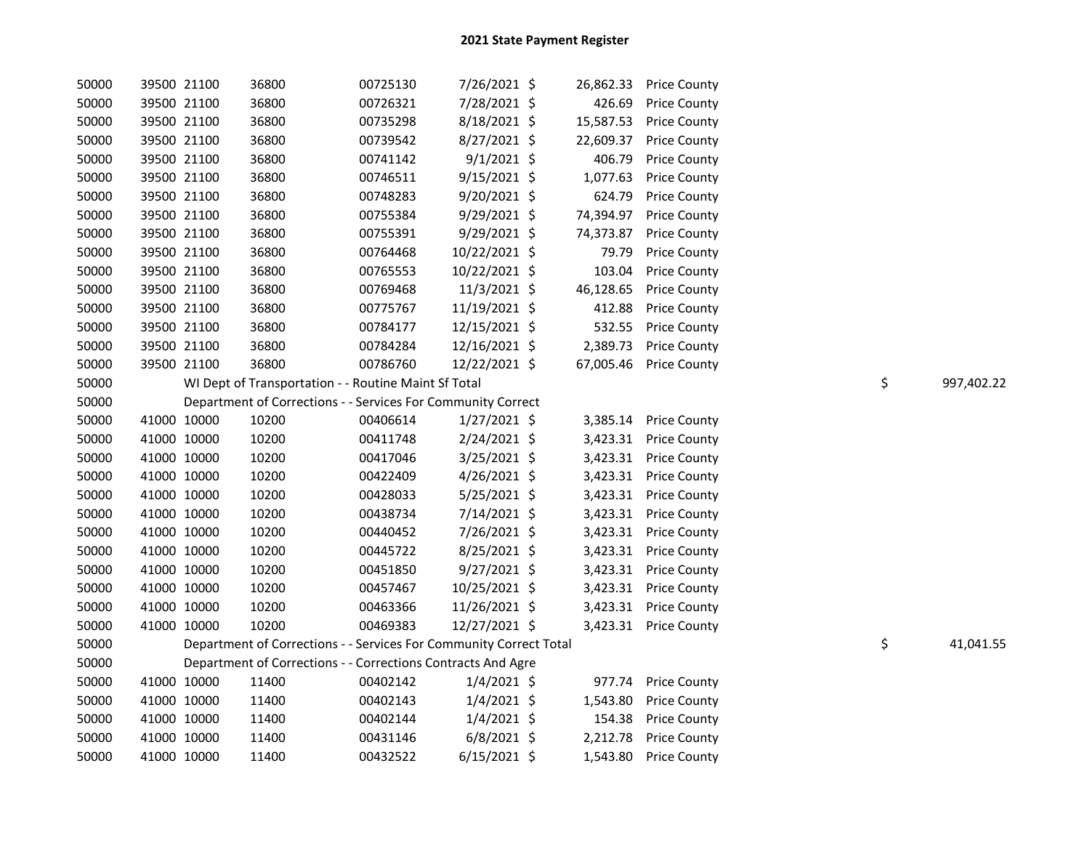| 50000 |             | 39500 21100 | 36800 | 00725130                                                           | 7/26/2021 \$   | 26,862.33 | <b>Price County</b>   |    |            |
|-------|-------------|-------------|-------|--------------------------------------------------------------------|----------------|-----------|-----------------------|----|------------|
| 50000 |             | 39500 21100 | 36800 | 00726321                                                           | 7/28/2021 \$   | 426.69    | <b>Price County</b>   |    |            |
| 50000 |             | 39500 21100 | 36800 | 00735298                                                           | 8/18/2021 \$   | 15,587.53 | <b>Price County</b>   |    |            |
| 50000 |             | 39500 21100 | 36800 | 00739542                                                           | 8/27/2021 \$   | 22,609.37 | <b>Price County</b>   |    |            |
| 50000 |             | 39500 21100 | 36800 | 00741142                                                           | $9/1/2021$ \$  | 406.79    | <b>Price County</b>   |    |            |
| 50000 |             | 39500 21100 | 36800 | 00746511                                                           | $9/15/2021$ \$ | 1,077.63  | <b>Price County</b>   |    |            |
| 50000 |             | 39500 21100 | 36800 | 00748283                                                           | 9/20/2021 \$   | 624.79    | <b>Price County</b>   |    |            |
| 50000 |             | 39500 21100 | 36800 | 00755384                                                           | 9/29/2021 \$   | 74,394.97 | <b>Price County</b>   |    |            |
| 50000 |             | 39500 21100 | 36800 | 00755391                                                           | 9/29/2021 \$   | 74,373.87 | <b>Price County</b>   |    |            |
| 50000 |             | 39500 21100 | 36800 | 00764468                                                           | 10/22/2021 \$  | 79.79     | <b>Price County</b>   |    |            |
| 50000 |             | 39500 21100 | 36800 | 00765553                                                           | 10/22/2021 \$  | 103.04    | <b>Price County</b>   |    |            |
| 50000 |             | 39500 21100 | 36800 | 00769468                                                           | 11/3/2021 \$   | 46,128.65 | <b>Price County</b>   |    |            |
| 50000 |             | 39500 21100 | 36800 | 00775767                                                           | 11/19/2021 \$  | 412.88    | <b>Price County</b>   |    |            |
| 50000 |             | 39500 21100 | 36800 | 00784177                                                           | 12/15/2021 \$  | 532.55    | <b>Price County</b>   |    |            |
| 50000 |             | 39500 21100 | 36800 | 00784284                                                           | 12/16/2021 \$  | 2,389.73  | <b>Price County</b>   |    |            |
| 50000 |             | 39500 21100 | 36800 | 00786760                                                           | 12/22/2021 \$  | 67,005.46 | <b>Price County</b>   |    |            |
| 50000 |             |             |       | WI Dept of Transportation - - Routine Maint Sf Total               |                |           |                       | \$ | 997,402.22 |
| 50000 |             |             |       | Department of Corrections - - Services For Community Correct       |                |           |                       |    |            |
| 50000 | 41000 10000 |             | 10200 | 00406614                                                           | 1/27/2021 \$   | 3,385.14  | <b>Price County</b>   |    |            |
| 50000 | 41000 10000 |             | 10200 | 00411748                                                           | 2/24/2021 \$   | 3,423.31  | <b>Price County</b>   |    |            |
| 50000 | 41000 10000 |             | 10200 | 00417046                                                           | 3/25/2021 \$   | 3,423.31  | <b>Price County</b>   |    |            |
| 50000 | 41000 10000 |             | 10200 | 00422409                                                           | $4/26/2021$ \$ | 3,423.31  | <b>Price County</b>   |    |            |
| 50000 | 41000 10000 |             | 10200 | 00428033                                                           | 5/25/2021 \$   | 3,423.31  | <b>Price County</b>   |    |            |
| 50000 | 41000 10000 |             | 10200 | 00438734                                                           | 7/14/2021 \$   | 3,423.31  | <b>Price County</b>   |    |            |
| 50000 | 41000 10000 |             | 10200 | 00440452                                                           | 7/26/2021 \$   | 3,423.31  | <b>Price County</b>   |    |            |
| 50000 | 41000 10000 |             | 10200 | 00445722                                                           | 8/25/2021 \$   | 3,423.31  | <b>Price County</b>   |    |            |
| 50000 | 41000 10000 |             | 10200 | 00451850                                                           | 9/27/2021 \$   | 3,423.31  | <b>Price County</b>   |    |            |
| 50000 | 41000 10000 |             | 10200 | 00457467                                                           | 10/25/2021 \$  | 3,423.31  | <b>Price County</b>   |    |            |
| 50000 | 41000 10000 |             | 10200 | 00463366                                                           | 11/26/2021 \$  | 3,423.31  | <b>Price County</b>   |    |            |
| 50000 |             | 41000 10000 | 10200 | 00469383                                                           | 12/27/2021 \$  |           | 3,423.31 Price County |    |            |
| 50000 |             |             |       | Department of Corrections - - Services For Community Correct Total |                |           |                       | \$ | 41,041.55  |
| 50000 |             |             |       | Department of Corrections - - Corrections Contracts And Agre       |                |           |                       |    |            |
| 50000 | 41000 10000 |             | 11400 | 00402142                                                           | $1/4/2021$ \$  | 977.74    | <b>Price County</b>   |    |            |
| 50000 | 41000 10000 |             | 11400 | 00402143                                                           | $1/4/2021$ \$  | 1,543.80  | <b>Price County</b>   |    |            |
| 50000 |             | 41000 10000 | 11400 | 00402144                                                           | $1/4/2021$ \$  | 154.38    | <b>Price County</b>   |    |            |
| 50000 |             | 41000 10000 | 11400 | 00431146                                                           | $6/8/2021$ \$  | 2,212.78  | <b>Price County</b>   |    |            |
| 50000 | 41000 10000 |             | 11400 | 00432522                                                           | $6/15/2021$ \$ | 1,543.80  | <b>Price County</b>   |    |            |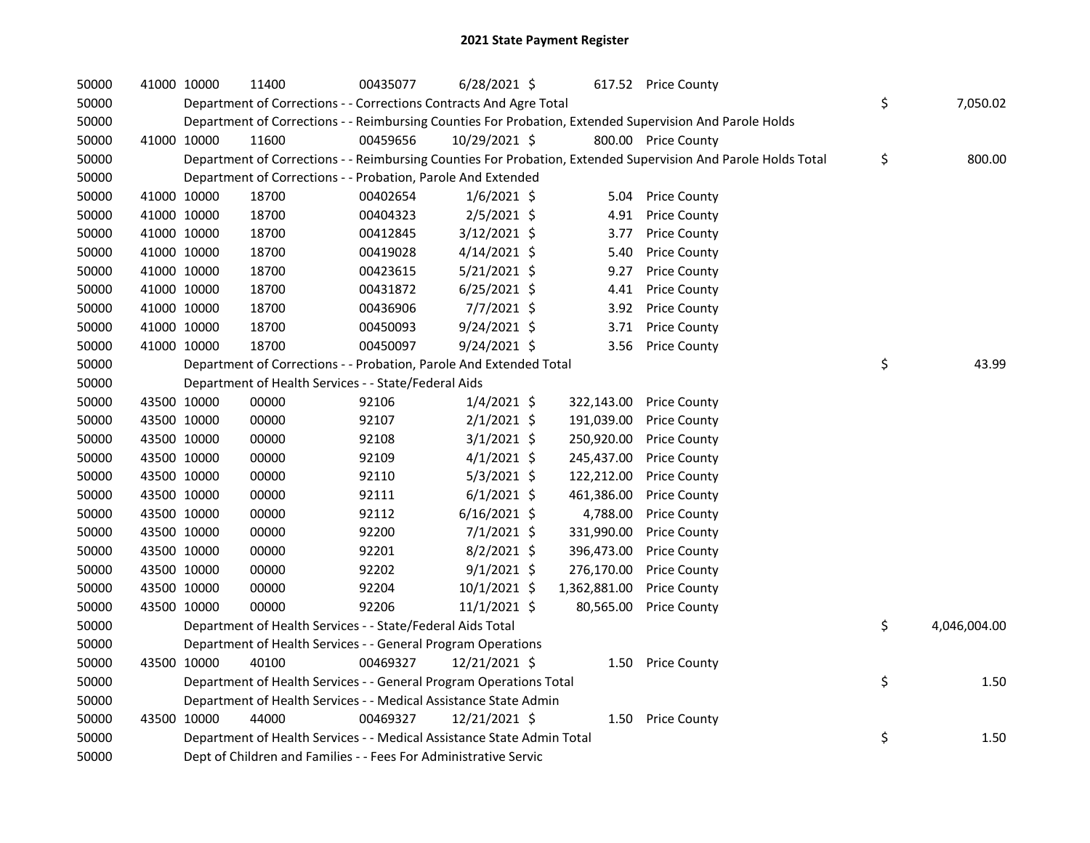| 50000 | 41000 10000 | 11400                                                                  | 00435077 | $6/28/2021$ \$ |              | 617.52 Price County                                                                                           |                    |
|-------|-------------|------------------------------------------------------------------------|----------|----------------|--------------|---------------------------------------------------------------------------------------------------------------|--------------------|
| 50000 |             | Department of Corrections - - Corrections Contracts And Agre Total     |          |                |              |                                                                                                               | \$<br>7,050.02     |
| 50000 |             |                                                                        |          |                |              | Department of Corrections - - Reimbursing Counties For Probation, Extended Supervision And Parole Holds       |                    |
| 50000 | 41000 10000 | 11600                                                                  | 00459656 | 10/29/2021 \$  |              | 800.00 Price County                                                                                           |                    |
| 50000 |             |                                                                        |          |                |              | Department of Corrections - - Reimbursing Counties For Probation, Extended Supervision And Parole Holds Total | \$<br>800.00       |
| 50000 |             | Department of Corrections - - Probation, Parole And Extended           |          |                |              |                                                                                                               |                    |
| 50000 | 41000 10000 | 18700                                                                  | 00402654 | $1/6/2021$ \$  |              | 5.04 Price County                                                                                             |                    |
| 50000 | 41000 10000 | 18700                                                                  | 00404323 | $2/5/2021$ \$  |              | 4.91 Price County                                                                                             |                    |
| 50000 | 41000 10000 | 18700                                                                  | 00412845 | 3/12/2021 \$   | 3.77         | <b>Price County</b>                                                                                           |                    |
| 50000 | 41000 10000 | 18700                                                                  | 00419028 | $4/14/2021$ \$ | 5.40         | <b>Price County</b>                                                                                           |                    |
| 50000 | 41000 10000 | 18700                                                                  | 00423615 | $5/21/2021$ \$ | 9.27         | <b>Price County</b>                                                                                           |                    |
| 50000 | 41000 10000 | 18700                                                                  | 00431872 | $6/25/2021$ \$ | 4.41         | <b>Price County</b>                                                                                           |                    |
| 50000 | 41000 10000 | 18700                                                                  | 00436906 | $7/7/2021$ \$  |              | 3.92 Price County                                                                                             |                    |
| 50000 | 41000 10000 | 18700                                                                  | 00450093 | $9/24/2021$ \$ | 3.71         | <b>Price County</b>                                                                                           |                    |
| 50000 | 41000 10000 | 18700                                                                  | 00450097 | 9/24/2021 \$   | 3.56         | <b>Price County</b>                                                                                           |                    |
| 50000 |             | Department of Corrections - - Probation, Parole And Extended Total     |          |                |              |                                                                                                               | \$<br>43.99        |
| 50000 |             | Department of Health Services - - State/Federal Aids                   |          |                |              |                                                                                                               |                    |
| 50000 | 43500 10000 | 00000                                                                  | 92106    | $1/4/2021$ \$  | 322,143.00   | <b>Price County</b>                                                                                           |                    |
| 50000 | 43500 10000 | 00000                                                                  | 92107    | $2/1/2021$ \$  | 191,039.00   | <b>Price County</b>                                                                                           |                    |
| 50000 | 43500 10000 | 00000                                                                  | 92108    | $3/1/2021$ \$  | 250,920.00   | <b>Price County</b>                                                                                           |                    |
| 50000 | 43500 10000 | 00000                                                                  | 92109    | $4/1/2021$ \$  | 245,437.00   | <b>Price County</b>                                                                                           |                    |
| 50000 | 43500 10000 | 00000                                                                  | 92110    | $5/3/2021$ \$  | 122,212.00   | <b>Price County</b>                                                                                           |                    |
| 50000 | 43500 10000 | 00000                                                                  | 92111    | $6/1/2021$ \$  | 461,386.00   | <b>Price County</b>                                                                                           |                    |
| 50000 | 43500 10000 | 00000                                                                  | 92112    | $6/16/2021$ \$ | 4,788.00     | <b>Price County</b>                                                                                           |                    |
| 50000 | 43500 10000 | 00000                                                                  | 92200    | $7/1/2021$ \$  | 331,990.00   | <b>Price County</b>                                                                                           |                    |
| 50000 | 43500 10000 | 00000                                                                  | 92201    | $8/2/2021$ \$  | 396,473.00   | <b>Price County</b>                                                                                           |                    |
| 50000 | 43500 10000 | 00000                                                                  | 92202    | $9/1/2021$ \$  | 276,170.00   | <b>Price County</b>                                                                                           |                    |
| 50000 | 43500 10000 | 00000                                                                  | 92204    | 10/1/2021 \$   | 1,362,881.00 | <b>Price County</b>                                                                                           |                    |
| 50000 | 43500 10000 | 00000                                                                  | 92206    | $11/1/2021$ \$ | 80,565.00    | <b>Price County</b>                                                                                           |                    |
| 50000 |             | Department of Health Services - - State/Federal Aids Total             |          |                |              |                                                                                                               | \$<br>4,046,004.00 |
| 50000 |             | Department of Health Services - - General Program Operations           |          |                |              |                                                                                                               |                    |
| 50000 | 43500 10000 | 40100                                                                  | 00469327 | 12/21/2021 \$  |              | 1.50 Price County                                                                                             |                    |
| 50000 |             | Department of Health Services - - General Program Operations Total     |          |                |              |                                                                                                               | \$<br>1.50         |
| 50000 |             | Department of Health Services - - Medical Assistance State Admin       |          |                |              |                                                                                                               |                    |
| 50000 | 43500 10000 | 44000                                                                  | 00469327 | 12/21/2021 \$  | 1.50         | <b>Price County</b>                                                                                           |                    |
| 50000 |             | Department of Health Services - - Medical Assistance State Admin Total |          |                |              |                                                                                                               | \$<br>1.50         |
| 50000 |             | Dept of Children and Families - - Fees For Administrative Servic       |          |                |              |                                                                                                               |                    |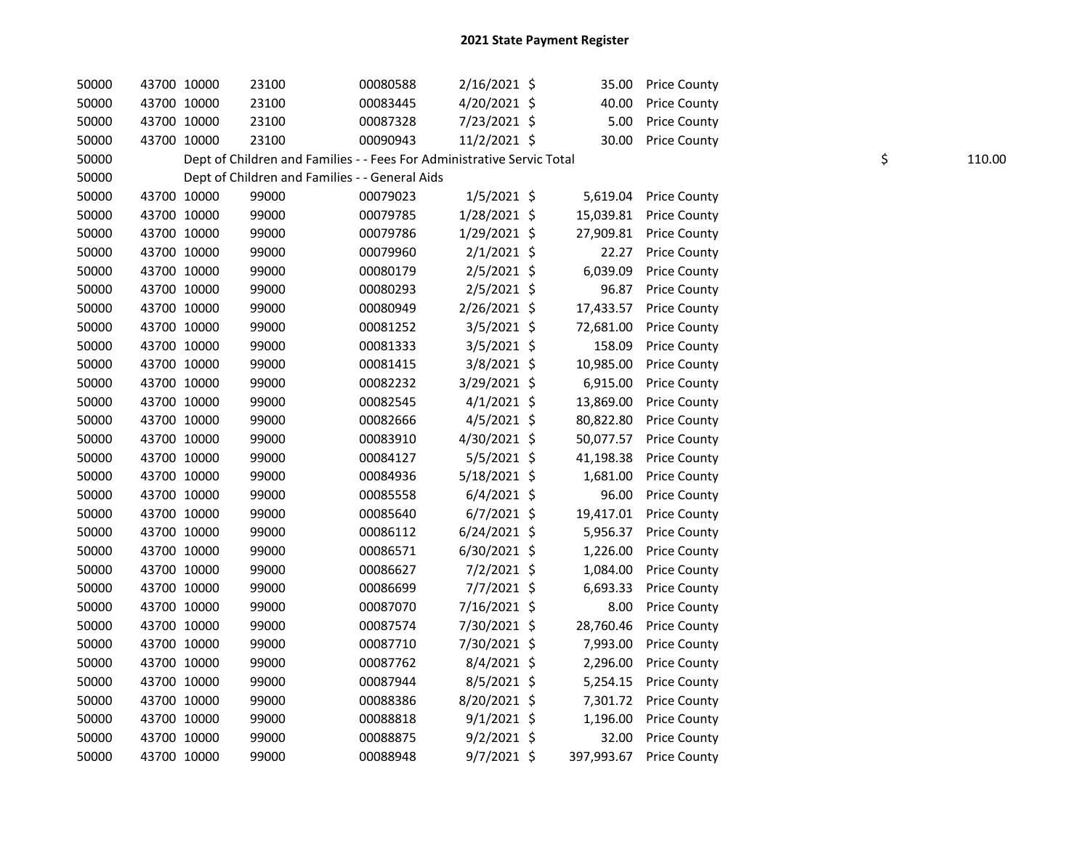| 50000 | 43700 10000 | 23100 | 00080588                                                               | $2/16/2021$ \$ | 35.00     | <b>Price County</b>     |    |        |
|-------|-------------|-------|------------------------------------------------------------------------|----------------|-----------|-------------------------|----|--------|
| 50000 | 43700 10000 | 23100 | 00083445                                                               | 4/20/2021 \$   | 40.00     | <b>Price County</b>     |    |        |
| 50000 | 43700 10000 | 23100 | 00087328                                                               | 7/23/2021 \$   | 5.00      | <b>Price County</b>     |    |        |
| 50000 | 43700 10000 | 23100 | 00090943                                                               | 11/2/2021 \$   | 30.00     | <b>Price County</b>     |    |        |
| 50000 |             |       | Dept of Children and Families - - Fees For Administrative Servic Total |                |           |                         | \$ | 110.00 |
| 50000 |             |       | Dept of Children and Families - - General Aids                         |                |           |                         |    |        |
| 50000 | 43700 10000 | 99000 | 00079023                                                               | $1/5/2021$ \$  |           | 5,619.04 Price County   |    |        |
| 50000 | 43700 10000 | 99000 | 00079785                                                               | 1/28/2021 \$   |           | 15,039.81 Price County  |    |        |
| 50000 | 43700 10000 | 99000 | 00079786                                                               | $1/29/2021$ \$ |           | 27,909.81 Price County  |    |        |
| 50000 | 43700 10000 | 99000 | 00079960                                                               | $2/1/2021$ \$  | 22.27     | <b>Price County</b>     |    |        |
| 50000 | 43700 10000 | 99000 | 00080179                                                               | $2/5/2021$ \$  | 6,039.09  | <b>Price County</b>     |    |        |
| 50000 | 43700 10000 | 99000 | 00080293                                                               | $2/5/2021$ \$  | 96.87     | <b>Price County</b>     |    |        |
| 50000 | 43700 10000 | 99000 | 00080949                                                               | $2/26/2021$ \$ | 17,433.57 | <b>Price County</b>     |    |        |
| 50000 | 43700 10000 | 99000 | 00081252                                                               | 3/5/2021 \$    | 72,681.00 | <b>Price County</b>     |    |        |
| 50000 | 43700 10000 | 99000 | 00081333                                                               | $3/5/2021$ \$  | 158.09    | <b>Price County</b>     |    |        |
| 50000 | 43700 10000 | 99000 | 00081415                                                               | 3/8/2021 \$    | 10,985.00 | <b>Price County</b>     |    |        |
| 50000 | 43700 10000 | 99000 | 00082232                                                               | 3/29/2021 \$   | 6,915.00  | <b>Price County</b>     |    |        |
| 50000 | 43700 10000 | 99000 | 00082545                                                               | $4/1/2021$ \$  | 13,869.00 | <b>Price County</b>     |    |        |
| 50000 | 43700 10000 | 99000 | 00082666                                                               | $4/5/2021$ \$  | 80,822.80 | <b>Price County</b>     |    |        |
| 50000 | 43700 10000 | 99000 | 00083910                                                               | 4/30/2021 \$   | 50,077.57 | <b>Price County</b>     |    |        |
| 50000 | 43700 10000 | 99000 | 00084127                                                               | $5/5/2021$ \$  | 41,198.38 | <b>Price County</b>     |    |        |
| 50000 | 43700 10000 | 99000 | 00084936                                                               | 5/18/2021 \$   | 1,681.00  | <b>Price County</b>     |    |        |
| 50000 | 43700 10000 | 99000 | 00085558                                                               | $6/4/2021$ \$  | 96.00     | <b>Price County</b>     |    |        |
| 50000 | 43700 10000 | 99000 | 00085640                                                               | $6/7/2021$ \$  | 19,417.01 | <b>Price County</b>     |    |        |
| 50000 | 43700 10000 | 99000 | 00086112                                                               | $6/24/2021$ \$ |           | 5,956.37 Price County   |    |        |
| 50000 | 43700 10000 | 99000 | 00086571                                                               | 6/30/2021 \$   | 1,226.00  | <b>Price County</b>     |    |        |
| 50000 | 43700 10000 | 99000 | 00086627                                                               | 7/2/2021 \$    | 1,084.00  | <b>Price County</b>     |    |        |
| 50000 | 43700 10000 | 99000 | 00086699                                                               | 7/7/2021 \$    | 6,693.33  | <b>Price County</b>     |    |        |
| 50000 | 43700 10000 | 99000 | 00087070                                                               | 7/16/2021 \$   | 8.00      | <b>Price County</b>     |    |        |
| 50000 | 43700 10000 | 99000 | 00087574                                                               | 7/30/2021 \$   | 28,760.46 | <b>Price County</b>     |    |        |
| 50000 | 43700 10000 | 99000 | 00087710                                                               | 7/30/2021 \$   | 7,993.00  | <b>Price County</b>     |    |        |
| 50000 | 43700 10000 | 99000 | 00087762                                                               | $8/4/2021$ \$  | 2,296.00  | <b>Price County</b>     |    |        |
| 50000 | 43700 10000 | 99000 | 00087944                                                               | $8/5/2021$ \$  | 5,254.15  | <b>Price County</b>     |    |        |
| 50000 | 43700 10000 | 99000 | 00088386                                                               | 8/20/2021 \$   |           | 7,301.72 Price County   |    |        |
| 50000 | 43700 10000 | 99000 | 00088818                                                               | $9/1/2021$ \$  | 1,196.00  | <b>Price County</b>     |    |        |
| 50000 | 43700 10000 | 99000 | 00088875                                                               | $9/2/2021$ \$  | 32.00     | <b>Price County</b>     |    |        |
| 50000 | 43700 10000 | 99000 | 00088948                                                               | $9/7/2021$ \$  |           | 397,993.67 Price County |    |        |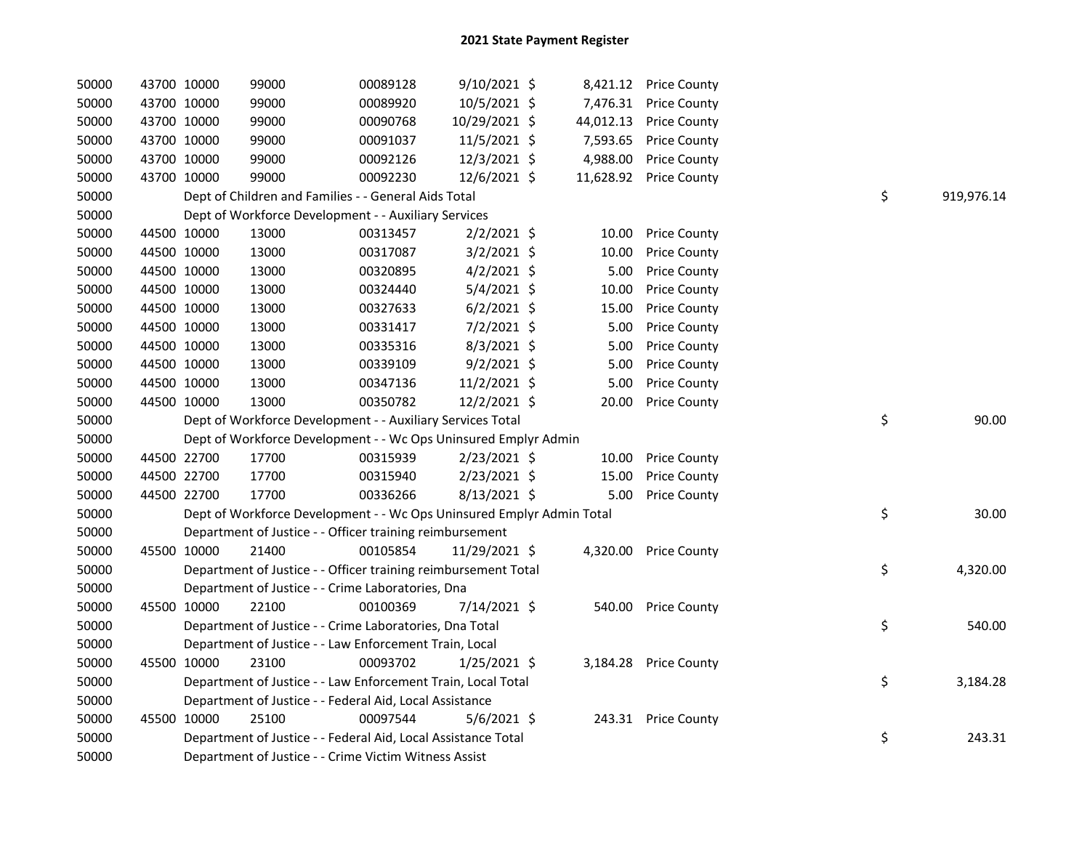| 50000 | 43700 10000 | 99000                                                                 | 00089128 | 9/10/2021 \$   |           | 8,421.12 Price County |    |            |
|-------|-------------|-----------------------------------------------------------------------|----------|----------------|-----------|-----------------------|----|------------|
| 50000 | 43700 10000 | 99000                                                                 | 00089920 | 10/5/2021 \$   |           | 7,476.31 Price County |    |            |
| 50000 | 43700 10000 | 99000                                                                 | 00090768 | 10/29/2021 \$  | 44,012.13 | <b>Price County</b>   |    |            |
| 50000 | 43700 10000 | 99000                                                                 | 00091037 | 11/5/2021 \$   | 7,593.65  | <b>Price County</b>   |    |            |
| 50000 | 43700 10000 | 99000                                                                 | 00092126 | 12/3/2021 \$   | 4,988.00  | <b>Price County</b>   |    |            |
| 50000 | 43700 10000 | 99000                                                                 | 00092230 | 12/6/2021 \$   | 11,628.92 | <b>Price County</b>   |    |            |
| 50000 |             | Dept of Children and Families - - General Aids Total                  |          |                |           |                       | \$ | 919,976.14 |
| 50000 |             | Dept of Workforce Development - - Auxiliary Services                  |          |                |           |                       |    |            |
| 50000 | 44500 10000 | 13000                                                                 | 00313457 | $2/2/2021$ \$  | 10.00     | <b>Price County</b>   |    |            |
| 50000 | 44500 10000 | 13000                                                                 | 00317087 | $3/2/2021$ \$  | 10.00     | Price County          |    |            |
| 50000 | 44500 10000 | 13000                                                                 | 00320895 | $4/2/2021$ \$  | 5.00      | <b>Price County</b>   |    |            |
| 50000 | 44500 10000 | 13000                                                                 | 00324440 | 5/4/2021 \$    | 10.00     | Price County          |    |            |
| 50000 | 44500 10000 | 13000                                                                 | 00327633 | $6/2/2021$ \$  | 15.00     | Price County          |    |            |
| 50000 | 44500 10000 | 13000                                                                 | 00331417 | 7/2/2021 \$    | 5.00      | <b>Price County</b>   |    |            |
| 50000 | 44500 10000 | 13000                                                                 | 00335316 | 8/3/2021 \$    | 5.00      | <b>Price County</b>   |    |            |
| 50000 | 44500 10000 | 13000                                                                 | 00339109 | $9/2/2021$ \$  | 5.00      | <b>Price County</b>   |    |            |
| 50000 | 44500 10000 | 13000                                                                 | 00347136 | 11/2/2021 \$   | 5.00      | <b>Price County</b>   |    |            |
| 50000 | 44500 10000 | 13000                                                                 | 00350782 | 12/2/2021 \$   | 20.00     | <b>Price County</b>   |    |            |
| 50000 |             | Dept of Workforce Development - - Auxiliary Services Total            |          |                |           |                       | \$ | 90.00      |
| 50000 |             | Dept of Workforce Development - - Wc Ops Uninsured Emplyr Admin       |          |                |           |                       |    |            |
| 50000 | 44500 22700 | 17700                                                                 | 00315939 | 2/23/2021 \$   | 10.00     | <b>Price County</b>   |    |            |
| 50000 | 44500 22700 | 17700                                                                 | 00315940 | $2/23/2021$ \$ | 15.00     | <b>Price County</b>   |    |            |
| 50000 | 44500 22700 | 17700                                                                 | 00336266 | $8/13/2021$ \$ | 5.00      | <b>Price County</b>   |    |            |
| 50000 |             | Dept of Workforce Development - - Wc Ops Uninsured Emplyr Admin Total |          |                |           |                       | \$ | 30.00      |
| 50000 |             | Department of Justice - - Officer training reimbursement              |          |                |           |                       |    |            |
| 50000 | 45500 10000 | 21400                                                                 | 00105854 | 11/29/2021 \$  |           | 4,320.00 Price County |    |            |
| 50000 |             | Department of Justice - - Officer training reimbursement Total        |          |                |           |                       | \$ | 4,320.00   |
| 50000 |             | Department of Justice - - Crime Laboratories, Dna                     |          |                |           |                       |    |            |
| 50000 | 45500 10000 | 22100                                                                 | 00100369 | 7/14/2021 \$   |           | 540.00 Price County   |    |            |
| 50000 |             | Department of Justice - - Crime Laboratories, Dna Total               |          |                |           |                       | \$ | 540.00     |
| 50000 |             | Department of Justice - - Law Enforcement Train, Local                |          |                |           |                       |    |            |
| 50000 | 45500 10000 | 23100                                                                 | 00093702 | $1/25/2021$ \$ |           | 3,184.28 Price County |    |            |
| 50000 |             | Department of Justice - - Law Enforcement Train, Local Total          |          |                |           |                       | \$ | 3,184.28   |
| 50000 |             | Department of Justice - - Federal Aid, Local Assistance               |          |                |           |                       |    |            |
| 50000 | 45500 10000 | 25100                                                                 | 00097544 | $5/6/2021$ \$  |           | 243.31 Price County   |    |            |
| 50000 |             | Department of Justice - - Federal Aid, Local Assistance Total         |          |                |           |                       | \$ | 243.31     |
| 50000 |             | Department of Justice - - Crime Victim Witness Assist                 |          |                |           |                       |    |            |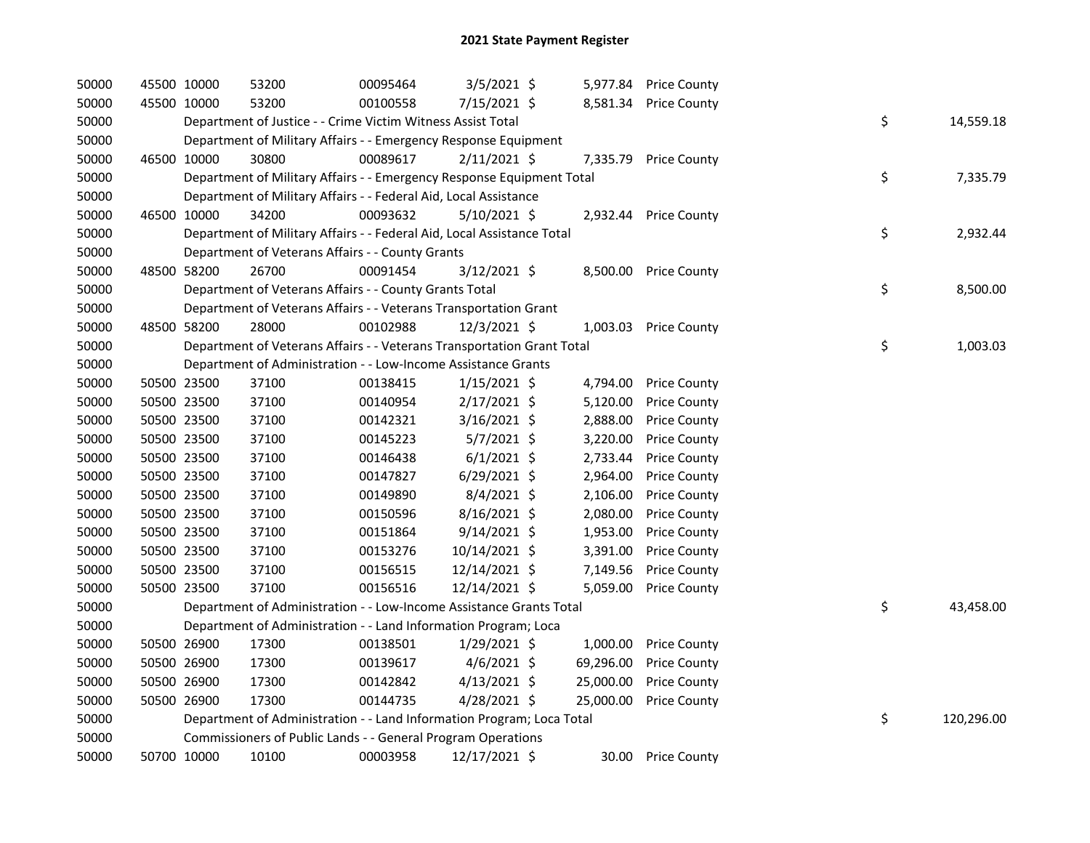| 50000 | 45500 10000 | 53200                                                                  | 00095464 | 3/5/2021 \$    |          | 5,977.84 Price County  |    |            |
|-------|-------------|------------------------------------------------------------------------|----------|----------------|----------|------------------------|----|------------|
| 50000 | 45500 10000 | 53200                                                                  | 00100558 | 7/15/2021 \$   |          | 8,581.34 Price County  |    |            |
| 50000 |             | Department of Justice - - Crime Victim Witness Assist Total            |          |                |          |                        | \$ | 14,559.18  |
| 50000 |             | Department of Military Affairs - - Emergency Response Equipment        |          |                |          |                        |    |            |
| 50000 | 46500 10000 | 30800                                                                  | 00089617 | $2/11/2021$ \$ |          | 7,335.79 Price County  |    |            |
| 50000 |             | Department of Military Affairs - - Emergency Response Equipment Total  |          |                |          |                        | \$ | 7,335.79   |
| 50000 |             | Department of Military Affairs - - Federal Aid, Local Assistance       |          |                |          |                        |    |            |
| 50000 | 46500 10000 | 34200                                                                  | 00093632 | $5/10/2021$ \$ |          | 2,932.44 Price County  |    |            |
| 50000 |             | Department of Military Affairs - - Federal Aid, Local Assistance Total |          |                |          |                        | \$ | 2,932.44   |
| 50000 |             | Department of Veterans Affairs - - County Grants                       |          |                |          |                        |    |            |
| 50000 | 48500 58200 | 26700                                                                  | 00091454 | $3/12/2021$ \$ |          | 8,500.00 Price County  |    |            |
| 50000 |             | Department of Veterans Affairs - - County Grants Total                 |          |                |          |                        | \$ | 8,500.00   |
| 50000 |             | Department of Veterans Affairs - - Veterans Transportation Grant       |          |                |          |                        |    |            |
| 50000 | 48500 58200 | 28000                                                                  | 00102988 | 12/3/2021 \$   |          | 1,003.03 Price County  |    |            |
| 50000 |             | Department of Veterans Affairs - - Veterans Transportation Grant Total |          |                |          |                        | \$ | 1,003.03   |
| 50000 |             | Department of Administration - - Low-Income Assistance Grants          |          |                |          |                        |    |            |
| 50000 | 50500 23500 | 37100                                                                  | 00138415 | $1/15/2021$ \$ |          | 4,794.00 Price County  |    |            |
| 50000 | 50500 23500 | 37100                                                                  | 00140954 | $2/17/2021$ \$ | 5,120.00 | <b>Price County</b>    |    |            |
| 50000 | 50500 23500 | 37100                                                                  | 00142321 | $3/16/2021$ \$ | 2,888.00 | <b>Price County</b>    |    |            |
| 50000 | 50500 23500 | 37100                                                                  | 00145223 | 5/7/2021 \$    | 3,220.00 | <b>Price County</b>    |    |            |
| 50000 | 50500 23500 | 37100                                                                  | 00146438 | $6/1/2021$ \$  | 2,733.44 | <b>Price County</b>    |    |            |
| 50000 | 50500 23500 | 37100                                                                  | 00147827 | $6/29/2021$ \$ | 2,964.00 | <b>Price County</b>    |    |            |
| 50000 | 50500 23500 | 37100                                                                  | 00149890 | 8/4/2021 \$    | 2,106.00 | <b>Price County</b>    |    |            |
| 50000 | 50500 23500 | 37100                                                                  | 00150596 | 8/16/2021 \$   | 2,080.00 | <b>Price County</b>    |    |            |
| 50000 | 50500 23500 | 37100                                                                  | 00151864 | $9/14/2021$ \$ | 1,953.00 | <b>Price County</b>    |    |            |
| 50000 | 50500 23500 | 37100                                                                  | 00153276 | 10/14/2021 \$  | 3,391.00 | <b>Price County</b>    |    |            |
| 50000 | 50500 23500 | 37100                                                                  | 00156515 | 12/14/2021 \$  |          | 7,149.56 Price County  |    |            |
| 50000 | 50500 23500 | 37100                                                                  | 00156516 | 12/14/2021 \$  |          | 5,059.00 Price County  |    |            |
| 50000 |             | Department of Administration - - Low-Income Assistance Grants Total    |          |                |          |                        | \$ | 43,458.00  |
| 50000 |             | Department of Administration - - Land Information Program; Loca        |          |                |          |                        |    |            |
| 50000 | 50500 26900 | 17300                                                                  | 00138501 | 1/29/2021 \$   |          | 1,000.00 Price County  |    |            |
| 50000 | 50500 26900 | 17300                                                                  | 00139617 | $4/6/2021$ \$  |          | 69,296.00 Price County |    |            |
| 50000 | 50500 26900 | 17300                                                                  | 00142842 | $4/13/2021$ \$ |          | 25,000.00 Price County |    |            |
| 50000 | 50500 26900 | 17300                                                                  | 00144735 | $4/28/2021$ \$ |          | 25,000.00 Price County |    |            |
| 50000 |             | Department of Administration - - Land Information Program; Loca Total  |          |                |          |                        | \$ | 120,296.00 |
| 50000 |             | Commissioners of Public Lands - - General Program Operations           |          |                |          |                        |    |            |
| 50000 | 50700 10000 | 10100                                                                  | 00003958 | 12/17/2021 \$  |          | 30.00 Price County     |    |            |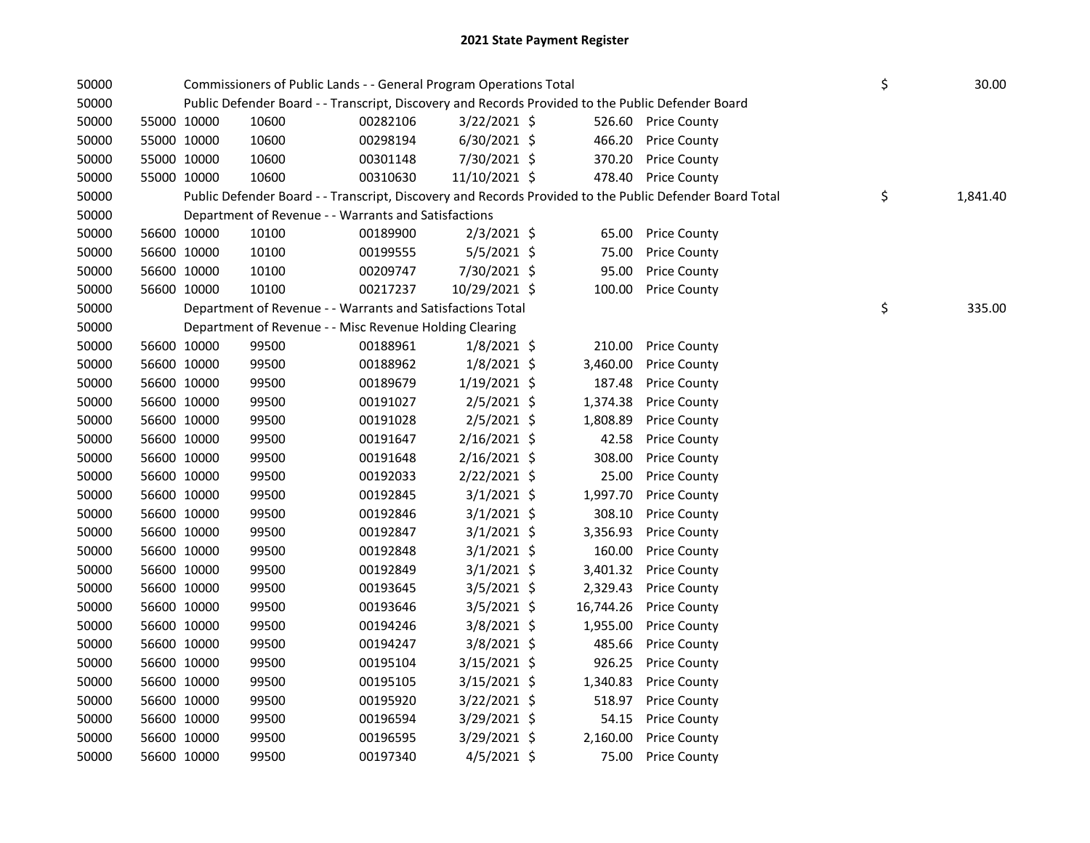| 50000 |             | Commissioners of Public Lands - - General Program Operations Total                                |          |                | \$<br>30.00 |                                                                                                         |                |
|-------|-------------|---------------------------------------------------------------------------------------------------|----------|----------------|-------------|---------------------------------------------------------------------------------------------------------|----------------|
| 50000 |             | Public Defender Board - - Transcript, Discovery and Records Provided to the Public Defender Board |          |                |             |                                                                                                         |                |
| 50000 | 55000 10000 | 10600                                                                                             | 00282106 | 3/22/2021 \$   |             | 526.60 Price County                                                                                     |                |
| 50000 | 55000 10000 | 10600                                                                                             | 00298194 | $6/30/2021$ \$ | 466.20      | <b>Price County</b>                                                                                     |                |
| 50000 | 55000 10000 | 10600                                                                                             | 00301148 | 7/30/2021 \$   | 370.20      | <b>Price County</b>                                                                                     |                |
| 50000 | 55000 10000 | 10600                                                                                             | 00310630 | 11/10/2021 \$  |             | 478.40 Price County                                                                                     |                |
| 50000 |             |                                                                                                   |          |                |             | Public Defender Board - - Transcript, Discovery and Records Provided to the Public Defender Board Total | \$<br>1,841.40 |
| 50000 |             | Department of Revenue - - Warrants and Satisfactions                                              |          |                |             |                                                                                                         |                |
| 50000 | 56600 10000 | 10100                                                                                             | 00189900 | $2/3/2021$ \$  | 65.00       | <b>Price County</b>                                                                                     |                |
| 50000 | 56600 10000 | 10100                                                                                             | 00199555 | 5/5/2021 \$    | 75.00       | <b>Price County</b>                                                                                     |                |
| 50000 | 56600 10000 | 10100                                                                                             | 00209747 | 7/30/2021 \$   | 95.00       | <b>Price County</b>                                                                                     |                |
| 50000 | 56600 10000 | 10100                                                                                             | 00217237 | 10/29/2021 \$  | 100.00      | <b>Price County</b>                                                                                     |                |
| 50000 |             | Department of Revenue - - Warrants and Satisfactions Total                                        |          |                |             |                                                                                                         | \$<br>335.00   |
| 50000 |             | Department of Revenue - - Misc Revenue Holding Clearing                                           |          |                |             |                                                                                                         |                |
| 50000 | 56600 10000 | 99500                                                                                             | 00188961 | $1/8/2021$ \$  | 210.00      | <b>Price County</b>                                                                                     |                |
| 50000 | 56600 10000 | 99500                                                                                             | 00188962 | $1/8/2021$ \$  | 3,460.00    | <b>Price County</b>                                                                                     |                |
| 50000 | 56600 10000 | 99500                                                                                             | 00189679 | $1/19/2021$ \$ | 187.48      | <b>Price County</b>                                                                                     |                |
| 50000 | 56600 10000 | 99500                                                                                             | 00191027 | 2/5/2021 \$    | 1,374.38    | <b>Price County</b>                                                                                     |                |
| 50000 | 56600 10000 | 99500                                                                                             | 00191028 | $2/5/2021$ \$  | 1,808.89    | <b>Price County</b>                                                                                     |                |
| 50000 | 56600 10000 | 99500                                                                                             | 00191647 | $2/16/2021$ \$ | 42.58       | <b>Price County</b>                                                                                     |                |
| 50000 | 56600 10000 | 99500                                                                                             | 00191648 | $2/16/2021$ \$ | 308.00      | Price County                                                                                            |                |
| 50000 | 56600 10000 | 99500                                                                                             | 00192033 | 2/22/2021 \$   | 25.00       | <b>Price County</b>                                                                                     |                |
| 50000 | 56600 10000 | 99500                                                                                             | 00192845 | $3/1/2021$ \$  | 1,997.70    | <b>Price County</b>                                                                                     |                |
| 50000 | 56600 10000 | 99500                                                                                             | 00192846 | $3/1/2021$ \$  | 308.10      | <b>Price County</b>                                                                                     |                |
| 50000 | 56600 10000 | 99500                                                                                             | 00192847 | $3/1/2021$ \$  | 3,356.93    | <b>Price County</b>                                                                                     |                |
| 50000 | 56600 10000 | 99500                                                                                             | 00192848 | $3/1/2021$ \$  | 160.00      | <b>Price County</b>                                                                                     |                |
| 50000 | 56600 10000 | 99500                                                                                             | 00192849 | $3/1/2021$ \$  | 3,401.32    | <b>Price County</b>                                                                                     |                |
| 50000 | 56600 10000 | 99500                                                                                             | 00193645 | 3/5/2021 \$    | 2,329.43    | <b>Price County</b>                                                                                     |                |
| 50000 | 56600 10000 | 99500                                                                                             | 00193646 | $3/5/2021$ \$  | 16,744.26   | <b>Price County</b>                                                                                     |                |
| 50000 | 56600 10000 | 99500                                                                                             | 00194246 | 3/8/2021 \$    | 1,955.00    | <b>Price County</b>                                                                                     |                |
| 50000 | 56600 10000 | 99500                                                                                             | 00194247 | 3/8/2021 \$    | 485.66      | <b>Price County</b>                                                                                     |                |
| 50000 | 56600 10000 | 99500                                                                                             | 00195104 | $3/15/2021$ \$ | 926.25      | <b>Price County</b>                                                                                     |                |
| 50000 | 56600 10000 | 99500                                                                                             | 00195105 | $3/15/2021$ \$ | 1,340.83    | <b>Price County</b>                                                                                     |                |
| 50000 | 56600 10000 | 99500                                                                                             | 00195920 | 3/22/2021 \$   | 518.97      | <b>Price County</b>                                                                                     |                |
| 50000 | 56600 10000 | 99500                                                                                             | 00196594 | 3/29/2021 \$   | 54.15       | <b>Price County</b>                                                                                     |                |
| 50000 | 56600 10000 | 99500                                                                                             | 00196595 | 3/29/2021 \$   | 2,160.00    | <b>Price County</b>                                                                                     |                |
| 50000 | 56600 10000 | 99500                                                                                             | 00197340 | $4/5/2021$ \$  | 75.00       | <b>Price County</b>                                                                                     |                |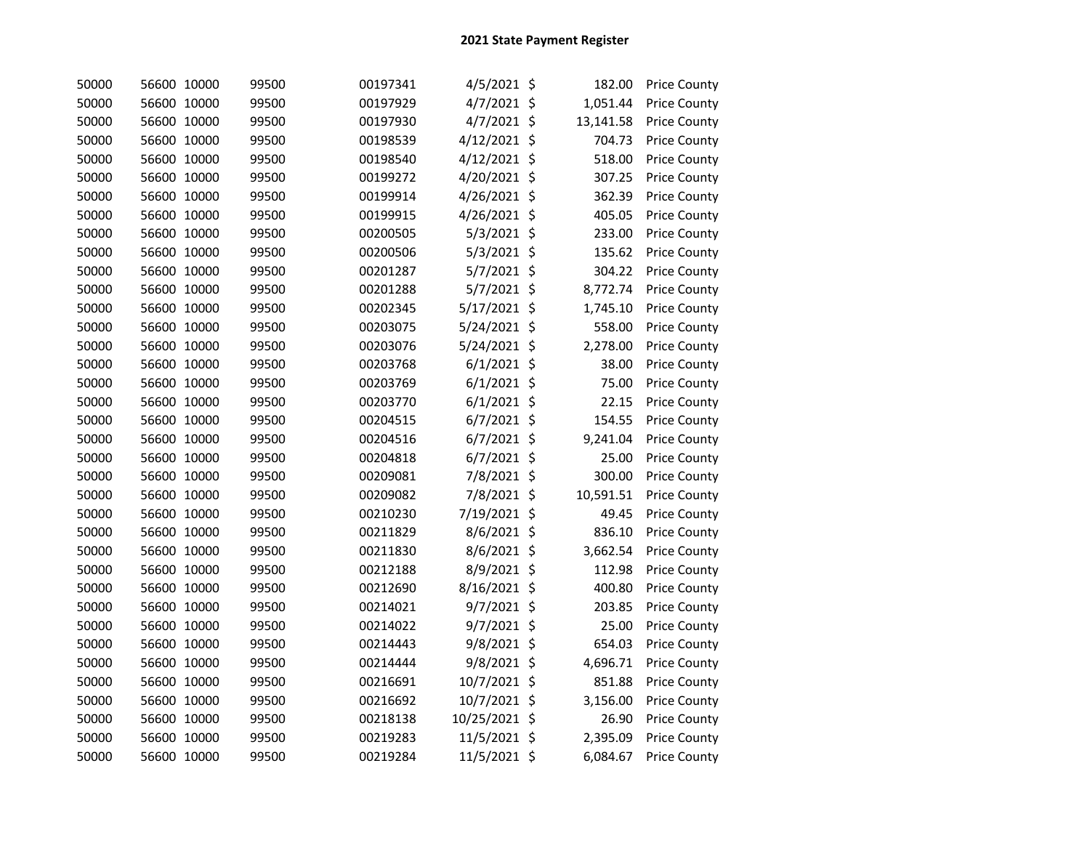| 50000 | 56600 10000 | 99500 | 00197341 | 4/5/2021 \$   | 182.00    | <b>Price County</b> |
|-------|-------------|-------|----------|---------------|-----------|---------------------|
| 50000 | 56600 10000 | 99500 | 00197929 | 4/7/2021 \$   | 1,051.44  | <b>Price County</b> |
| 50000 | 56600 10000 | 99500 | 00197930 | 4/7/2021 \$   | 13,141.58 | <b>Price County</b> |
| 50000 | 56600 10000 | 99500 | 00198539 | 4/12/2021 \$  | 704.73    | <b>Price County</b> |
| 50000 | 56600 10000 | 99500 | 00198540 | 4/12/2021 \$  | 518.00    | <b>Price County</b> |
| 50000 | 56600 10000 | 99500 | 00199272 | 4/20/2021 \$  | 307.25    | <b>Price County</b> |
| 50000 | 56600 10000 | 99500 | 00199914 | 4/26/2021 \$  | 362.39    | <b>Price County</b> |
| 50000 | 56600 10000 | 99500 | 00199915 | 4/26/2021 \$  | 405.05    | <b>Price County</b> |
| 50000 | 56600 10000 | 99500 | 00200505 | 5/3/2021 \$   | 233.00    | Price County        |
| 50000 | 56600 10000 | 99500 | 00200506 | $5/3/2021$ \$ | 135.62    | Price County        |
| 50000 | 56600 10000 | 99500 | 00201287 | 5/7/2021 \$   | 304.22    | <b>Price County</b> |
| 50000 | 56600 10000 | 99500 | 00201288 | 5/7/2021 \$   | 8,772.74  | <b>Price County</b> |
| 50000 | 56600 10000 | 99500 | 00202345 | 5/17/2021 \$  | 1,745.10  | <b>Price County</b> |
| 50000 | 56600 10000 | 99500 | 00203075 | 5/24/2021 \$  | 558.00    | <b>Price County</b> |
| 50000 | 56600 10000 | 99500 | 00203076 | 5/24/2021 \$  | 2,278.00  | <b>Price County</b> |
| 50000 | 56600 10000 | 99500 | 00203768 | $6/1/2021$ \$ | 38.00     | <b>Price County</b> |
| 50000 | 56600 10000 | 99500 | 00203769 | $6/1/2021$ \$ | 75.00     | <b>Price County</b> |
| 50000 | 56600 10000 | 99500 | 00203770 | $6/1/2021$ \$ | 22.15     | Price County        |
| 50000 | 56600 10000 | 99500 | 00204515 | $6/7/2021$ \$ | 154.55    | <b>Price County</b> |
| 50000 | 56600 10000 | 99500 | 00204516 | $6/7/2021$ \$ | 9,241.04  | <b>Price County</b> |
| 50000 | 56600 10000 | 99500 | 00204818 | $6/7/2021$ \$ | 25.00     | <b>Price County</b> |
| 50000 | 56600 10000 | 99500 | 00209081 | 7/8/2021 \$   | 300.00    | Price County        |
| 50000 | 56600 10000 | 99500 | 00209082 | 7/8/2021 \$   | 10,591.51 | Price County        |
| 50000 | 56600 10000 | 99500 | 00210230 | 7/19/2021 \$  | 49.45     | <b>Price County</b> |
| 50000 | 56600 10000 | 99500 | 00211829 | 8/6/2021 \$   | 836.10    | <b>Price County</b> |
| 50000 | 56600 10000 | 99500 | 00211830 | 8/6/2021 \$   | 3,662.54  | <b>Price County</b> |
| 50000 | 56600 10000 | 99500 | 00212188 | 8/9/2021 \$   | 112.98    | <b>Price County</b> |
| 50000 | 56600 10000 | 99500 | 00212690 | 8/16/2021 \$  | 400.80    | <b>Price County</b> |
| 50000 | 56600 10000 | 99500 | 00214021 | $9/7/2021$ \$ | 203.85    | <b>Price County</b> |
| 50000 | 56600 10000 | 99500 | 00214022 | $9/7/2021$ \$ | 25.00     | <b>Price County</b> |
| 50000 | 56600 10000 | 99500 | 00214443 | 9/8/2021 \$   | 654.03    | Price County        |
| 50000 | 56600 10000 | 99500 | 00214444 | 9/8/2021 \$   | 4,696.71  | <b>Price County</b> |
| 50000 | 56600 10000 | 99500 | 00216691 | 10/7/2021 \$  | 851.88    | <b>Price County</b> |
| 50000 | 56600 10000 | 99500 | 00216692 | 10/7/2021 \$  | 3,156.00  | <b>Price County</b> |
| 50000 | 56600 10000 | 99500 | 00218138 | 10/25/2021 \$ | 26.90     | <b>Price County</b> |
| 50000 | 56600 10000 | 99500 | 00219283 | 11/5/2021 \$  | 2,395.09  | <b>Price County</b> |
| 50000 | 56600 10000 | 99500 | 00219284 | 11/5/2021 \$  | 6,084.67  | <b>Price County</b> |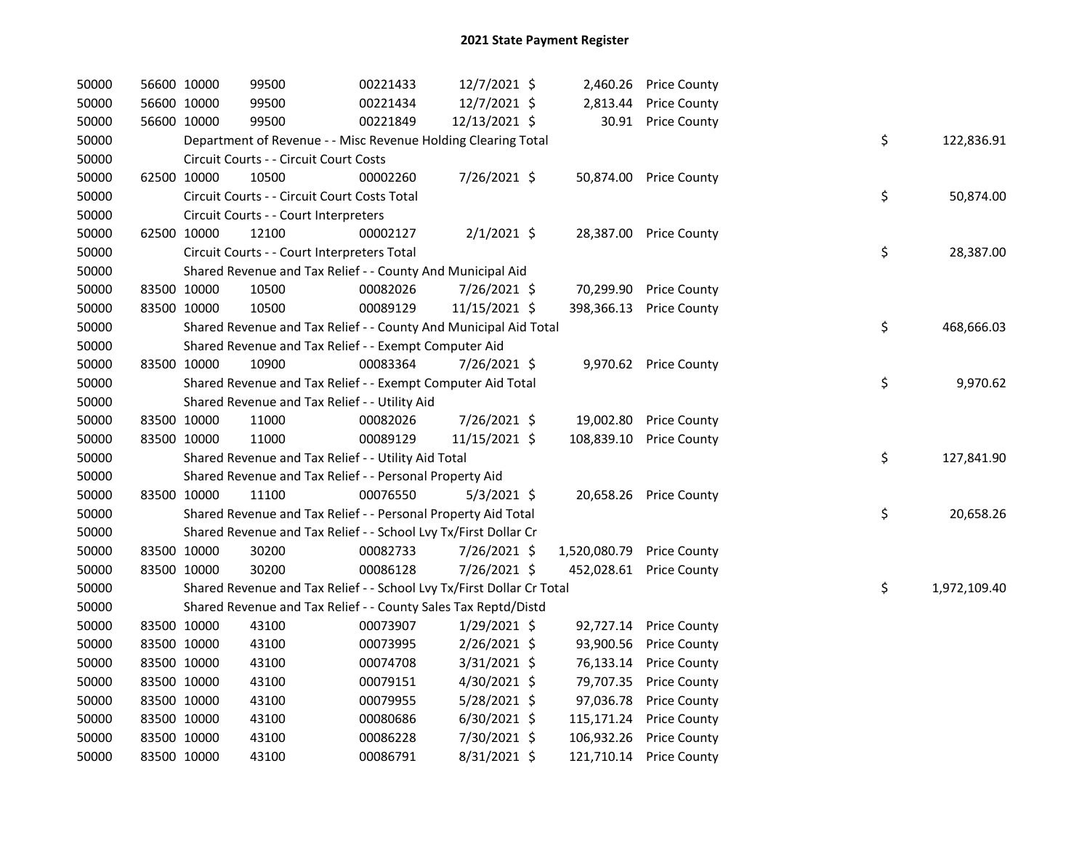| 50000 | 56600 10000 |             | 99500                                                                 | 00221433 | 12/7/2021 \$   |                           | 2,460.26 Price County   |    |              |
|-------|-------------|-------------|-----------------------------------------------------------------------|----------|----------------|---------------------------|-------------------------|----|--------------|
| 50000 | 56600 10000 |             | 99500                                                                 | 00221434 | 12/7/2021 \$   | 2,813.44                  | <b>Price County</b>     |    |              |
| 50000 | 56600 10000 |             | 99500                                                                 | 00221849 | 12/13/2021 \$  |                           | 30.91 Price County      |    |              |
| 50000 |             |             | Department of Revenue - - Misc Revenue Holding Clearing Total         |          |                |                           |                         | \$ | 122,836.91   |
| 50000 |             |             | Circuit Courts - - Circuit Court Costs                                |          |                |                           |                         |    |              |
| 50000 | 62500 10000 |             | 10500                                                                 | 00002260 | 7/26/2021 \$   |                           | 50,874.00 Price County  |    |              |
| 50000 |             |             | Circuit Courts - - Circuit Court Costs Total                          |          |                |                           |                         | \$ | 50,874.00    |
| 50000 |             |             | Circuit Courts - - Court Interpreters                                 |          |                |                           |                         |    |              |
| 50000 | 62500 10000 |             | 12100                                                                 | 00002127 | $2/1/2021$ \$  |                           | 28,387.00 Price County  |    |              |
| 50000 |             |             | Circuit Courts - - Court Interpreters Total                           |          |                |                           |                         | \$ | 28,387.00    |
| 50000 |             |             | Shared Revenue and Tax Relief - - County And Municipal Aid            |          |                |                           |                         |    |              |
| 50000 | 83500 10000 |             | 10500                                                                 | 00082026 | 7/26/2021 \$   |                           | 70,299.90 Price County  |    |              |
| 50000 |             | 83500 10000 | 10500                                                                 | 00089129 | 11/15/2021 \$  | 398,366.13                | <b>Price County</b>     |    |              |
| 50000 |             |             | Shared Revenue and Tax Relief - - County And Municipal Aid Total      |          |                |                           |                         | \$ | 468,666.03   |
| 50000 |             |             | Shared Revenue and Tax Relief - - Exempt Computer Aid                 |          |                |                           |                         |    |              |
| 50000 | 83500 10000 |             | 10900                                                                 | 00083364 | 7/26/2021 \$   |                           | 9,970.62 Price County   |    |              |
| 50000 |             |             | Shared Revenue and Tax Relief - - Exempt Computer Aid Total           |          |                |                           |                         | \$ | 9,970.62     |
| 50000 |             |             | Shared Revenue and Tax Relief - - Utility Aid                         |          |                |                           |                         |    |              |
| 50000 |             | 83500 10000 | 11000                                                                 | 00082026 | 7/26/2021 \$   | 19,002.80                 | <b>Price County</b>     |    |              |
| 50000 |             | 83500 10000 | 11000                                                                 | 00089129 | 11/15/2021 \$  | 108,839.10                | <b>Price County</b>     |    |              |
| 50000 |             |             | Shared Revenue and Tax Relief - - Utility Aid Total                   |          |                |                           |                         | \$ | 127,841.90   |
| 50000 |             |             | Shared Revenue and Tax Relief - - Personal Property Aid               |          |                |                           |                         |    |              |
| 50000 | 83500 10000 |             | 11100                                                                 | 00076550 | $5/3/2021$ \$  |                           | 20,658.26 Price County  |    |              |
| 50000 |             |             | Shared Revenue and Tax Relief - - Personal Property Aid Total         |          |                |                           |                         | \$ | 20,658.26    |
| 50000 |             |             | Shared Revenue and Tax Relief - - School Lvy Tx/First Dollar Cr       |          |                |                           |                         |    |              |
| 50000 | 83500 10000 |             | 30200                                                                 | 00082733 | 7/26/2021 \$   | 1,520,080.79 Price County |                         |    |              |
| 50000 |             | 83500 10000 | 30200                                                                 | 00086128 | 7/26/2021 \$   |                           | 452,028.61 Price County |    |              |
| 50000 |             |             | Shared Revenue and Tax Relief - - School Lvy Tx/First Dollar Cr Total |          |                |                           |                         | \$ | 1,972,109.40 |
| 50000 |             |             | Shared Revenue and Tax Relief - - County Sales Tax Reptd/Distd        |          |                |                           |                         |    |              |
| 50000 |             | 83500 10000 | 43100                                                                 | 00073907 | $1/29/2021$ \$ |                           | 92,727.14 Price County  |    |              |
| 50000 |             | 83500 10000 | 43100                                                                 | 00073995 | 2/26/2021 \$   | 93,900.56                 | <b>Price County</b>     |    |              |
| 50000 | 83500 10000 |             | 43100                                                                 | 00074708 | $3/31/2021$ \$ | 76,133.14                 | <b>Price County</b>     |    |              |
| 50000 | 83500 10000 |             | 43100                                                                 | 00079151 | 4/30/2021 \$   | 79,707.35                 | <b>Price County</b>     |    |              |
| 50000 | 83500 10000 |             | 43100                                                                 | 00079955 | $5/28/2021$ \$ | 97,036.78                 | <b>Price County</b>     |    |              |
| 50000 | 83500 10000 |             | 43100                                                                 | 00080686 | $6/30/2021$ \$ | 115,171.24                | <b>Price County</b>     |    |              |
| 50000 | 83500 10000 |             | 43100                                                                 | 00086228 | 7/30/2021 \$   | 106,932.26                | <b>Price County</b>     |    |              |
| 50000 | 83500 10000 |             | 43100                                                                 | 00086791 | 8/31/2021 \$   |                           | 121,710.14 Price County |    |              |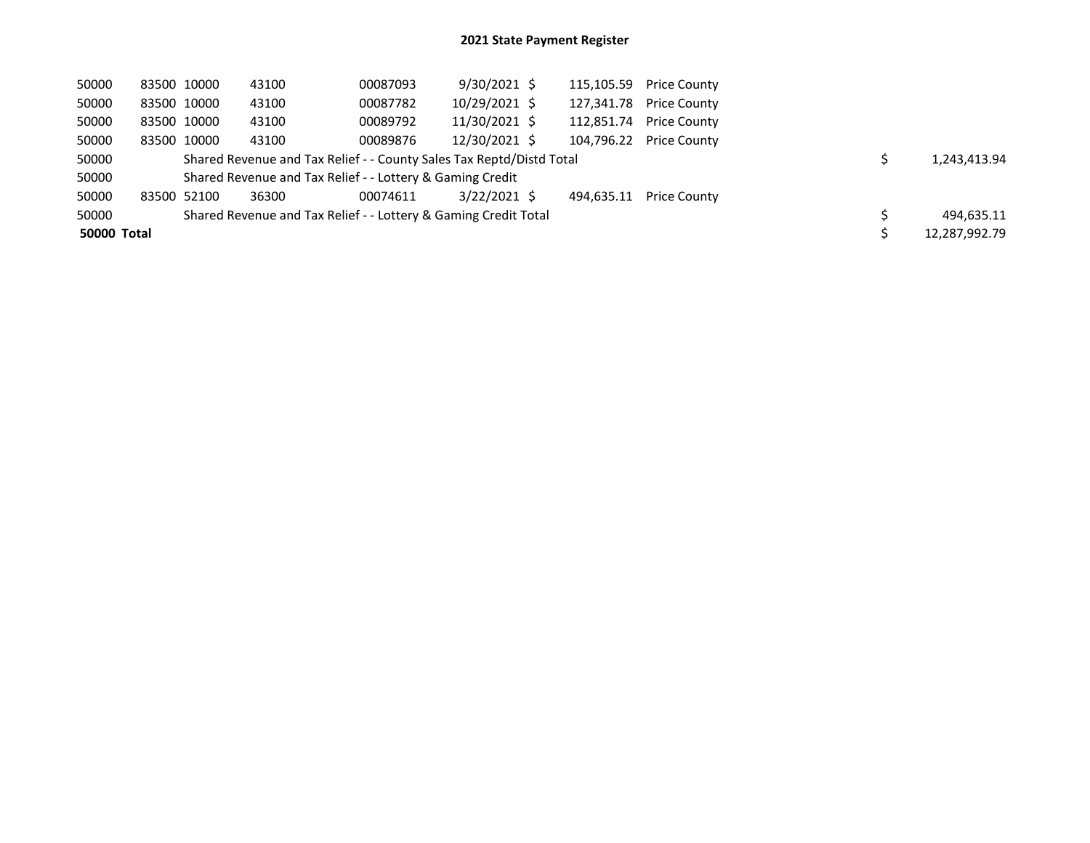| 50000       | 83500 10000 | 43100 | 00087093                                                             | 9/30/2021 \$  |            | 115,105.59 Price County |  |               |
|-------------|-------------|-------|----------------------------------------------------------------------|---------------|------------|-------------------------|--|---------------|
| 50000       | 83500 10000 | 43100 | 00087782                                                             | 10/29/2021 \$ | 127.341.78 | <b>Price County</b>     |  |               |
| 50000       | 83500 10000 | 43100 | 00089792                                                             | 11/30/2021 \$ | 112,851.74 | <b>Price County</b>     |  |               |
| 50000       | 83500 10000 | 43100 | 00089876                                                             | 12/30/2021 \$ | 104.796.22 | <b>Price County</b>     |  |               |
| 50000       |             |       | Shared Revenue and Tax Relief - - County Sales Tax Reptd/Distd Total |               |            |                         |  | 1.243.413.94  |
| 50000       |             |       | Shared Revenue and Tax Relief - - Lottery & Gaming Credit            |               |            |                         |  |               |
| 50000       | 83500 52100 | 36300 | 00074611                                                             | 3/22/2021 \$  | 494.635.11 | <b>Price County</b>     |  |               |
| 50000       |             |       | Shared Revenue and Tax Relief - - Lottery & Gaming Credit Total      |               |            |                         |  | 494.635.11    |
| 50000 Total |             |       |                                                                      |               |            |                         |  | 12,287,992.79 |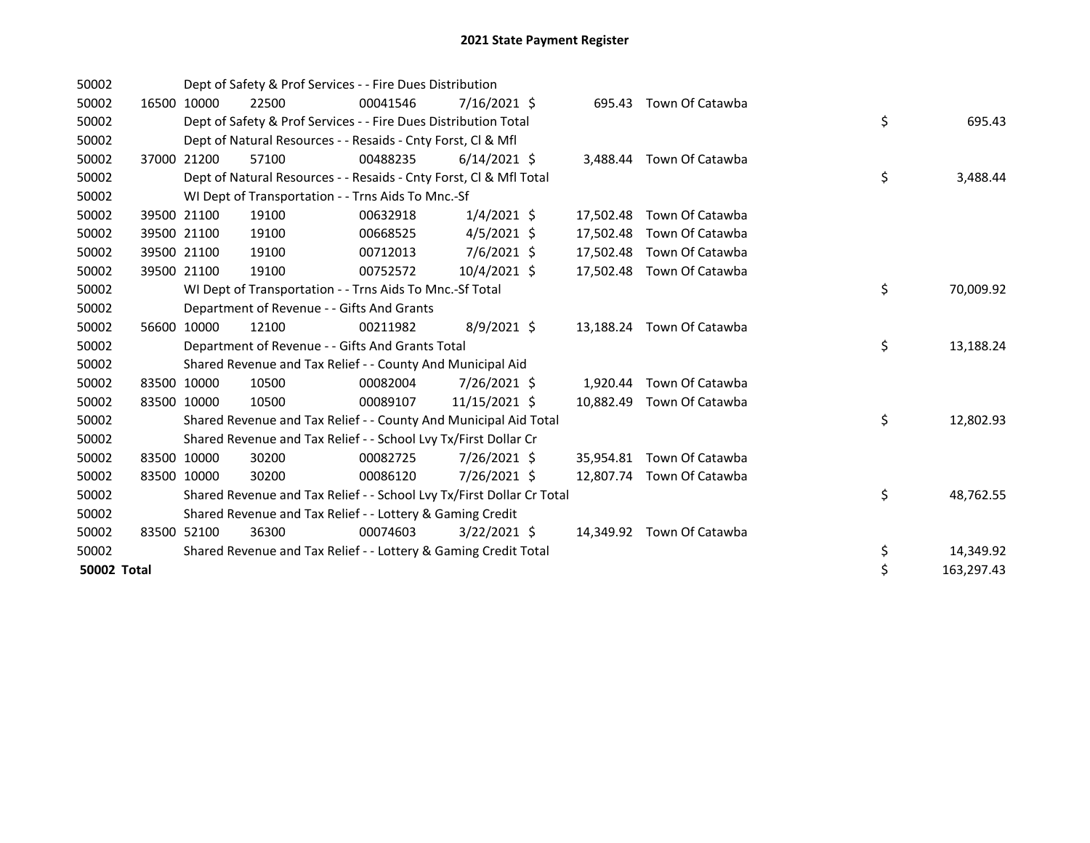| 50002              |             | Dept of Safety & Prof Services - - Fire Dues Distribution             |          |                |           |                           |    |            |
|--------------------|-------------|-----------------------------------------------------------------------|----------|----------------|-----------|---------------------------|----|------------|
| 50002              | 16500 10000 | 22500                                                                 | 00041546 | $7/16/2021$ \$ | 695.43    | Town Of Catawba           |    |            |
| 50002              |             | Dept of Safety & Prof Services - - Fire Dues Distribution Total       |          |                |           |                           | \$ | 695.43     |
| 50002              |             | Dept of Natural Resources - - Resaids - Cnty Forst, CI & Mfl          |          |                |           |                           |    |            |
| 50002              | 37000 21200 | 57100                                                                 | 00488235 | $6/14/2021$ \$ |           | 3,488.44 Town Of Catawba  |    |            |
| 50002              |             | Dept of Natural Resources - - Resaids - Cnty Forst, CI & Mfl Total    |          |                |           |                           | \$ | 3,488.44   |
| 50002              |             | WI Dept of Transportation - - Trns Aids To Mnc.-Sf                    |          |                |           |                           |    |            |
| 50002              | 39500 21100 | 19100                                                                 | 00632918 | $1/4/2021$ \$  |           | 17,502.48 Town Of Catawba |    |            |
| 50002              | 39500 21100 | 19100                                                                 | 00668525 | $4/5/2021$ \$  | 17,502.48 | Town Of Catawba           |    |            |
| 50002              | 39500 21100 | 19100                                                                 | 00712013 | $7/6/2021$ \$  |           | 17,502.48 Town Of Catawba |    |            |
| 50002              | 39500 21100 | 19100                                                                 | 00752572 | $10/4/2021$ \$ |           | 17,502.48 Town Of Catawba |    |            |
| 50002              |             | WI Dept of Transportation - - Trns Aids To Mnc.-Sf Total              |          |                |           |                           | \$ | 70,009.92  |
| 50002              |             | Department of Revenue - - Gifts And Grants                            |          |                |           |                           |    |            |
| 50002              | 56600 10000 | 12100                                                                 | 00211982 | $8/9/2021$ \$  |           | 13,188.24 Town Of Catawba |    |            |
| 50002              |             | Department of Revenue - - Gifts And Grants Total                      |          |                |           |                           | \$ | 13,188.24  |
| 50002              |             | Shared Revenue and Tax Relief - - County And Municipal Aid            |          |                |           |                           |    |            |
| 50002              | 83500 10000 | 10500                                                                 | 00082004 | 7/26/2021 \$   |           | 1,920.44 Town Of Catawba  |    |            |
| 50002              | 83500 10000 | 10500                                                                 | 00089107 | 11/15/2021 \$  |           | 10,882.49 Town Of Catawba |    |            |
| 50002              |             | Shared Revenue and Tax Relief - - County And Municipal Aid Total      |          |                |           |                           | \$ | 12,802.93  |
| 50002              |             | Shared Revenue and Tax Relief - - School Lvy Tx/First Dollar Cr       |          |                |           |                           |    |            |
| 50002              | 83500 10000 | 30200                                                                 | 00082725 | 7/26/2021 \$   |           | 35,954.81 Town Of Catawba |    |            |
| 50002              | 83500 10000 | 30200                                                                 | 00086120 | 7/26/2021 \$   |           | 12.807.74 Town Of Catawba |    |            |
| 50002              |             | Shared Revenue and Tax Relief - - School Lvy Tx/First Dollar Cr Total |          |                |           |                           | \$ | 48,762.55  |
| 50002              |             | Shared Revenue and Tax Relief - - Lottery & Gaming Credit             |          |                |           |                           |    |            |
| 50002              | 83500 52100 | 36300                                                                 | 00074603 | $3/22/2021$ \$ |           | 14,349.92 Town Of Catawba |    |            |
| 50002              |             | Shared Revenue and Tax Relief - - Lottery & Gaming Credit Total       |          |                |           |                           | \$ | 14,349.92  |
| <b>50002 Total</b> |             |                                                                       |          |                |           |                           | \$ | 163,297.43 |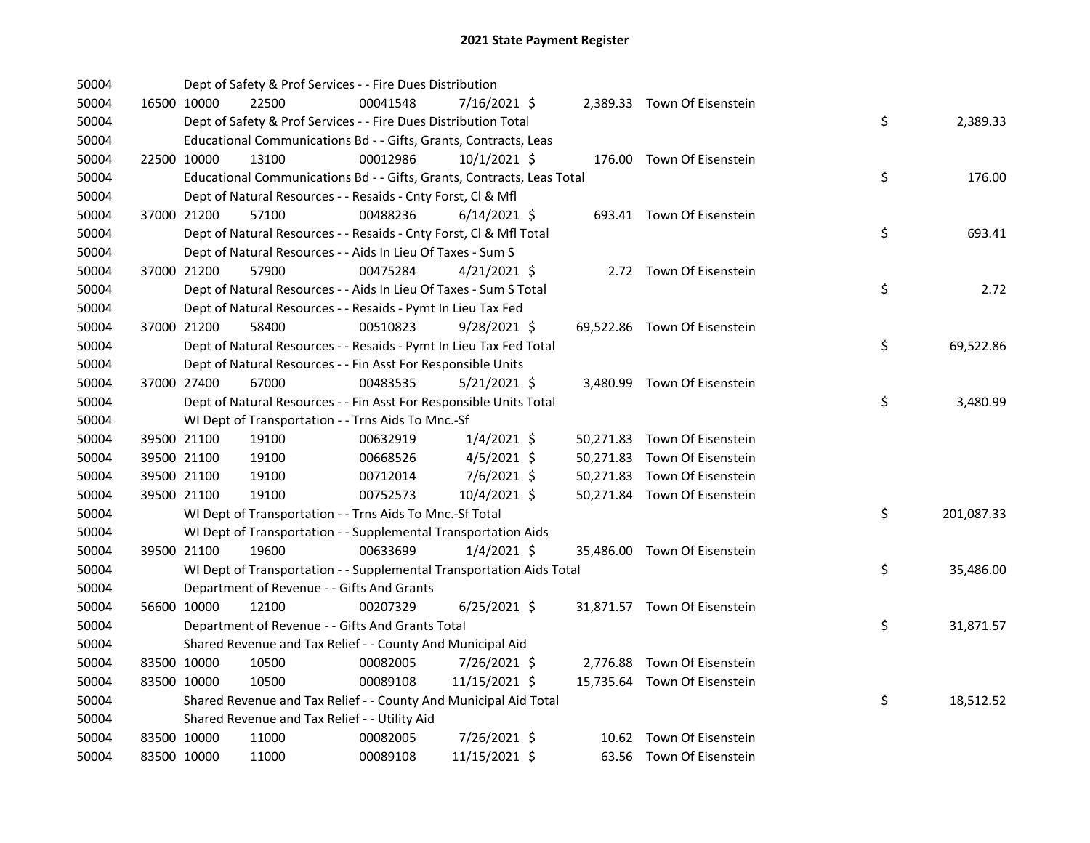| 50004 |             |             | Dept of Safety & Prof Services - - Fire Dues Distribution              |          |                |  |                              |    |            |
|-------|-------------|-------------|------------------------------------------------------------------------|----------|----------------|--|------------------------------|----|------------|
| 50004 |             | 16500 10000 | 22500                                                                  | 00041548 | 7/16/2021 \$   |  | 2,389.33 Town Of Eisenstein  |    |            |
| 50004 |             |             | Dept of Safety & Prof Services - - Fire Dues Distribution Total        |          |                |  |                              | \$ | 2,389.33   |
| 50004 |             |             | Educational Communications Bd - - Gifts, Grants, Contracts, Leas       |          |                |  |                              |    |            |
| 50004 | 22500 10000 |             | 13100                                                                  | 00012986 | $10/1/2021$ \$ |  | 176.00 Town Of Eisenstein    |    |            |
| 50004 |             |             | Educational Communications Bd - - Gifts, Grants, Contracts, Leas Total |          |                |  |                              | \$ | 176.00     |
| 50004 |             |             | Dept of Natural Resources - - Resaids - Cnty Forst, Cl & Mfl           |          |                |  |                              |    |            |
| 50004 |             | 37000 21200 | 57100                                                                  | 00488236 | $6/14/2021$ \$ |  | 693.41 Town Of Eisenstein    |    |            |
| 50004 |             |             | Dept of Natural Resources - - Resaids - Cnty Forst, Cl & Mfl Total     |          |                |  |                              | \$ | 693.41     |
| 50004 |             |             | Dept of Natural Resources - - Aids In Lieu Of Taxes - Sum S            |          |                |  |                              |    |            |
| 50004 |             | 37000 21200 | 57900                                                                  | 00475284 | 4/21/2021 \$   |  | 2.72 Town Of Eisenstein      |    |            |
| 50004 |             |             | Dept of Natural Resources - - Aids In Lieu Of Taxes - Sum S Total      |          |                |  |                              | \$ | 2.72       |
| 50004 |             |             | Dept of Natural Resources - - Resaids - Pymt In Lieu Tax Fed           |          |                |  |                              |    |            |
| 50004 |             | 37000 21200 | 58400                                                                  | 00510823 | $9/28/2021$ \$ |  | 69,522.86 Town Of Eisenstein |    |            |
| 50004 |             |             | Dept of Natural Resources - - Resaids - Pymt In Lieu Tax Fed Total     |          |                |  |                              | \$ | 69,522.86  |
| 50004 |             |             | Dept of Natural Resources - - Fin Asst For Responsible Units           |          |                |  |                              |    |            |
| 50004 |             | 37000 27400 | 67000                                                                  | 00483535 | $5/21/2021$ \$ |  | 3,480.99 Town Of Eisenstein  |    |            |
| 50004 |             |             | Dept of Natural Resources - - Fin Asst For Responsible Units Total     |          |                |  |                              | \$ | 3,480.99   |
| 50004 |             |             | WI Dept of Transportation - - Trns Aids To Mnc.-Sf                     |          |                |  |                              |    |            |
| 50004 |             | 39500 21100 | 19100                                                                  | 00632919 | $1/4/2021$ \$  |  | 50,271.83 Town Of Eisenstein |    |            |
| 50004 |             | 39500 21100 | 19100                                                                  | 00668526 | $4/5/2021$ \$  |  | 50,271.83 Town Of Eisenstein |    |            |
| 50004 | 39500 21100 |             | 19100                                                                  | 00712014 | 7/6/2021 \$    |  | 50,271.83 Town Of Eisenstein |    |            |
| 50004 |             | 39500 21100 | 19100                                                                  | 00752573 | 10/4/2021 \$   |  | 50,271.84 Town Of Eisenstein |    |            |
| 50004 |             |             | WI Dept of Transportation - - Trns Aids To Mnc.-Sf Total               |          |                |  |                              | \$ | 201,087.33 |
| 50004 |             |             | WI Dept of Transportation - - Supplemental Transportation Aids         |          |                |  |                              |    |            |
| 50004 | 39500 21100 |             | 19600                                                                  | 00633699 | $1/4/2021$ \$  |  | 35,486.00 Town Of Eisenstein |    |            |
| 50004 |             |             | WI Dept of Transportation - - Supplemental Transportation Aids Total   |          |                |  |                              | \$ | 35,486.00  |
| 50004 |             |             | Department of Revenue - - Gifts And Grants                             |          |                |  |                              |    |            |
| 50004 |             | 56600 10000 | 12100                                                                  | 00207329 | $6/25/2021$ \$ |  | 31,871.57 Town Of Eisenstein |    |            |
| 50004 |             |             | Department of Revenue - - Gifts And Grants Total                       |          |                |  |                              | \$ | 31,871.57  |
| 50004 |             |             | Shared Revenue and Tax Relief - - County And Municipal Aid             |          |                |  |                              |    |            |
| 50004 |             | 83500 10000 | 10500                                                                  | 00082005 | 7/26/2021 \$   |  | 2,776.88 Town Of Eisenstein  |    |            |
| 50004 | 83500 10000 |             | 10500                                                                  | 00089108 | 11/15/2021 \$  |  | 15,735.64 Town Of Eisenstein |    |            |
| 50004 |             |             | Shared Revenue and Tax Relief - - County And Municipal Aid Total       |          |                |  |                              | \$ | 18,512.52  |
| 50004 |             |             | Shared Revenue and Tax Relief - - Utility Aid                          |          |                |  |                              |    |            |
| 50004 | 83500 10000 |             | 11000                                                                  | 00082005 | 7/26/2021 \$   |  | 10.62 Town Of Eisenstein     |    |            |
| 50004 | 83500 10000 |             | 11000                                                                  | 00089108 | 11/15/2021 \$  |  | 63.56 Town Of Eisenstein     |    |            |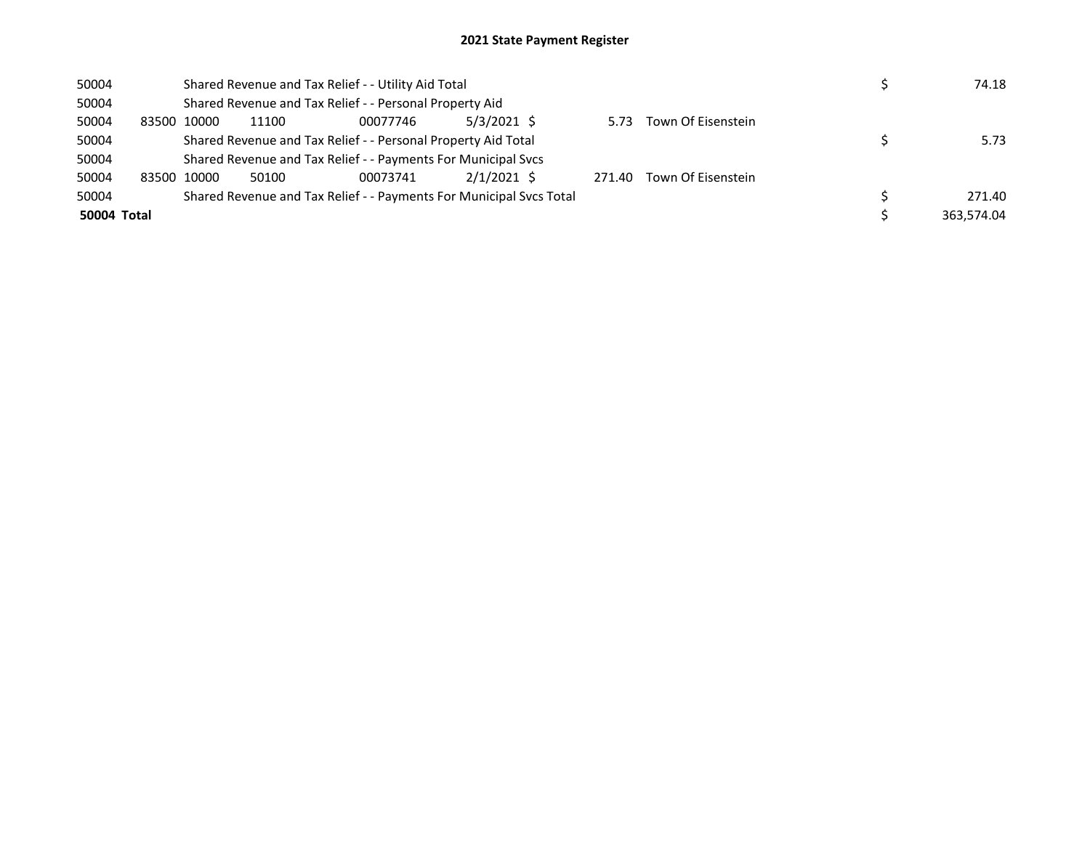| 50004       |       |             |       | Shared Revenue and Tax Relief - - Utility Aid Total                 |               |        |                    | 74.18      |
|-------------|-------|-------------|-------|---------------------------------------------------------------------|---------------|--------|--------------------|------------|
| 50004       |       |             |       | Shared Revenue and Tax Relief - - Personal Property Aid             |               |        |                    |            |
| 50004       | 83500 | 10000       | 11100 | 00077746                                                            | 5/3/2021 \$   | 5.73   | Town Of Eisenstein |            |
| 50004       |       |             |       | Shared Revenue and Tax Relief - - Personal Property Aid Total       |               |        |                    | 5.73       |
| 50004       |       |             |       | Shared Revenue and Tax Relief - - Payments For Municipal Svcs       |               |        |                    |            |
| 50004       |       | 83500 10000 | 50100 | 00073741                                                            | $2/1/2021$ \$ | 271.40 | Town Of Eisenstein |            |
| 50004       |       |             |       | Shared Revenue and Tax Relief - - Payments For Municipal Svcs Total |               |        |                    | 271.40     |
| 50004 Total |       |             |       |                                                                     |               |        |                    | 363.574.04 |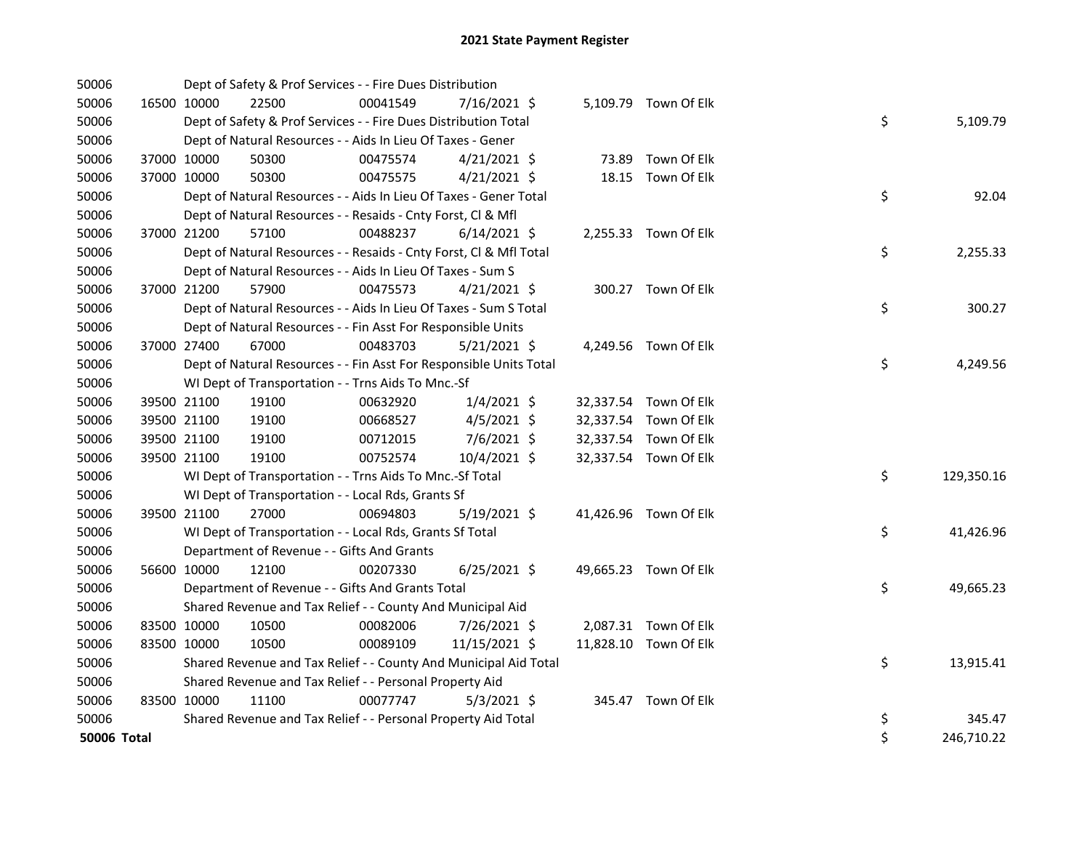| 50006       |             |             | Dept of Safety & Prof Services - - Fire Dues Distribution          |          |                |  |                       |    |            |
|-------------|-------------|-------------|--------------------------------------------------------------------|----------|----------------|--|-----------------------|----|------------|
| 50006       | 16500 10000 |             | 22500                                                              | 00041549 | 7/16/2021 \$   |  | 5,109.79 Town Of Elk  |    |            |
| 50006       |             |             | Dept of Safety & Prof Services - - Fire Dues Distribution Total    |          |                |  |                       | \$ | 5,109.79   |
| 50006       |             |             | Dept of Natural Resources - - Aids In Lieu Of Taxes - Gener        |          |                |  |                       |    |            |
| 50006       |             | 37000 10000 | 50300                                                              | 00475574 | $4/21/2021$ \$ |  | 73.89 Town Of Elk     |    |            |
| 50006       | 37000 10000 |             | 50300                                                              | 00475575 | $4/21/2021$ \$ |  | 18.15 Town Of Elk     |    |            |
| 50006       |             |             | Dept of Natural Resources - - Aids In Lieu Of Taxes - Gener Total  |          |                |  |                       | \$ | 92.04      |
| 50006       |             |             | Dept of Natural Resources - - Resaids - Cnty Forst, Cl & Mfl       |          |                |  |                       |    |            |
| 50006       |             | 37000 21200 | 57100                                                              | 00488237 | $6/14/2021$ \$ |  | 2,255.33 Town Of Elk  |    |            |
| 50006       |             |             | Dept of Natural Resources - - Resaids - Cnty Forst, Cl & Mfl Total |          |                |  |                       | \$ | 2,255.33   |
| 50006       |             |             | Dept of Natural Resources - - Aids In Lieu Of Taxes - Sum S        |          |                |  |                       |    |            |
| 50006       |             | 37000 21200 | 57900                                                              | 00475573 | $4/21/2021$ \$ |  | 300.27 Town Of Elk    |    |            |
| 50006       |             |             | Dept of Natural Resources - - Aids In Lieu Of Taxes - Sum S Total  |          |                |  |                       | \$ | 300.27     |
| 50006       |             |             | Dept of Natural Resources - - Fin Asst For Responsible Units       |          |                |  |                       |    |            |
| 50006       |             | 37000 27400 | 67000                                                              | 00483703 | $5/21/2021$ \$ |  | 4,249.56 Town Of Elk  |    |            |
| 50006       |             |             | Dept of Natural Resources - - Fin Asst For Responsible Units Total |          |                |  |                       | \$ | 4,249.56   |
| 50006       |             |             | WI Dept of Transportation - - Trns Aids To Mnc.-Sf                 |          |                |  |                       |    |            |
| 50006       |             | 39500 21100 | 19100                                                              | 00632920 | $1/4/2021$ \$  |  | 32,337.54 Town Of Elk |    |            |
| 50006       |             | 39500 21100 | 19100                                                              | 00668527 | $4/5/2021$ \$  |  | 32,337.54 Town Of Elk |    |            |
| 50006       |             | 39500 21100 | 19100                                                              | 00712015 | 7/6/2021 \$    |  | 32,337.54 Town Of Elk |    |            |
| 50006       |             | 39500 21100 | 19100                                                              | 00752574 | 10/4/2021 \$   |  | 32,337.54 Town Of Elk |    |            |
| 50006       |             |             | WI Dept of Transportation - - Trns Aids To Mnc.-Sf Total           |          |                |  |                       | \$ | 129,350.16 |
| 50006       |             |             | WI Dept of Transportation - - Local Rds, Grants Sf                 |          |                |  |                       |    |            |
| 50006       |             | 39500 21100 | 27000                                                              | 00694803 | $5/19/2021$ \$ |  | 41,426.96 Town Of Elk |    |            |
| 50006       |             |             | WI Dept of Transportation - - Local Rds, Grants Sf Total           |          |                |  |                       | \$ | 41,426.96  |
| 50006       |             |             | Department of Revenue - - Gifts And Grants                         |          |                |  |                       |    |            |
| 50006       |             | 56600 10000 | 12100                                                              | 00207330 | $6/25/2021$ \$ |  | 49,665.23 Town Of Elk |    |            |
| 50006       |             |             | Department of Revenue - - Gifts And Grants Total                   |          |                |  |                       | \$ | 49,665.23  |
| 50006       |             |             | Shared Revenue and Tax Relief - - County And Municipal Aid         |          |                |  |                       |    |            |
| 50006       | 83500 10000 |             | 10500                                                              | 00082006 | 7/26/2021 \$   |  | 2,087.31 Town Of Elk  |    |            |
| 50006       | 83500 10000 |             | 10500                                                              | 00089109 | 11/15/2021 \$  |  | 11,828.10 Town Of Elk |    |            |
| 50006       |             |             | Shared Revenue and Tax Relief - - County And Municipal Aid Total   |          |                |  |                       | \$ | 13,915.41  |
| 50006       |             |             | Shared Revenue and Tax Relief - - Personal Property Aid            |          |                |  |                       |    |            |
| 50006       | 83500 10000 |             | 11100                                                              | 00077747 | $5/3/2021$ \$  |  | 345.47 Town Of Elk    |    |            |
| 50006       |             |             | Shared Revenue and Tax Relief - - Personal Property Aid Total      |          |                |  |                       | \$ | 345.47     |
| 50006 Total |             |             |                                                                    |          |                |  |                       | \$ | 246,710.22 |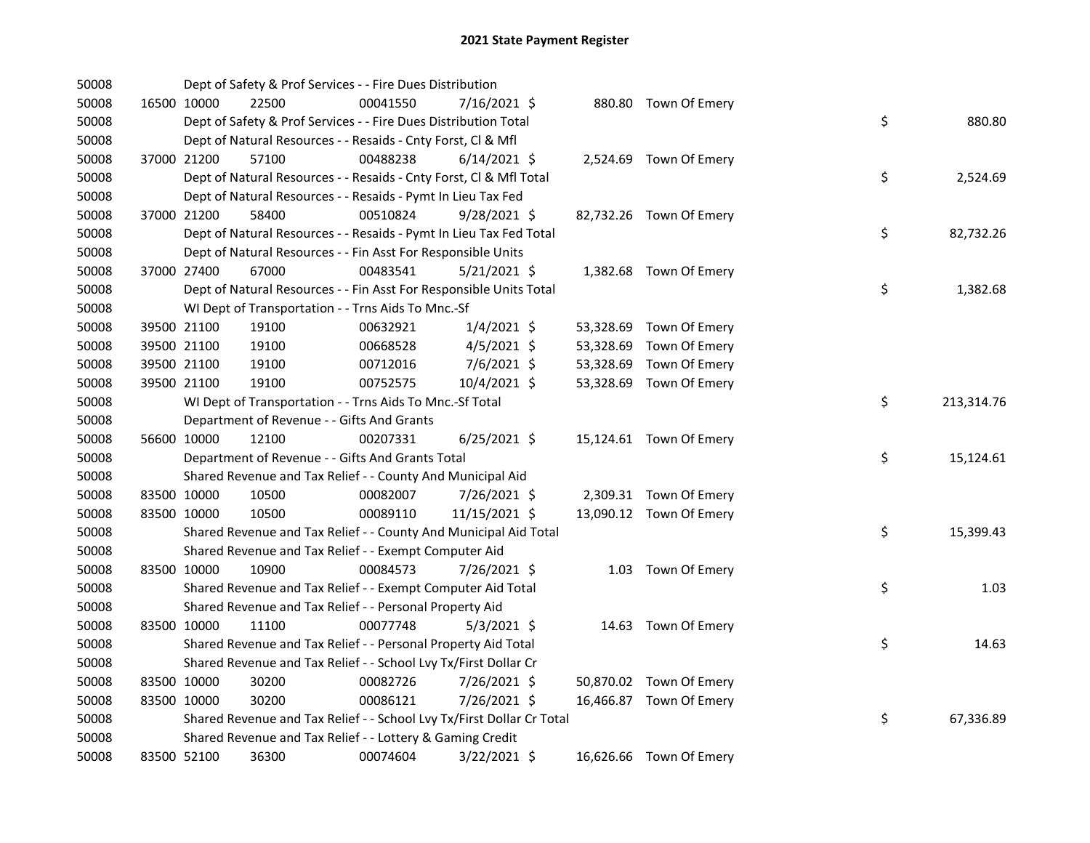| 50008 |             |             | Dept of Safety & Prof Services - - Fire Dues Distribution             |          |                |  |                         |    |            |
|-------|-------------|-------------|-----------------------------------------------------------------------|----------|----------------|--|-------------------------|----|------------|
| 50008 |             | 16500 10000 | 22500                                                                 | 00041550 | 7/16/2021 \$   |  | 880.80 Town Of Emery    |    |            |
| 50008 |             |             | Dept of Safety & Prof Services - - Fire Dues Distribution Total       |          |                |  |                         | \$ | 880.80     |
| 50008 |             |             | Dept of Natural Resources - - Resaids - Cnty Forst, Cl & Mfl          |          |                |  |                         |    |            |
| 50008 |             | 37000 21200 | 57100                                                                 | 00488238 | $6/14/2021$ \$ |  | 2,524.69 Town Of Emery  |    |            |
| 50008 |             |             | Dept of Natural Resources - - Resaids - Cnty Forst, Cl & Mfl Total    |          |                |  |                         | \$ | 2,524.69   |
| 50008 |             |             | Dept of Natural Resources - - Resaids - Pymt In Lieu Tax Fed          |          |                |  |                         |    |            |
| 50008 |             | 37000 21200 | 58400                                                                 | 00510824 | $9/28/2021$ \$ |  | 82,732.26 Town Of Emery |    |            |
| 50008 |             |             | Dept of Natural Resources - - Resaids - Pymt In Lieu Tax Fed Total    |          |                |  |                         | \$ | 82,732.26  |
| 50008 |             |             | Dept of Natural Resources - - Fin Asst For Responsible Units          |          |                |  |                         |    |            |
| 50008 |             | 37000 27400 | 67000                                                                 | 00483541 | $5/21/2021$ \$ |  | 1,382.68 Town Of Emery  |    |            |
| 50008 |             |             | Dept of Natural Resources - - Fin Asst For Responsible Units Total    |          |                |  |                         | \$ | 1,382.68   |
| 50008 |             |             | WI Dept of Transportation - - Trns Aids To Mnc.-Sf                    |          |                |  |                         |    |            |
| 50008 |             | 39500 21100 | 19100                                                                 | 00632921 | $1/4/2021$ \$  |  | 53,328.69 Town Of Emery |    |            |
| 50008 |             | 39500 21100 | 19100                                                                 | 00668528 | $4/5/2021$ \$  |  | 53,328.69 Town Of Emery |    |            |
| 50008 |             | 39500 21100 | 19100                                                                 | 00712016 | 7/6/2021 \$    |  | 53,328.69 Town Of Emery |    |            |
| 50008 |             | 39500 21100 | 19100                                                                 | 00752575 | 10/4/2021 \$   |  | 53,328.69 Town Of Emery |    |            |
| 50008 |             |             | WI Dept of Transportation - - Trns Aids To Mnc.-Sf Total              |          |                |  |                         | \$ | 213,314.76 |
| 50008 |             |             | Department of Revenue - - Gifts And Grants                            |          |                |  |                         |    |            |
| 50008 |             | 56600 10000 | 12100                                                                 | 00207331 | $6/25/2021$ \$ |  | 15,124.61 Town Of Emery |    |            |
| 50008 |             |             | Department of Revenue - - Gifts And Grants Total                      |          |                |  |                         | \$ | 15,124.61  |
| 50008 |             |             | Shared Revenue and Tax Relief - - County And Municipal Aid            |          |                |  |                         |    |            |
| 50008 |             | 83500 10000 | 10500                                                                 | 00082007 | 7/26/2021 \$   |  | 2,309.31 Town Of Emery  |    |            |
| 50008 |             | 83500 10000 | 10500                                                                 | 00089110 | 11/15/2021 \$  |  | 13,090.12 Town Of Emery |    |            |
| 50008 |             |             | Shared Revenue and Tax Relief - - County And Municipal Aid Total      |          |                |  |                         | \$ | 15,399.43  |
| 50008 |             |             | Shared Revenue and Tax Relief - - Exempt Computer Aid                 |          |                |  |                         |    |            |
| 50008 |             | 83500 10000 | 10900                                                                 | 00084573 | 7/26/2021 \$   |  | 1.03 Town Of Emery      |    |            |
| 50008 |             |             | Shared Revenue and Tax Relief - - Exempt Computer Aid Total           |          |                |  |                         | \$ | 1.03       |
| 50008 |             |             | Shared Revenue and Tax Relief - - Personal Property Aid               |          |                |  |                         |    |            |
| 50008 | 83500 10000 |             | 11100                                                                 | 00077748 | $5/3/2021$ \$  |  | 14.63 Town Of Emery     |    |            |
| 50008 |             |             | Shared Revenue and Tax Relief - - Personal Property Aid Total         |          |                |  |                         | \$ | 14.63      |
| 50008 |             |             | Shared Revenue and Tax Relief - - School Lvy Tx/First Dollar Cr       |          |                |  |                         |    |            |
| 50008 | 83500 10000 |             | 30200                                                                 | 00082726 | 7/26/2021 \$   |  | 50,870.02 Town Of Emery |    |            |
| 50008 | 83500 10000 |             | 30200                                                                 | 00086121 | 7/26/2021 \$   |  | 16,466.87 Town Of Emery |    |            |
| 50008 |             |             | Shared Revenue and Tax Relief - - School Lvy Tx/First Dollar Cr Total |          |                |  |                         | \$ | 67,336.89  |
| 50008 |             |             | Shared Revenue and Tax Relief - - Lottery & Gaming Credit             |          |                |  |                         |    |            |
| 50008 |             | 83500 52100 | 36300                                                                 | 00074604 | 3/22/2021 \$   |  | 16,626.66 Town Of Emery |    |            |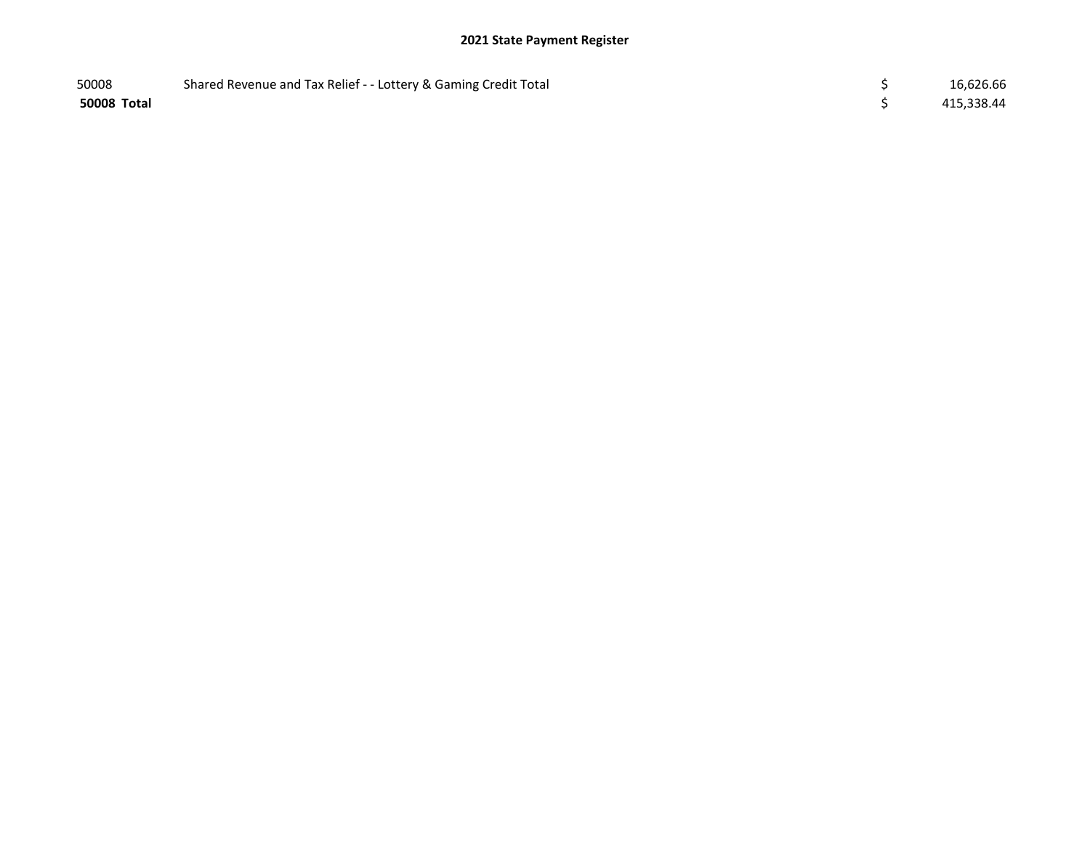| 50008       | Shared Revenue and Tax Relief - - Lottery & Gaming Credit Total | 16,626.66  |
|-------------|-----------------------------------------------------------------|------------|
| 50008 Total |                                                                 | 415,338.44 |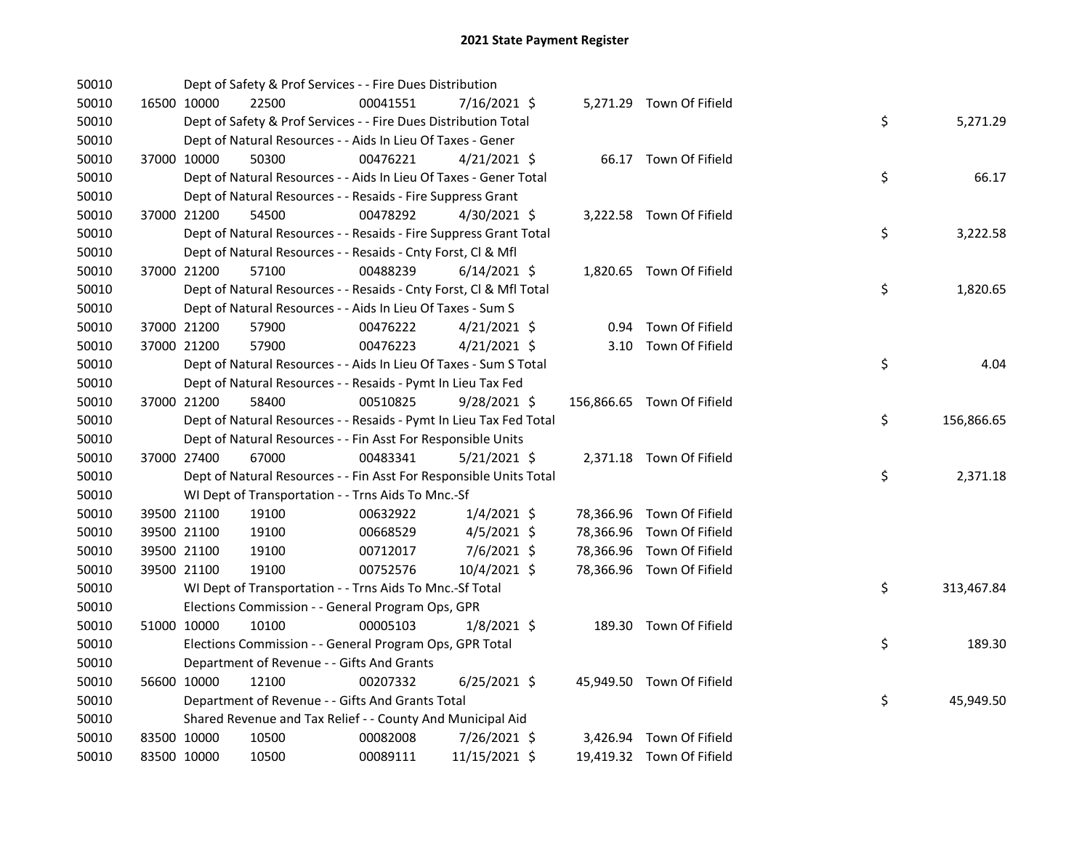| 50010 |             | Dept of Safety & Prof Services - - Fire Dues Distribution          |          |                |  |                            |    |            |
|-------|-------------|--------------------------------------------------------------------|----------|----------------|--|----------------------------|----|------------|
| 50010 | 16500 10000 | 22500                                                              | 00041551 | 7/16/2021 \$   |  | 5,271.29 Town Of Fifield   |    |            |
| 50010 |             | Dept of Safety & Prof Services - - Fire Dues Distribution Total    |          |                |  |                            | \$ | 5,271.29   |
| 50010 |             | Dept of Natural Resources - - Aids In Lieu Of Taxes - Gener        |          |                |  |                            |    |            |
| 50010 | 37000 10000 | 50300                                                              | 00476221 | $4/21/2021$ \$ |  | 66.17 Town Of Fifield      |    |            |
| 50010 |             | Dept of Natural Resources - - Aids In Lieu Of Taxes - Gener Total  |          |                |  |                            | \$ | 66.17      |
| 50010 |             | Dept of Natural Resources - - Resaids - Fire Suppress Grant        |          |                |  |                            |    |            |
| 50010 | 37000 21200 | 54500                                                              | 00478292 | 4/30/2021 \$   |  | 3,222.58 Town Of Fifield   |    |            |
| 50010 |             | Dept of Natural Resources - - Resaids - Fire Suppress Grant Total  |          |                |  |                            | \$ | 3,222.58   |
| 50010 |             | Dept of Natural Resources - - Resaids - Cnty Forst, Cl & Mfl       |          |                |  |                            |    |            |
| 50010 | 37000 21200 | 57100                                                              | 00488239 | $6/14/2021$ \$ |  | 1,820.65 Town Of Fifield   |    |            |
| 50010 |             | Dept of Natural Resources - - Resaids - Cnty Forst, Cl & Mfl Total |          |                |  |                            | \$ | 1,820.65   |
| 50010 |             | Dept of Natural Resources - - Aids In Lieu Of Taxes - Sum S        |          |                |  |                            |    |            |
| 50010 | 37000 21200 | 57900                                                              | 00476222 | $4/21/2021$ \$ |  | 0.94 Town Of Fifield       |    |            |
| 50010 | 37000 21200 | 57900                                                              | 00476223 | $4/21/2021$ \$ |  | 3.10 Town Of Fifield       |    |            |
| 50010 |             | Dept of Natural Resources - - Aids In Lieu Of Taxes - Sum S Total  |          |                |  |                            | \$ | 4.04       |
| 50010 |             | Dept of Natural Resources - - Resaids - Pymt In Lieu Tax Fed       |          |                |  |                            |    |            |
| 50010 | 37000 21200 | 58400                                                              | 00510825 | $9/28/2021$ \$ |  | 156,866.65 Town Of Fifield |    |            |
| 50010 |             | Dept of Natural Resources - - Resaids - Pymt In Lieu Tax Fed Total |          |                |  |                            | \$ | 156,866.65 |
| 50010 |             | Dept of Natural Resources - - Fin Asst For Responsible Units       |          |                |  |                            |    |            |
| 50010 | 37000 27400 | 67000                                                              | 00483341 | $5/21/2021$ \$ |  | 2,371.18 Town Of Fifield   |    |            |
| 50010 |             | Dept of Natural Resources - - Fin Asst For Responsible Units Total |          |                |  |                            | \$ | 2,371.18   |
| 50010 |             | WI Dept of Transportation - - Trns Aids To Mnc.-Sf                 |          |                |  |                            |    |            |
| 50010 | 39500 21100 | 19100                                                              | 00632922 | $1/4/2021$ \$  |  | 78,366.96 Town Of Fifield  |    |            |
| 50010 | 39500 21100 | 19100                                                              | 00668529 | $4/5/2021$ \$  |  | 78,366.96 Town Of Fifield  |    |            |
| 50010 | 39500 21100 | 19100                                                              | 00712017 | 7/6/2021 \$    |  | 78,366.96 Town Of Fifield  |    |            |
| 50010 | 39500 21100 | 19100                                                              | 00752576 | 10/4/2021 \$   |  | 78,366.96 Town Of Fifield  |    |            |
| 50010 |             | WI Dept of Transportation - - Trns Aids To Mnc.-Sf Total           |          |                |  |                            | \$ | 313,467.84 |
| 50010 |             | Elections Commission - - General Program Ops, GPR                  |          |                |  |                            |    |            |
| 50010 | 51000 10000 | 10100                                                              | 00005103 | $1/8/2021$ \$  |  | 189.30 Town Of Fifield     |    |            |
| 50010 |             | Elections Commission - - General Program Ops, GPR Total            |          |                |  |                            | \$ | 189.30     |
| 50010 |             | Department of Revenue - - Gifts And Grants                         |          |                |  |                            |    |            |
| 50010 | 56600 10000 | 12100                                                              | 00207332 | $6/25/2021$ \$ |  | 45,949.50 Town Of Fifield  |    |            |
| 50010 |             | Department of Revenue - - Gifts And Grants Total                   |          |                |  |                            | \$ | 45,949.50  |
| 50010 |             | Shared Revenue and Tax Relief - - County And Municipal Aid         |          |                |  |                            |    |            |
| 50010 | 83500 10000 | 10500                                                              | 00082008 | 7/26/2021 \$   |  | 3,426.94 Town Of Fifield   |    |            |
| 50010 | 83500 10000 | 10500                                                              | 00089111 | 11/15/2021 \$  |  | 19,419.32 Town Of Fifield  |    |            |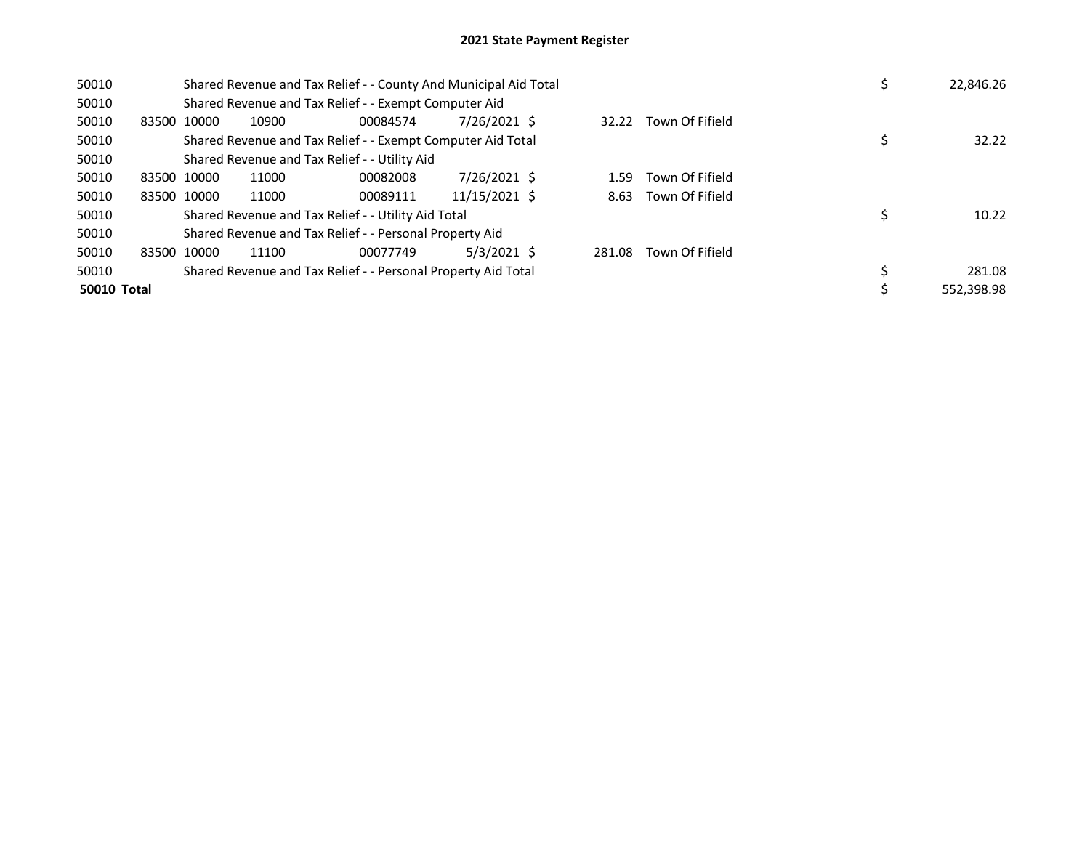| 50010       |             |             | Shared Revenue and Tax Relief - - County And Municipal Aid Total |          | 22,846.26     |        |                      |  |            |
|-------------|-------------|-------------|------------------------------------------------------------------|----------|---------------|--------|----------------------|--|------------|
| 50010       |             |             | Shared Revenue and Tax Relief - - Exempt Computer Aid            |          |               |        |                      |  |            |
| 50010       |             | 83500 10000 | 10900                                                            | 00084574 | 7/26/2021 \$  | 32.22  | Town Of Fifield      |  |            |
| 50010       |             |             | Shared Revenue and Tax Relief - - Exempt Computer Aid Total      |          |               |        |                      |  | 32.22      |
| 50010       |             |             | Shared Revenue and Tax Relief - - Utility Aid                    |          |               |        |                      |  |            |
| 50010       |             | 83500 10000 | 11000                                                            | 00082008 | 7/26/2021 \$  | 1.59   | Town Of Fifield      |  |            |
| 50010       |             | 83500 10000 | 11000                                                            | 00089111 | 11/15/2021 \$ |        | 8.63 Town Of Fifield |  |            |
| 50010       |             |             | Shared Revenue and Tax Relief - - Utility Aid Total              |          |               |        |                      |  | 10.22      |
| 50010       |             |             | Shared Revenue and Tax Relief - - Personal Property Aid          |          |               |        |                      |  |            |
| 50010       | 83500 10000 |             | 11100                                                            | 00077749 | $5/3/2021$ \$ | 281.08 | Town Of Fifield      |  |            |
| 50010       |             |             | Shared Revenue and Tax Relief - - Personal Property Aid Total    |          |               |        |                      |  | 281.08     |
| 50010 Total |             |             |                                                                  |          |               |        |                      |  | 552.398.98 |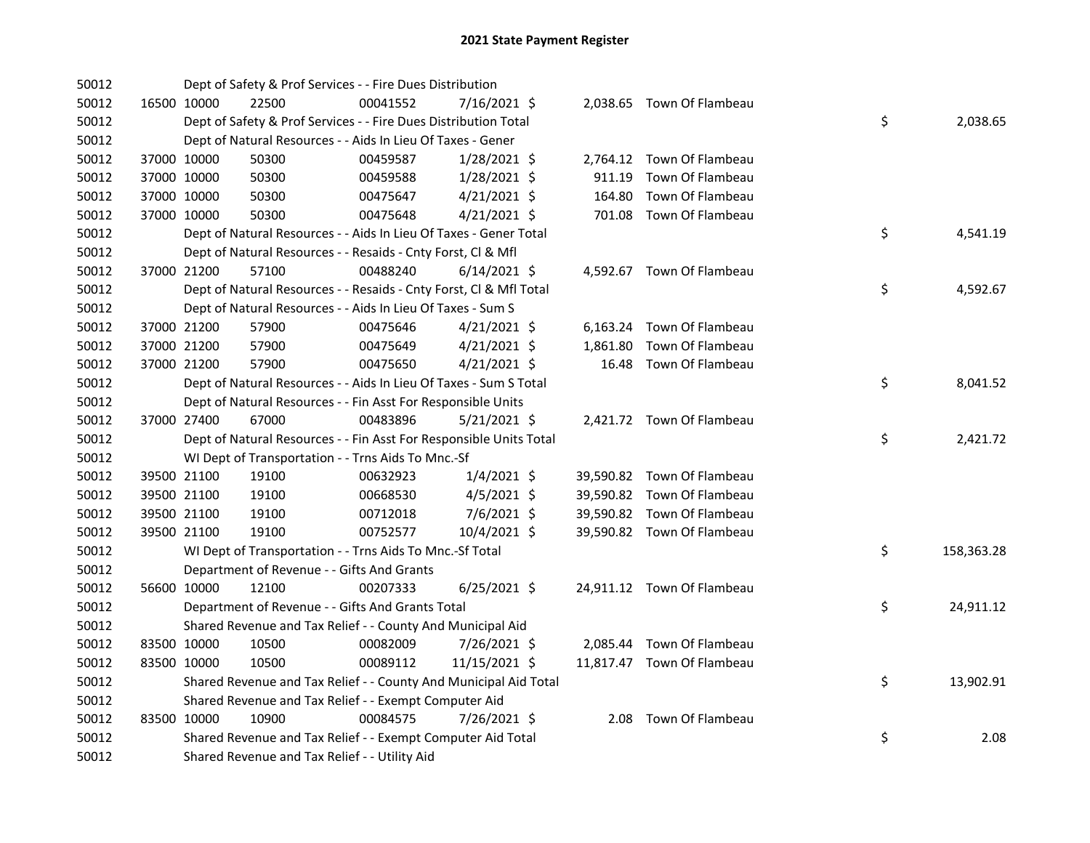| 50012 |             | Dept of Safety & Prof Services - - Fire Dues Distribution          |          |                |        |                            |    |            |
|-------|-------------|--------------------------------------------------------------------|----------|----------------|--------|----------------------------|----|------------|
| 50012 | 16500 10000 | 22500                                                              | 00041552 | 7/16/2021 \$   |        | 2,038.65 Town Of Flambeau  |    |            |
| 50012 |             | Dept of Safety & Prof Services - - Fire Dues Distribution Total    |          |                |        |                            | \$ | 2,038.65   |
| 50012 |             | Dept of Natural Resources - - Aids In Lieu Of Taxes - Gener        |          |                |        |                            |    |            |
| 50012 | 37000 10000 | 50300                                                              | 00459587 | 1/28/2021 \$   |        | 2,764.12 Town Of Flambeau  |    |            |
| 50012 | 37000 10000 | 50300                                                              | 00459588 | 1/28/2021 \$   |        | 911.19 Town Of Flambeau    |    |            |
| 50012 | 37000 10000 | 50300                                                              | 00475647 | $4/21/2021$ \$ | 164.80 | Town Of Flambeau           |    |            |
| 50012 | 37000 10000 | 50300                                                              | 00475648 | $4/21/2021$ \$ |        | 701.08 Town Of Flambeau    |    |            |
| 50012 |             | Dept of Natural Resources - - Aids In Lieu Of Taxes - Gener Total  |          |                |        |                            | \$ | 4,541.19   |
| 50012 |             | Dept of Natural Resources - - Resaids - Cnty Forst, Cl & Mfl       |          |                |        |                            |    |            |
| 50012 | 37000 21200 | 57100                                                              | 00488240 | $6/14/2021$ \$ |        | 4,592.67 Town Of Flambeau  |    |            |
| 50012 |             | Dept of Natural Resources - - Resaids - Cnty Forst, CI & Mfl Total |          |                |        |                            | \$ | 4,592.67   |
| 50012 |             | Dept of Natural Resources - - Aids In Lieu Of Taxes - Sum S        |          |                |        |                            |    |            |
| 50012 | 37000 21200 | 57900                                                              | 00475646 | $4/21/2021$ \$ |        | 6,163.24 Town Of Flambeau  |    |            |
| 50012 | 37000 21200 | 57900                                                              | 00475649 | $4/21/2021$ \$ |        | 1,861.80 Town Of Flambeau  |    |            |
| 50012 | 37000 21200 | 57900                                                              | 00475650 | $4/21/2021$ \$ |        | 16.48 Town Of Flambeau     |    |            |
| 50012 |             | Dept of Natural Resources - - Aids In Lieu Of Taxes - Sum S Total  |          |                |        |                            | \$ | 8,041.52   |
| 50012 |             | Dept of Natural Resources - - Fin Asst For Responsible Units       |          |                |        |                            |    |            |
| 50012 | 37000 27400 | 67000                                                              | 00483896 | $5/21/2021$ \$ |        | 2,421.72 Town Of Flambeau  |    |            |
| 50012 |             | Dept of Natural Resources - - Fin Asst For Responsible Units Total |          |                |        |                            | \$ | 2,421.72   |
| 50012 |             | WI Dept of Transportation - - Trns Aids To Mnc.-Sf                 |          |                |        |                            |    |            |
| 50012 | 39500 21100 | 19100                                                              | 00632923 | $1/4/2021$ \$  |        | 39,590.82 Town Of Flambeau |    |            |
| 50012 | 39500 21100 | 19100                                                              | 00668530 | 4/5/2021 \$    |        | 39,590.82 Town Of Flambeau |    |            |
| 50012 | 39500 21100 | 19100                                                              | 00712018 | 7/6/2021 \$    |        | 39,590.82 Town Of Flambeau |    |            |
| 50012 | 39500 21100 | 19100                                                              | 00752577 | 10/4/2021 \$   |        | 39,590.82 Town Of Flambeau |    |            |
| 50012 |             | WI Dept of Transportation - - Trns Aids To Mnc.-Sf Total           |          |                |        |                            | \$ | 158,363.28 |
| 50012 |             | Department of Revenue - - Gifts And Grants                         |          |                |        |                            |    |            |
| 50012 | 56600 10000 | 12100                                                              | 00207333 | $6/25/2021$ \$ |        | 24,911.12 Town Of Flambeau |    |            |
| 50012 |             | Department of Revenue - - Gifts And Grants Total                   |          |                |        |                            | \$ | 24,911.12  |
| 50012 |             | Shared Revenue and Tax Relief - - County And Municipal Aid         |          |                |        |                            |    |            |
| 50012 | 83500 10000 | 10500                                                              | 00082009 | 7/26/2021 \$   |        | 2,085.44 Town Of Flambeau  |    |            |
| 50012 | 83500 10000 | 10500                                                              | 00089112 | 11/15/2021 \$  |        | 11,817.47 Town Of Flambeau |    |            |
| 50012 |             | Shared Revenue and Tax Relief - - County And Municipal Aid Total   |          |                |        |                            | \$ | 13,902.91  |
| 50012 |             | Shared Revenue and Tax Relief - - Exempt Computer Aid              |          |                |        |                            |    |            |
| 50012 | 83500 10000 | 10900                                                              | 00084575 | 7/26/2021 \$   |        | 2.08 Town Of Flambeau      |    |            |
| 50012 |             | Shared Revenue and Tax Relief - - Exempt Computer Aid Total        |          |                |        |                            | \$ | 2.08       |
| 50012 |             | Shared Revenue and Tax Relief - - Utility Aid                      |          |                |        |                            |    |            |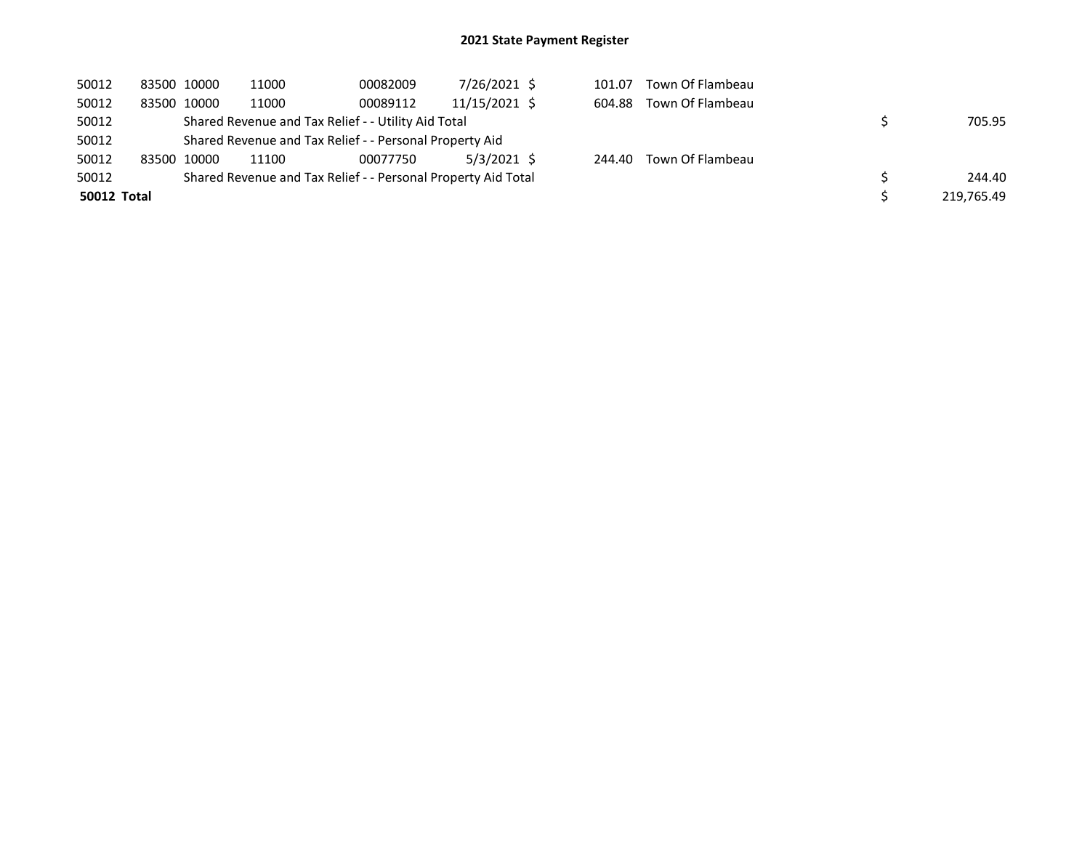| 50012       | 83500 10000 | 11000 | 00082009                                                      | 7/26/2021 \$    | 101.07 | Town Of Flambeau |            |
|-------------|-------------|-------|---------------------------------------------------------------|-----------------|--------|------------------|------------|
| 50012       | 83500 10000 | 11000 | 00089112                                                      | $11/15/2021$ \$ | 604.88 | Town Of Flambeau |            |
| 50012       |             |       | Shared Revenue and Tax Relief - - Utility Aid Total           |                 |        |                  | 705.95     |
| 50012       |             |       | Shared Revenue and Tax Relief - - Personal Property Aid       |                 |        |                  |            |
| 50012       | 83500 10000 | 11100 | 00077750                                                      | $5/3/2021$ \$   | 244.40 | Town Of Flambeau |            |
| 50012       |             |       | Shared Revenue and Tax Relief - - Personal Property Aid Total |                 |        |                  | 244.40     |
| 50012 Total |             |       |                                                               |                 |        |                  | 219,765.49 |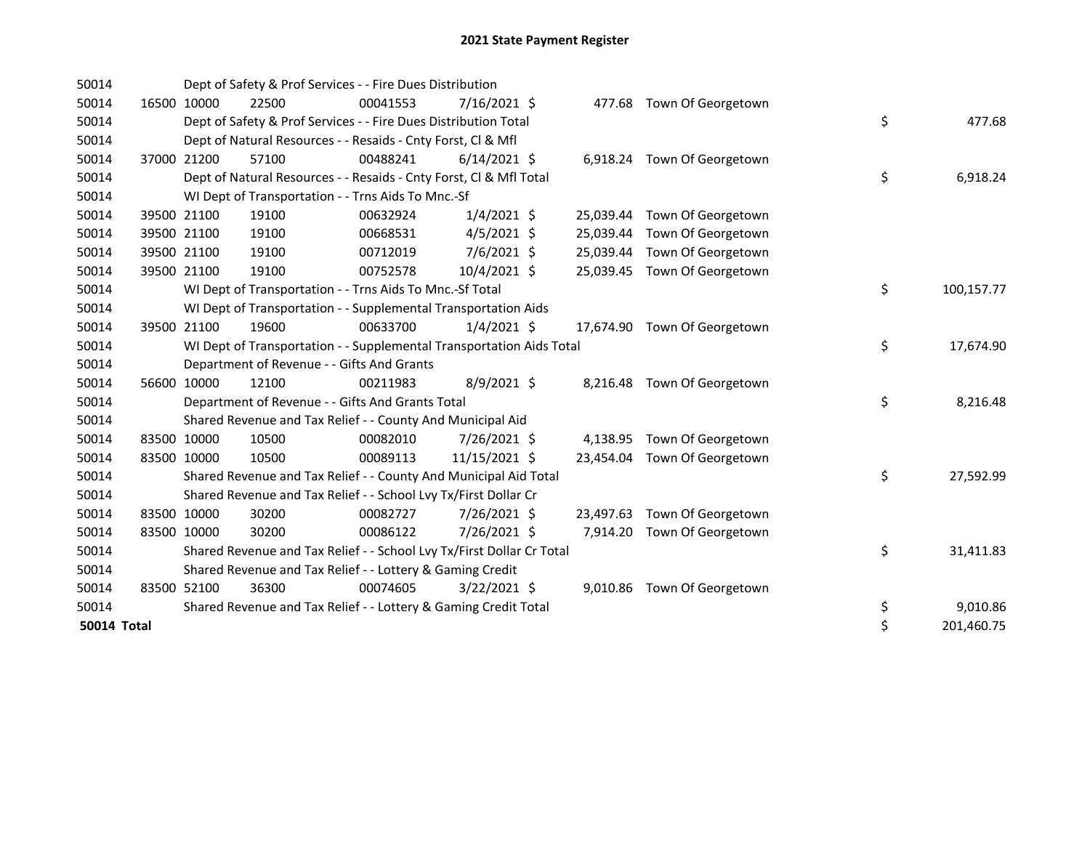| 50014              |             | Dept of Safety & Prof Services - - Fire Dues Distribution             |          |                |           |                              |                  |
|--------------------|-------------|-----------------------------------------------------------------------|----------|----------------|-----------|------------------------------|------------------|
| 50014              | 16500 10000 | 22500                                                                 | 00041553 | $7/16/2021$ \$ |           | 477.68 Town Of Georgetown    |                  |
| 50014              |             | Dept of Safety & Prof Services - - Fire Dues Distribution Total       |          |                |           |                              | \$<br>477.68     |
| 50014              |             | Dept of Natural Resources - - Resaids - Cnty Forst, Cl & Mfl          |          |                |           |                              |                  |
| 50014              | 37000 21200 | 57100                                                                 | 00488241 | $6/14/2021$ \$ |           | 6,918.24 Town Of Georgetown  |                  |
| 50014              |             | Dept of Natural Resources - - Resaids - Cnty Forst, Cl & Mfl Total    |          |                |           |                              | \$<br>6,918.24   |
| 50014              |             | WI Dept of Transportation - - Trns Aids To Mnc.-Sf                    |          |                |           |                              |                  |
| 50014              | 39500 21100 | 19100                                                                 | 00632924 | $1/4/2021$ \$  |           | 25,039.44 Town Of Georgetown |                  |
| 50014              | 39500 21100 | 19100                                                                 | 00668531 | $4/5/2021$ \$  | 25,039.44 | Town Of Georgetown           |                  |
| 50014              | 39500 21100 | 19100                                                                 | 00712019 | 7/6/2021 \$    |           | 25,039.44 Town Of Georgetown |                  |
| 50014              | 39500 21100 | 19100                                                                 | 00752578 | 10/4/2021 \$   |           | 25,039.45 Town Of Georgetown |                  |
| 50014              |             | WI Dept of Transportation - - Trns Aids To Mnc.-Sf Total              |          |                |           |                              | \$<br>100,157.77 |
| 50014              |             | WI Dept of Transportation - - Supplemental Transportation Aids        |          |                |           |                              |                  |
| 50014              | 39500 21100 | 19600                                                                 | 00633700 | $1/4/2021$ \$  |           | 17,674.90 Town Of Georgetown |                  |
| 50014              |             | WI Dept of Transportation - - Supplemental Transportation Aids Total  |          |                |           |                              | \$<br>17,674.90  |
| 50014              |             | Department of Revenue - - Gifts And Grants                            |          |                |           |                              |                  |
| 50014              | 56600 10000 | 12100                                                                 | 00211983 | 8/9/2021 \$    |           | 8,216.48 Town Of Georgetown  |                  |
| 50014              |             | Department of Revenue - - Gifts And Grants Total                      |          |                |           |                              | \$<br>8,216.48   |
| 50014              |             | Shared Revenue and Tax Relief - - County And Municipal Aid            |          |                |           |                              |                  |
| 50014              | 83500 10000 | 10500                                                                 | 00082010 | 7/26/2021 \$   |           | 4,138.95 Town Of Georgetown  |                  |
| 50014              | 83500 10000 | 10500                                                                 | 00089113 | 11/15/2021 \$  |           | 23,454.04 Town Of Georgetown |                  |
| 50014              |             | Shared Revenue and Tax Relief - - County And Municipal Aid Total      |          |                |           |                              | \$<br>27,592.99  |
| 50014              |             | Shared Revenue and Tax Relief - - School Lvy Tx/First Dollar Cr       |          |                |           |                              |                  |
| 50014              | 83500 10000 | 30200                                                                 | 00082727 | 7/26/2021 \$   |           | 23,497.63 Town Of Georgetown |                  |
| 50014              | 83500 10000 | 30200                                                                 | 00086122 | 7/26/2021 \$   | 7,914.20  | Town Of Georgetown           |                  |
| 50014              |             | Shared Revenue and Tax Relief - - School Lvy Tx/First Dollar Cr Total |          |                |           |                              | \$<br>31,411.83  |
| 50014              |             | Shared Revenue and Tax Relief - - Lottery & Gaming Credit             |          |                |           |                              |                  |
| 50014              | 83500 52100 | 36300                                                                 | 00074605 | $3/22/2021$ \$ |           | 9,010.86 Town Of Georgetown  |                  |
| 50014              |             | Shared Revenue and Tax Relief - - Lottery & Gaming Credit Total       |          |                |           |                              | \$<br>9,010.86   |
| <b>50014 Total</b> |             |                                                                       |          |                |           |                              | \$<br>201,460.75 |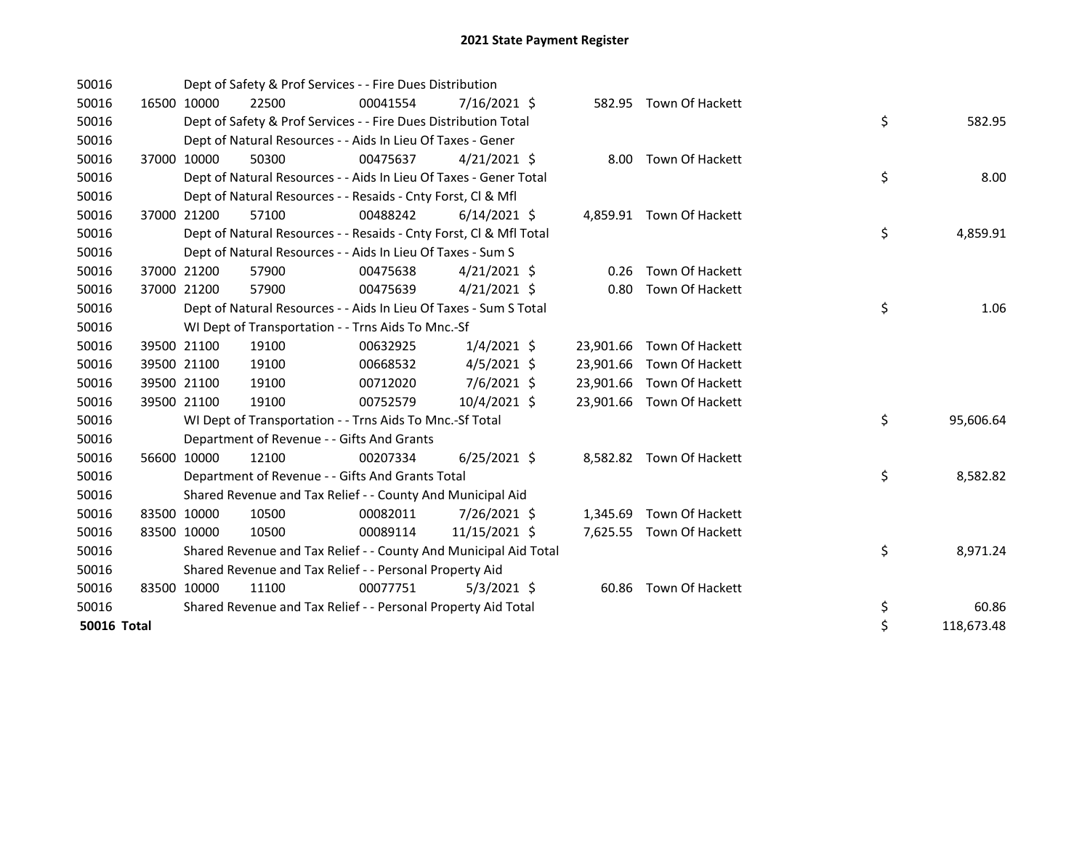| 50016       |       |             | Dept of Safety & Prof Services - - Fire Dues Distribution          |          |                |           |                           |    |            |
|-------------|-------|-------------|--------------------------------------------------------------------|----------|----------------|-----------|---------------------------|----|------------|
| 50016       |       | 16500 10000 | 22500                                                              | 00041554 | $7/16/2021$ \$ |           | 582.95 Town Of Hackett    |    |            |
| 50016       |       |             | Dept of Safety & Prof Services - - Fire Dues Distribution Total    |          |                |           |                           | \$ | 582.95     |
| 50016       |       |             | Dept of Natural Resources - - Aids In Lieu Of Taxes - Gener        |          |                |           |                           |    |            |
| 50016       |       | 37000 10000 | 50300                                                              | 00475637 | $4/21/2021$ \$ |           | 8.00 Town Of Hackett      |    |            |
| 50016       |       |             | Dept of Natural Resources - - Aids In Lieu Of Taxes - Gener Total  |          |                |           |                           | \$ | 8.00       |
| 50016       |       |             | Dept of Natural Resources - - Resaids - Cnty Forst, CI & Mfl       |          |                |           |                           |    |            |
| 50016       | 37000 | 21200       | 57100                                                              | 00488242 | $6/14/2021$ \$ |           | 4,859.91 Town Of Hackett  |    |            |
| 50016       |       |             | Dept of Natural Resources - - Resaids - Cnty Forst, Cl & Mfl Total |          |                |           |                           | \$ | 4,859.91   |
| 50016       |       |             | Dept of Natural Resources - - Aids In Lieu Of Taxes - Sum S        |          |                |           |                           |    |            |
| 50016       |       | 37000 21200 | 57900                                                              | 00475638 | $4/21/2021$ \$ | 0.26      | Town Of Hackett           |    |            |
| 50016       | 37000 | 21200       | 57900                                                              | 00475639 | $4/21/2021$ \$ | 0.80      | Town Of Hackett           |    |            |
| 50016       |       |             | Dept of Natural Resources - - Aids In Lieu Of Taxes - Sum S Total  |          |                |           |                           | \$ | 1.06       |
| 50016       |       |             | WI Dept of Transportation - - Trns Aids To Mnc.-Sf                 |          |                |           |                           |    |            |
| 50016       |       | 39500 21100 | 19100                                                              | 00632925 | $1/4/2021$ \$  | 23,901.66 | Town Of Hackett           |    |            |
| 50016       |       | 39500 21100 | 19100                                                              | 00668532 | $4/5/2021$ \$  |           | 23,901.66 Town Of Hackett |    |            |
| 50016       |       | 39500 21100 | 19100                                                              | 00712020 | $7/6/2021$ \$  |           | 23,901.66 Town Of Hackett |    |            |
| 50016       |       | 39500 21100 | 19100                                                              | 00752579 | 10/4/2021 \$   |           | 23,901.66 Town Of Hackett |    |            |
| 50016       |       |             | WI Dept of Transportation - - Trns Aids To Mnc.-Sf Total           |          |                |           |                           | \$ | 95,606.64  |
| 50016       |       |             | Department of Revenue - - Gifts And Grants                         |          |                |           |                           |    |            |
| 50016       |       | 56600 10000 | 12100                                                              | 00207334 | $6/25/2021$ \$ |           | 8,582.82 Town Of Hackett  |    |            |
| 50016       |       |             | Department of Revenue - - Gifts And Grants Total                   |          |                |           |                           | \$ | 8,582.82   |
| 50016       |       |             | Shared Revenue and Tax Relief - - County And Municipal Aid         |          |                |           |                           |    |            |
| 50016       |       | 83500 10000 | 10500                                                              | 00082011 | 7/26/2021 \$   | 1,345.69  | Town Of Hackett           |    |            |
| 50016       |       | 83500 10000 | 10500                                                              | 00089114 | 11/15/2021 \$  | 7,625.55  | Town Of Hackett           |    |            |
| 50016       |       |             | Shared Revenue and Tax Relief - - County And Municipal Aid Total   |          |                |           |                           | \$ | 8,971.24   |
| 50016       |       |             | Shared Revenue and Tax Relief - - Personal Property Aid            |          |                |           |                           |    |            |
| 50016       |       | 83500 10000 | 11100                                                              | 00077751 | $5/3/2021$ \$  | 60.86     | Town Of Hackett           |    |            |
| 50016       |       |             | Shared Revenue and Tax Relief - - Personal Property Aid Total      |          |                |           |                           | \$ | 60.86      |
| 50016 Total |       |             |                                                                    |          |                |           |                           | \$ | 118,673.48 |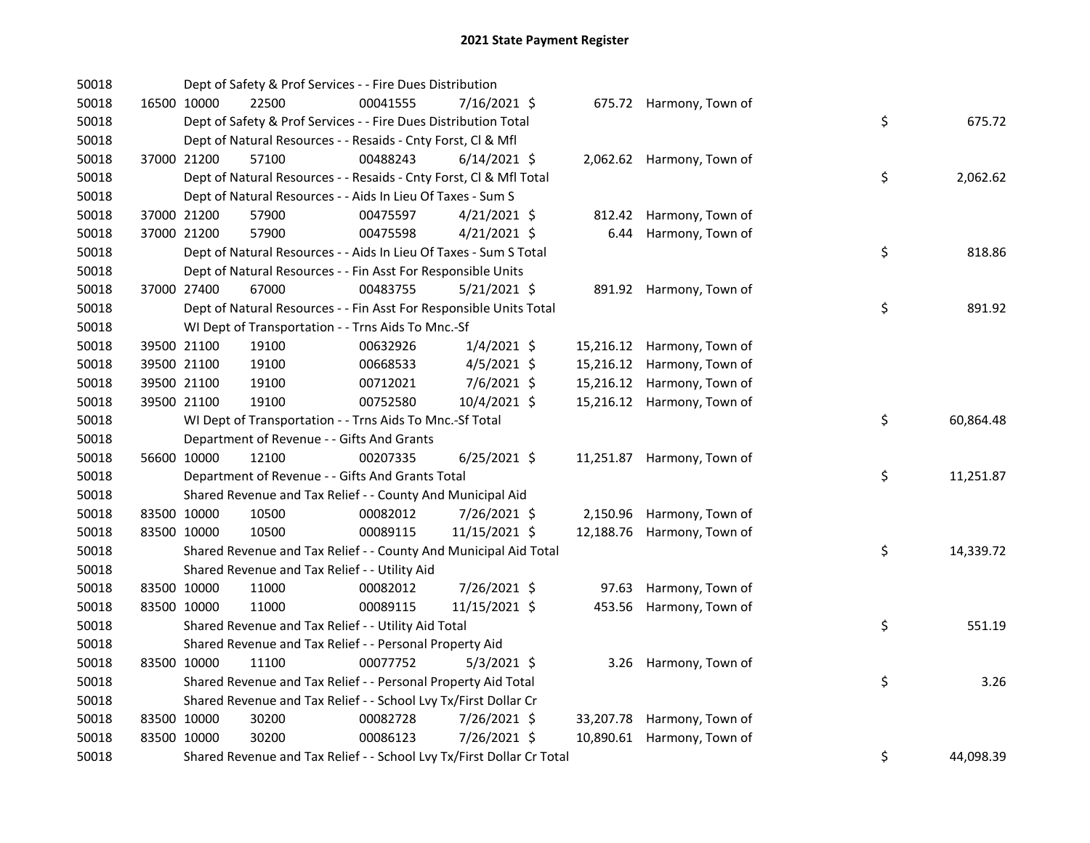| 50018 |             | Dept of Safety & Prof Services - - Fire Dues Distribution             |          |                |      |                            |    |           |
|-------|-------------|-----------------------------------------------------------------------|----------|----------------|------|----------------------------|----|-----------|
| 50018 | 16500 10000 | 22500                                                                 | 00041555 | 7/16/2021 \$   |      | 675.72 Harmony, Town of    |    |           |
| 50018 |             | Dept of Safety & Prof Services - - Fire Dues Distribution Total       |          |                |      |                            | \$ | 675.72    |
| 50018 |             | Dept of Natural Resources - - Resaids - Cnty Forst, Cl & Mfl          |          |                |      |                            |    |           |
| 50018 | 37000 21200 | 57100                                                                 | 00488243 | $6/14/2021$ \$ |      | 2,062.62 Harmony, Town of  |    |           |
| 50018 |             | Dept of Natural Resources - - Resaids - Cnty Forst, Cl & Mfl Total    |          |                |      |                            | \$ | 2,062.62  |
| 50018 |             | Dept of Natural Resources - - Aids In Lieu Of Taxes - Sum S           |          |                |      |                            |    |           |
| 50018 | 37000 21200 | 57900                                                                 | 00475597 | $4/21/2021$ \$ |      | 812.42 Harmony, Town of    |    |           |
| 50018 | 37000 21200 | 57900                                                                 | 00475598 | $4/21/2021$ \$ | 6.44 | Harmony, Town of           |    |           |
| 50018 |             | Dept of Natural Resources - - Aids In Lieu Of Taxes - Sum S Total     |          |                |      |                            | \$ | 818.86    |
| 50018 |             | Dept of Natural Resources - - Fin Asst For Responsible Units          |          |                |      |                            |    |           |
| 50018 | 37000 27400 | 67000                                                                 | 00483755 | 5/21/2021 \$   |      | 891.92 Harmony, Town of    |    |           |
| 50018 |             | Dept of Natural Resources - - Fin Asst For Responsible Units Total    |          |                |      |                            | \$ | 891.92    |
| 50018 |             | WI Dept of Transportation - - Trns Aids To Mnc.-Sf                    |          |                |      |                            |    |           |
| 50018 | 39500 21100 | 19100                                                                 | 00632926 | $1/4/2021$ \$  |      | 15,216.12 Harmony, Town of |    |           |
| 50018 | 39500 21100 | 19100                                                                 | 00668533 | $4/5/2021$ \$  |      | 15,216.12 Harmony, Town of |    |           |
| 50018 | 39500 21100 | 19100                                                                 | 00712021 | 7/6/2021 \$    |      | 15,216.12 Harmony, Town of |    |           |
| 50018 | 39500 21100 | 19100                                                                 | 00752580 | 10/4/2021 \$   |      | 15,216.12 Harmony, Town of |    |           |
| 50018 |             | WI Dept of Transportation - - Trns Aids To Mnc .- Sf Total            |          |                |      |                            | \$ | 60,864.48 |
| 50018 |             | Department of Revenue - - Gifts And Grants                            |          |                |      |                            |    |           |
| 50018 | 56600 10000 | 12100                                                                 | 00207335 | $6/25/2021$ \$ |      | 11,251.87 Harmony, Town of |    |           |
| 50018 |             | Department of Revenue - - Gifts And Grants Total                      |          |                |      |                            | \$ | 11,251.87 |
| 50018 |             | Shared Revenue and Tax Relief - - County And Municipal Aid            |          |                |      |                            |    |           |
| 50018 | 83500 10000 | 10500                                                                 | 00082012 | 7/26/2021 \$   |      | 2,150.96 Harmony, Town of  |    |           |
| 50018 | 83500 10000 | 10500                                                                 | 00089115 | 11/15/2021 \$  |      | 12,188.76 Harmony, Town of |    |           |
| 50018 |             | Shared Revenue and Tax Relief - - County And Municipal Aid Total      |          |                |      |                            | \$ | 14,339.72 |
| 50018 |             | Shared Revenue and Tax Relief - - Utility Aid                         |          |                |      |                            |    |           |
| 50018 | 83500 10000 | 11000                                                                 | 00082012 | 7/26/2021 \$   |      | 97.63 Harmony, Town of     |    |           |
| 50018 | 83500 10000 | 11000                                                                 | 00089115 | 11/15/2021 \$  |      | 453.56 Harmony, Town of    |    |           |
| 50018 |             | Shared Revenue and Tax Relief - - Utility Aid Total                   |          |                |      |                            | \$ | 551.19    |
| 50018 |             | Shared Revenue and Tax Relief - - Personal Property Aid               |          |                |      |                            |    |           |
| 50018 | 83500 10000 | 11100                                                                 | 00077752 | $5/3/2021$ \$  |      | 3.26 Harmony, Town of      |    |           |
| 50018 |             | Shared Revenue and Tax Relief - - Personal Property Aid Total         |          |                |      |                            | \$ | 3.26      |
| 50018 |             | Shared Revenue and Tax Relief - - School Lvy Tx/First Dollar Cr       |          |                |      |                            |    |           |
| 50018 | 83500 10000 | 30200                                                                 | 00082728 | 7/26/2021 \$   |      | 33,207.78 Harmony, Town of |    |           |
| 50018 | 83500 10000 | 30200                                                                 | 00086123 | 7/26/2021 \$   |      | 10,890.61 Harmony, Town of |    |           |
| 50018 |             | Shared Revenue and Tax Relief - - School Lvy Tx/First Dollar Cr Total |          |                |      |                            | \$ | 44,098.39 |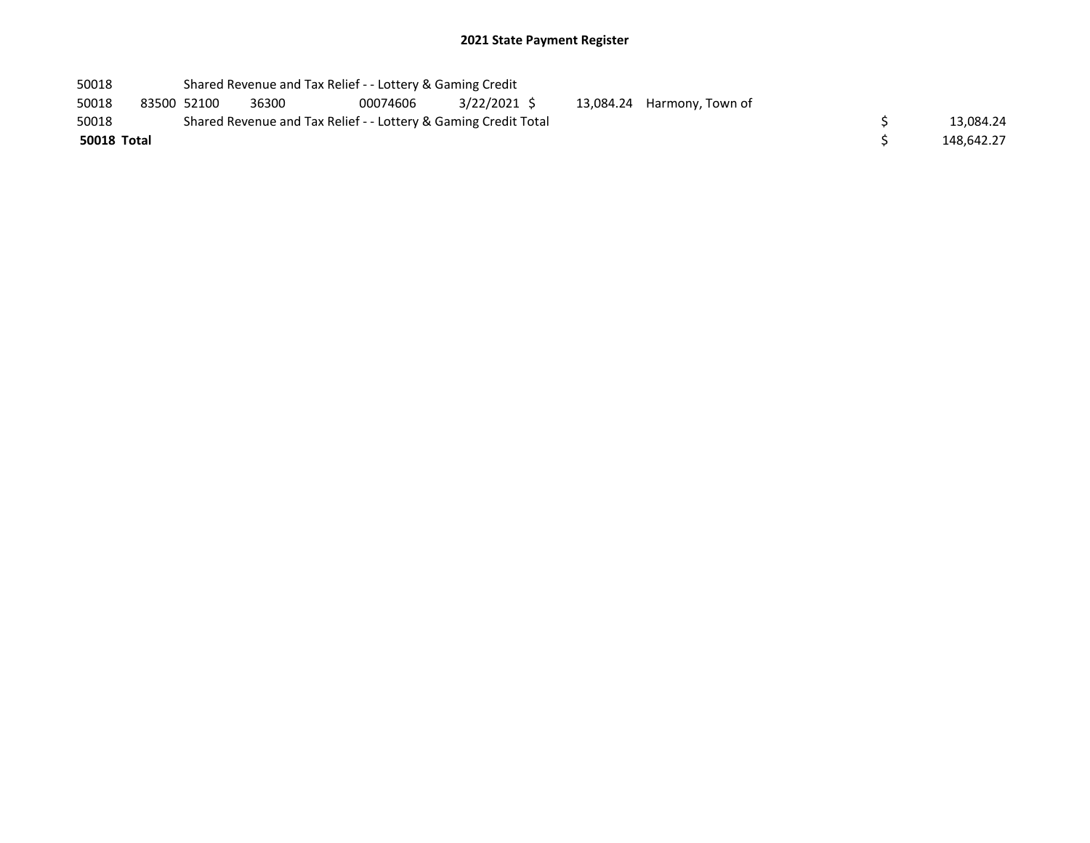| 50018       |             | Shared Revenue and Tax Relief - - Lottery & Gaming Credit       |          |             |  |                            |  |            |
|-------------|-------------|-----------------------------------------------------------------|----------|-------------|--|----------------------------|--|------------|
| 50018       | 83500 52100 | 36300                                                           | 00074606 | 3/22/2021 S |  | 13,084.24 Harmony, Town of |  |            |
| 50018       |             | Shared Revenue and Tax Relief - - Lottery & Gaming Credit Total |          | 13.084.24   |  |                            |  |            |
| 50018 Total |             |                                                                 |          |             |  |                            |  | 148.642.27 |
|             |             |                                                                 |          |             |  |                            |  |            |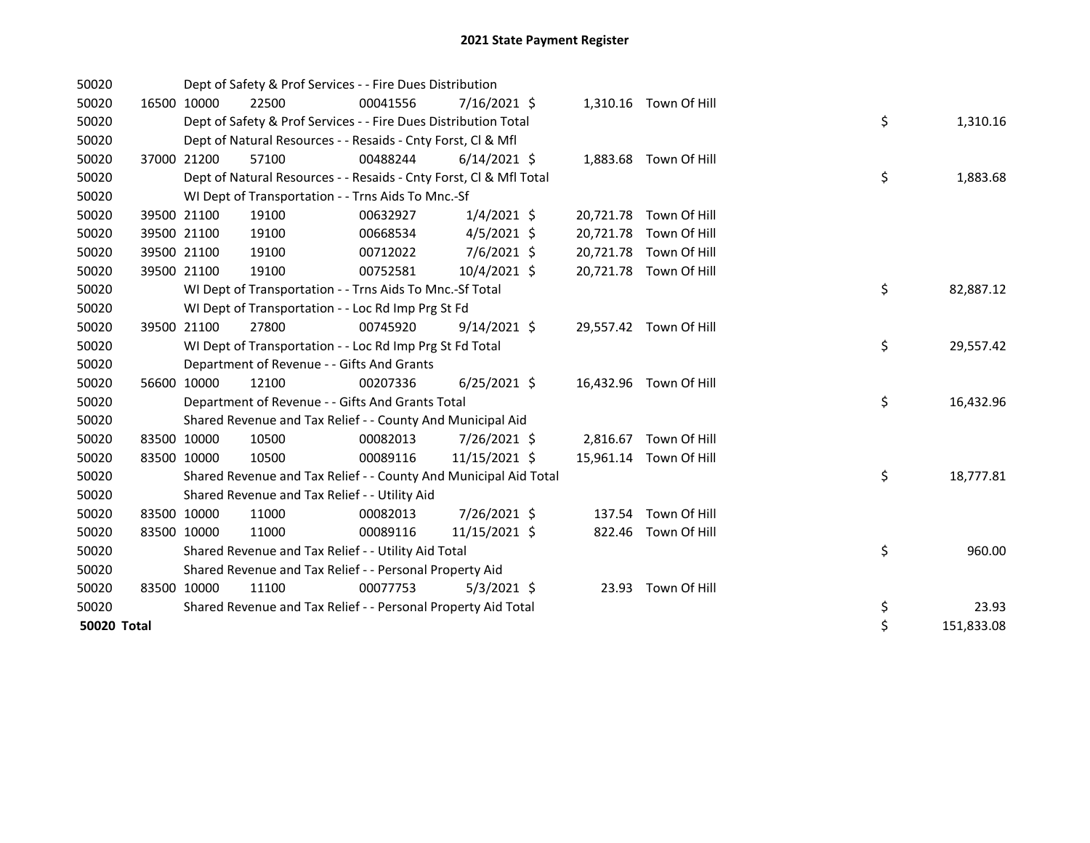| 50020       |             | Dept of Safety & Prof Services - - Fire Dues Distribution          |          |                |  |                        |    |            |
|-------------|-------------|--------------------------------------------------------------------|----------|----------------|--|------------------------|----|------------|
| 50020       | 16500 10000 | 22500                                                              | 00041556 | 7/16/2021 \$   |  | 1,310.16 Town Of Hill  |    |            |
| 50020       |             | Dept of Safety & Prof Services - - Fire Dues Distribution Total    |          |                |  |                        | \$ | 1,310.16   |
| 50020       |             | Dept of Natural Resources - - Resaids - Cnty Forst, Cl & Mfl       |          |                |  |                        |    |            |
| 50020       | 37000 21200 | 57100                                                              | 00488244 | $6/14/2021$ \$ |  | 1,883.68 Town Of Hill  |    |            |
| 50020       |             | Dept of Natural Resources - - Resaids - Cnty Forst, Cl & Mfl Total |          |                |  |                        | \$ | 1,883.68   |
| 50020       |             | WI Dept of Transportation - - Trns Aids To Mnc.-Sf                 |          |                |  |                        |    |            |
| 50020       | 39500 21100 | 19100                                                              | 00632927 | $1/4/2021$ \$  |  | 20,721.78 Town Of Hill |    |            |
| 50020       | 39500 21100 | 19100                                                              | 00668534 | $4/5/2021$ \$  |  | 20,721.78 Town Of Hill |    |            |
| 50020       | 39500 21100 | 19100                                                              | 00712022 | 7/6/2021 \$    |  | 20,721.78 Town Of Hill |    |            |
| 50020       | 39500 21100 | 19100                                                              | 00752581 | $10/4/2021$ \$ |  | 20,721.78 Town Of Hill |    |            |
| 50020       |             | WI Dept of Transportation - - Trns Aids To Mnc.-Sf Total           |          |                |  |                        | \$ | 82,887.12  |
| 50020       |             | WI Dept of Transportation - - Loc Rd Imp Prg St Fd                 |          |                |  |                        |    |            |
| 50020       | 39500 21100 | 27800                                                              | 00745920 | $9/14/2021$ \$ |  | 29,557.42 Town Of Hill |    |            |
| 50020       |             | WI Dept of Transportation - - Loc Rd Imp Prg St Fd Total           |          |                |  |                        | \$ | 29,557.42  |
| 50020       |             | Department of Revenue - - Gifts And Grants                         |          |                |  |                        |    |            |
| 50020       | 56600 10000 | 12100                                                              | 00207336 | $6/25/2021$ \$ |  | 16,432.96 Town Of Hill |    |            |
| 50020       |             | Department of Revenue - - Gifts And Grants Total                   |          |                |  |                        | \$ | 16,432.96  |
| 50020       |             | Shared Revenue and Tax Relief - - County And Municipal Aid         |          |                |  |                        |    |            |
| 50020       | 83500 10000 | 10500                                                              | 00082013 | 7/26/2021 \$   |  | 2,816.67 Town Of Hill  |    |            |
| 50020       | 83500 10000 | 10500                                                              | 00089116 | 11/15/2021 \$  |  | 15,961.14 Town Of Hill |    |            |
| 50020       |             | Shared Revenue and Tax Relief - - County And Municipal Aid Total   |          |                |  |                        | \$ | 18,777.81  |
| 50020       |             | Shared Revenue and Tax Relief - - Utility Aid                      |          |                |  |                        |    |            |
| 50020       | 83500 10000 | 11000                                                              | 00082013 | 7/26/2021 \$   |  | 137.54 Town Of Hill    |    |            |
| 50020       | 83500 10000 | 11000                                                              | 00089116 | 11/15/2021 \$  |  | 822.46 Town Of Hill    |    |            |
| 50020       |             | Shared Revenue and Tax Relief - - Utility Aid Total                |          |                |  |                        | \$ | 960.00     |
| 50020       |             | Shared Revenue and Tax Relief - - Personal Property Aid            |          |                |  |                        |    |            |
| 50020       | 83500 10000 | 11100                                                              | 00077753 | $5/3/2021$ \$  |  | 23.93 Town Of Hill     |    |            |
| 50020       |             | Shared Revenue and Tax Relief - - Personal Property Aid Total      |          |                |  |                        | \$ | 23.93      |
| 50020 Total |             |                                                                    |          |                |  |                        | \$ | 151,833.08 |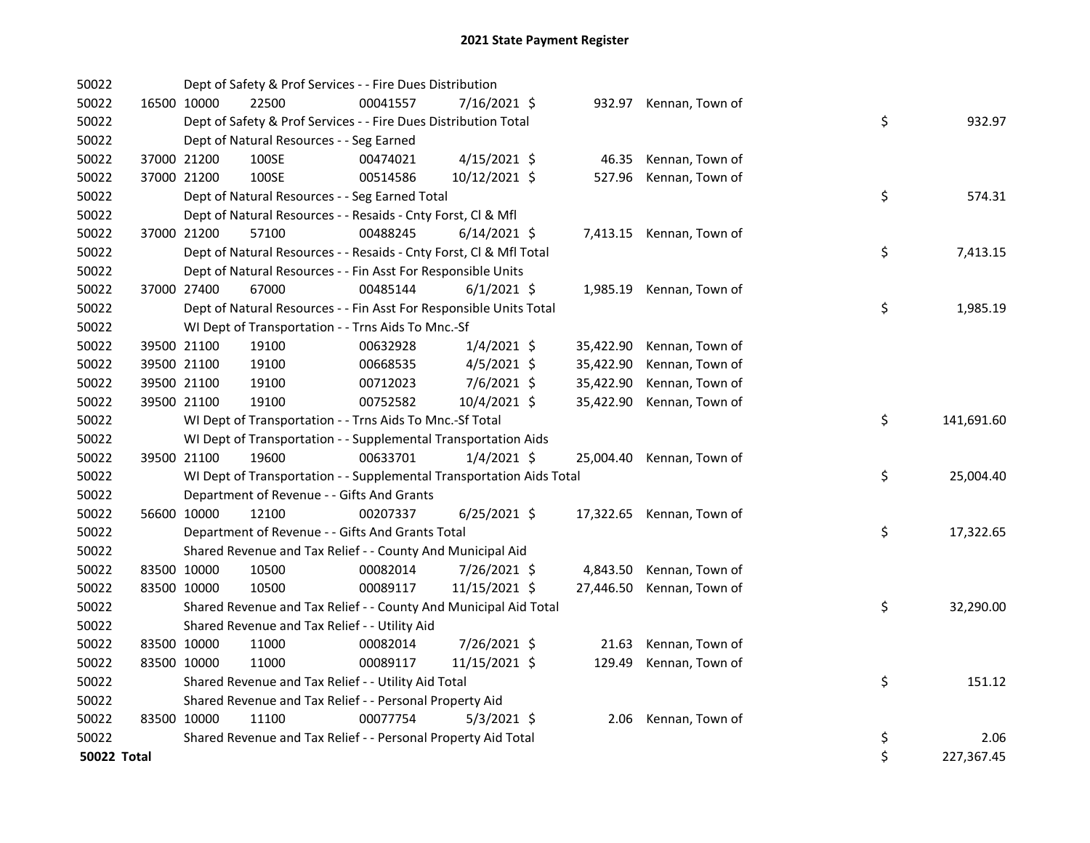| 50022       |             | Dept of Safety & Prof Services - - Fire Dues Distribution            |          |                |           |                           |    |            |
|-------------|-------------|----------------------------------------------------------------------|----------|----------------|-----------|---------------------------|----|------------|
| 50022       | 16500 10000 | 22500                                                                | 00041557 | 7/16/2021 \$   |           | 932.97 Kennan, Town of    |    |            |
| 50022       |             | Dept of Safety & Prof Services - - Fire Dues Distribution Total      |          |                |           |                           | \$ | 932.97     |
| 50022       |             | Dept of Natural Resources - - Seg Earned                             |          |                |           |                           |    |            |
| 50022       | 37000 21200 | 100SE                                                                | 00474021 | 4/15/2021 \$   | 46.35     | Kennan, Town of           |    |            |
| 50022       | 37000 21200 | 100SE                                                                | 00514586 | 10/12/2021 \$  | 527.96    | Kennan, Town of           |    |            |
| 50022       |             | Dept of Natural Resources - - Seg Earned Total                       |          |                |           |                           | \$ | 574.31     |
| 50022       |             | Dept of Natural Resources - - Resaids - Cnty Forst, Cl & Mfl         |          |                |           |                           |    |            |
| 50022       | 37000 21200 | 57100                                                                | 00488245 | $6/14/2021$ \$ |           | 7,413.15 Kennan, Town of  |    |            |
| 50022       |             | Dept of Natural Resources - - Resaids - Cnty Forst, CI & Mfl Total   |          |                |           |                           | \$ | 7,413.15   |
| 50022       |             | Dept of Natural Resources - - Fin Asst For Responsible Units         |          |                |           |                           |    |            |
| 50022       | 37000 27400 | 67000                                                                | 00485144 | $6/1/2021$ \$  | 1,985.19  | Kennan, Town of           |    |            |
| 50022       |             | Dept of Natural Resources - - Fin Asst For Responsible Units Total   |          |                |           |                           | \$ | 1,985.19   |
| 50022       |             | WI Dept of Transportation - - Trns Aids To Mnc.-Sf                   |          |                |           |                           |    |            |
| 50022       | 39500 21100 | 19100                                                                | 00632928 | 1/4/2021 \$    | 35,422.90 | Kennan, Town of           |    |            |
| 50022       | 39500 21100 | 19100                                                                | 00668535 | $4/5/2021$ \$  | 35,422.90 | Kennan, Town of           |    |            |
| 50022       | 39500 21100 | 19100                                                                | 00712023 | $7/6/2021$ \$  | 35,422.90 | Kennan, Town of           |    |            |
| 50022       | 39500 21100 | 19100                                                                | 00752582 | 10/4/2021 \$   | 35,422.90 | Kennan, Town of           |    |            |
| 50022       |             | WI Dept of Transportation - - Trns Aids To Mnc.-Sf Total             |          |                |           |                           | \$ | 141,691.60 |
| 50022       |             | WI Dept of Transportation - - Supplemental Transportation Aids       |          |                |           |                           |    |            |
| 50022       | 39500 21100 | 19600                                                                | 00633701 | $1/4/2021$ \$  | 25,004.40 | Kennan, Town of           |    |            |
| 50022       |             | WI Dept of Transportation - - Supplemental Transportation Aids Total |          |                |           |                           | \$ | 25,004.40  |
| 50022       |             | Department of Revenue - - Gifts And Grants                           |          |                |           |                           |    |            |
| 50022       | 56600 10000 | 12100                                                                | 00207337 | $6/25/2021$ \$ |           | 17,322.65 Kennan, Town of |    |            |
| 50022       |             | Department of Revenue - - Gifts And Grants Total                     |          |                |           |                           | \$ | 17,322.65  |
| 50022       |             | Shared Revenue and Tax Relief - - County And Municipal Aid           |          |                |           |                           |    |            |
| 50022       | 83500 10000 | 10500                                                                | 00082014 | 7/26/2021 \$   | 4,843.50  | Kennan, Town of           |    |            |
| 50022       | 83500 10000 | 10500                                                                | 00089117 | 11/15/2021 \$  | 27,446.50 | Kennan, Town of           |    |            |
| 50022       |             | Shared Revenue and Tax Relief - - County And Municipal Aid Total     |          |                |           |                           | \$ | 32,290.00  |
| 50022       |             | Shared Revenue and Tax Relief - - Utility Aid                        |          |                |           |                           |    |            |
| 50022       | 83500 10000 | 11000                                                                | 00082014 | 7/26/2021 \$   | 21.63     | Kennan, Town of           |    |            |
| 50022       | 83500 10000 | 11000                                                                | 00089117 | 11/15/2021 \$  | 129.49    | Kennan, Town of           |    |            |
| 50022       |             | Shared Revenue and Tax Relief - - Utility Aid Total                  |          |                |           |                           | \$ | 151.12     |
| 50022       |             | Shared Revenue and Tax Relief - - Personal Property Aid              |          |                |           |                           |    |            |
| 50022       | 83500 10000 | 11100                                                                | 00077754 | $5/3/2021$ \$  | 2.06      | Kennan, Town of           |    |            |
| 50022       |             | Shared Revenue and Tax Relief - - Personal Property Aid Total        |          |                |           |                           | \$ | 2.06       |
| 50022 Total |             |                                                                      |          |                |           |                           | \$ | 227,367.45 |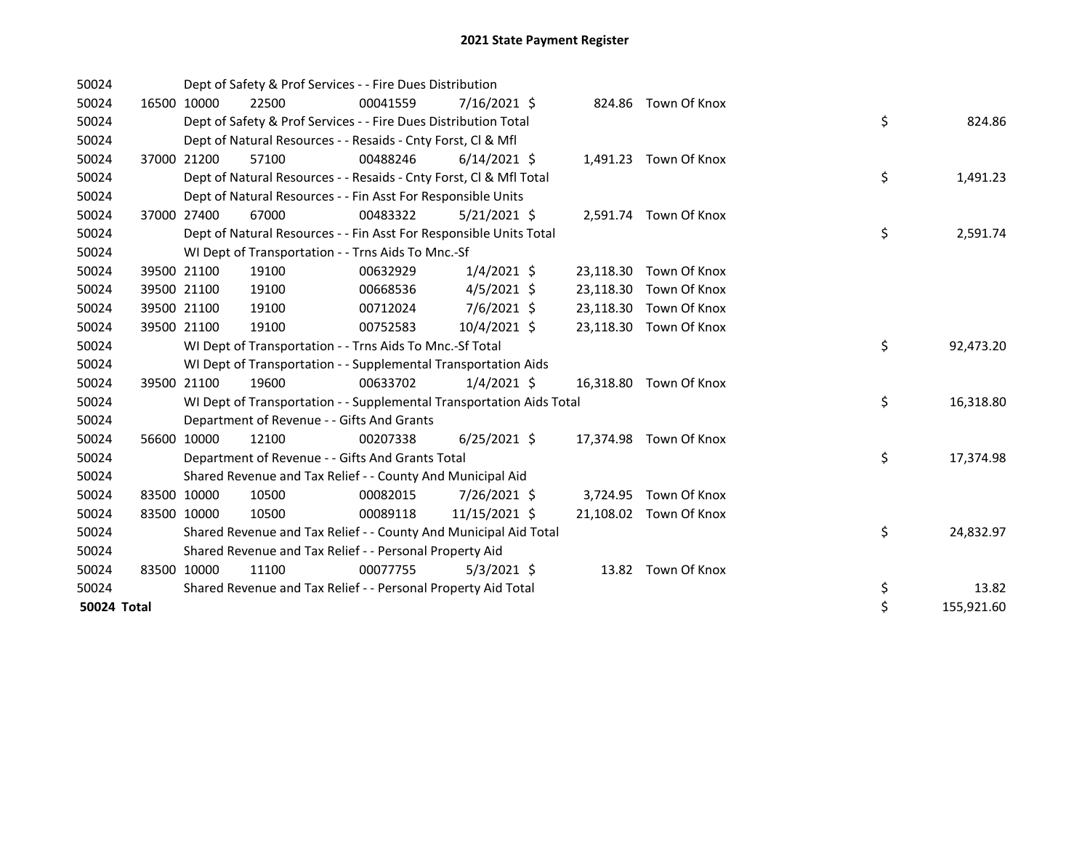| 50024       |             | Dept of Safety & Prof Services - - Fire Dues Distribution            |          |                |  |                        |    |            |
|-------------|-------------|----------------------------------------------------------------------|----------|----------------|--|------------------------|----|------------|
| 50024       | 16500 10000 | 22500                                                                | 00041559 | 7/16/2021 \$   |  | 824.86 Town Of Knox    |    |            |
| 50024       |             | Dept of Safety & Prof Services - - Fire Dues Distribution Total      |          |                |  |                        | \$ | 824.86     |
| 50024       |             | Dept of Natural Resources - - Resaids - Cnty Forst, CI & Mfl         |          |                |  |                        |    |            |
| 50024       | 37000 21200 | 57100                                                                | 00488246 | $6/14/2021$ \$ |  | 1,491.23 Town Of Knox  |    |            |
| 50024       |             | Dept of Natural Resources - - Resaids - Cnty Forst, CI & Mfl Total   |          |                |  |                        | \$ | 1,491.23   |
| 50024       |             | Dept of Natural Resources - - Fin Asst For Responsible Units         |          |                |  |                        |    |            |
| 50024       | 37000 27400 | 67000                                                                | 00483322 | $5/21/2021$ \$ |  | 2,591.74 Town Of Knox  |    |            |
| 50024       |             | Dept of Natural Resources - - Fin Asst For Responsible Units Total   |          |                |  |                        | \$ | 2,591.74   |
| 50024       |             | WI Dept of Transportation - - Trns Aids To Mnc.-Sf                   |          |                |  |                        |    |            |
| 50024       | 39500 21100 | 19100                                                                | 00632929 | $1/4/2021$ \$  |  | 23,118.30 Town Of Knox |    |            |
| 50024       | 39500 21100 | 19100                                                                | 00668536 | $4/5/2021$ \$  |  | 23,118.30 Town Of Knox |    |            |
| 50024       | 39500 21100 | 19100                                                                | 00712024 | $7/6/2021$ \$  |  | 23,118.30 Town Of Knox |    |            |
| 50024       | 39500 21100 | 19100                                                                | 00752583 | 10/4/2021 \$   |  | 23,118.30 Town Of Knox |    |            |
| 50024       |             | WI Dept of Transportation - - Trns Aids To Mnc.-Sf Total             |          |                |  |                        | \$ | 92,473.20  |
| 50024       |             | WI Dept of Transportation - - Supplemental Transportation Aids       |          |                |  |                        |    |            |
| 50024       | 39500 21100 | 19600                                                                | 00633702 | $1/4/2021$ \$  |  | 16,318.80 Town Of Knox |    |            |
| 50024       |             | WI Dept of Transportation - - Supplemental Transportation Aids Total |          |                |  |                        | \$ | 16,318.80  |
| 50024       |             | Department of Revenue - - Gifts And Grants                           |          |                |  |                        |    |            |
| 50024       | 56600 10000 | 12100                                                                | 00207338 | $6/25/2021$ \$ |  | 17,374.98 Town Of Knox |    |            |
| 50024       |             | Department of Revenue - - Gifts And Grants Total                     |          |                |  |                        | \$ | 17,374.98  |
| 50024       |             | Shared Revenue and Tax Relief - - County And Municipal Aid           |          |                |  |                        |    |            |
| 50024       | 83500 10000 | 10500                                                                | 00082015 | 7/26/2021 \$   |  | 3,724.95 Town Of Knox  |    |            |
| 50024       | 83500 10000 | 10500                                                                | 00089118 | 11/15/2021 \$  |  | 21,108.02 Town Of Knox |    |            |
| 50024       |             | Shared Revenue and Tax Relief - - County And Municipal Aid Total     |          |                |  |                        | \$ | 24,832.97  |
| 50024       |             | Shared Revenue and Tax Relief - - Personal Property Aid              |          |                |  |                        |    |            |
| 50024       | 83500 10000 | 11100                                                                | 00077755 | $5/3/2021$ \$  |  | 13.82 Town Of Knox     |    |            |
| 50024       |             | Shared Revenue and Tax Relief - - Personal Property Aid Total        |          |                |  |                        | \$ | 13.82      |
| 50024 Total |             |                                                                      |          |                |  |                        | \$ | 155,921.60 |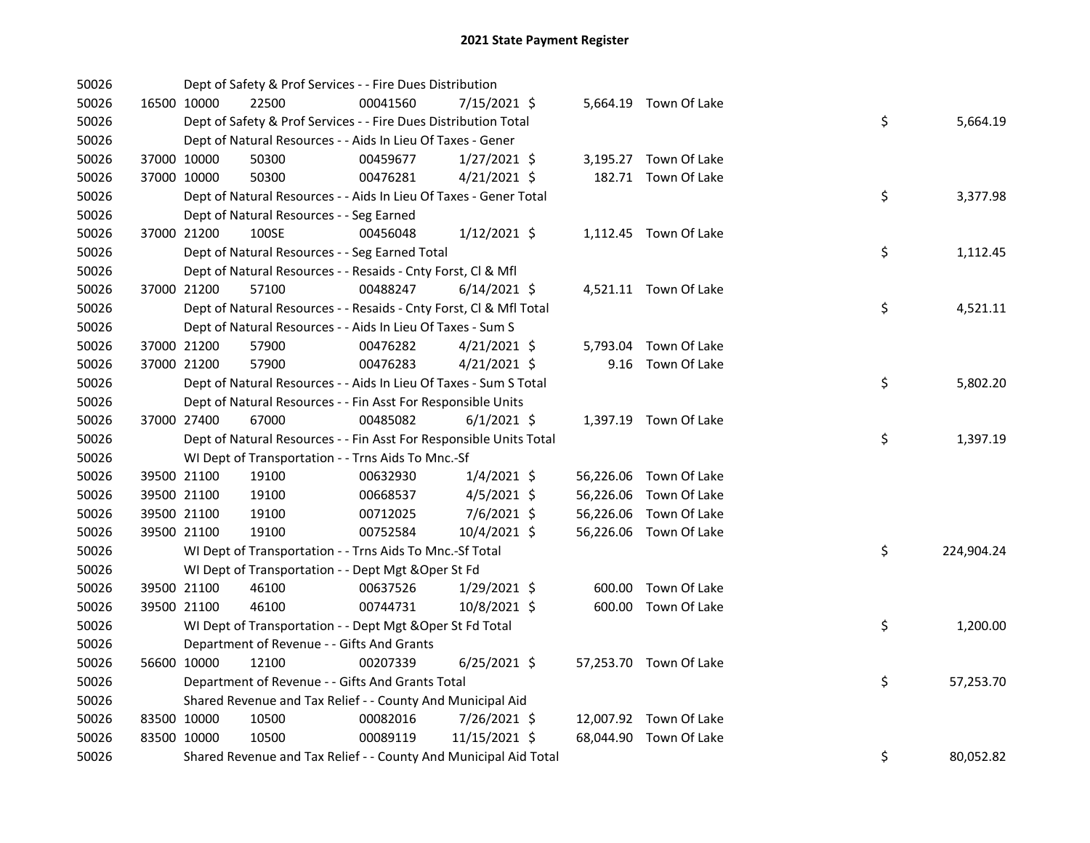| 50026 |             |             | Dept of Safety & Prof Services - - Fire Dues Distribution          |          |                |  |                        |    |            |
|-------|-------------|-------------|--------------------------------------------------------------------|----------|----------------|--|------------------------|----|------------|
| 50026 |             | 16500 10000 | 22500                                                              | 00041560 | 7/15/2021 \$   |  | 5,664.19 Town Of Lake  |    |            |
| 50026 |             |             | Dept of Safety & Prof Services - - Fire Dues Distribution Total    |          |                |  |                        | \$ | 5,664.19   |
| 50026 |             |             | Dept of Natural Resources - - Aids In Lieu Of Taxes - Gener        |          |                |  |                        |    |            |
| 50026 |             | 37000 10000 | 50300                                                              | 00459677 | $1/27/2021$ \$ |  | 3,195.27 Town Of Lake  |    |            |
| 50026 |             | 37000 10000 | 50300                                                              | 00476281 | $4/21/2021$ \$ |  | 182.71 Town Of Lake    |    |            |
| 50026 |             |             | Dept of Natural Resources - - Aids In Lieu Of Taxes - Gener Total  |          |                |  |                        | \$ | 3,377.98   |
| 50026 |             |             | Dept of Natural Resources - - Seg Earned                           |          |                |  |                        |    |            |
| 50026 | 37000 21200 |             | 100SE                                                              | 00456048 | $1/12/2021$ \$ |  | 1,112.45 Town Of Lake  |    |            |
| 50026 |             |             | Dept of Natural Resources - - Seg Earned Total                     |          |                |  |                        | \$ | 1,112.45   |
| 50026 |             |             | Dept of Natural Resources - - Resaids - Cnty Forst, Cl & Mfl       |          |                |  |                        |    |            |
| 50026 |             | 37000 21200 | 57100                                                              | 00488247 | $6/14/2021$ \$ |  | 4,521.11 Town Of Lake  |    |            |
| 50026 |             |             | Dept of Natural Resources - - Resaids - Cnty Forst, Cl & Mfl Total |          |                |  |                        | \$ | 4,521.11   |
| 50026 |             |             | Dept of Natural Resources - - Aids In Lieu Of Taxes - Sum S        |          |                |  |                        |    |            |
| 50026 |             | 37000 21200 | 57900                                                              | 00476282 | $4/21/2021$ \$ |  | 5,793.04 Town Of Lake  |    |            |
| 50026 |             | 37000 21200 | 57900                                                              | 00476283 | $4/21/2021$ \$ |  | 9.16 Town Of Lake      |    |            |
| 50026 |             |             | Dept of Natural Resources - - Aids In Lieu Of Taxes - Sum S Total  |          |                |  |                        | \$ | 5,802.20   |
| 50026 |             |             | Dept of Natural Resources - - Fin Asst For Responsible Units       |          |                |  |                        |    |            |
| 50026 |             | 37000 27400 | 67000                                                              | 00485082 | $6/1/2021$ \$  |  | 1,397.19 Town Of Lake  |    |            |
| 50026 |             |             | Dept of Natural Resources - - Fin Asst For Responsible Units Total |          |                |  |                        | \$ | 1,397.19   |
| 50026 |             |             | WI Dept of Transportation - - Trns Aids To Mnc.-Sf                 |          |                |  |                        |    |            |
| 50026 |             | 39500 21100 | 19100                                                              | 00632930 | $1/4/2021$ \$  |  | 56,226.06 Town Of Lake |    |            |
| 50026 |             | 39500 21100 | 19100                                                              | 00668537 | $4/5/2021$ \$  |  | 56,226.06 Town Of Lake |    |            |
| 50026 |             | 39500 21100 | 19100                                                              | 00712025 | 7/6/2021 \$    |  | 56,226.06 Town Of Lake |    |            |
| 50026 |             | 39500 21100 | 19100                                                              | 00752584 | 10/4/2021 \$   |  | 56,226.06 Town Of Lake |    |            |
| 50026 |             |             | WI Dept of Transportation - - Trns Aids To Mnc.-Sf Total           |          |                |  |                        | \$ | 224,904.24 |
| 50026 |             |             | WI Dept of Transportation - - Dept Mgt & Oper St Fd                |          |                |  |                        |    |            |
| 50026 |             | 39500 21100 | 46100                                                              | 00637526 | $1/29/2021$ \$ |  | 600.00 Town Of Lake    |    |            |
| 50026 |             | 39500 21100 | 46100                                                              | 00744731 | 10/8/2021 \$   |  | 600.00 Town Of Lake    |    |            |
| 50026 |             |             | WI Dept of Transportation - - Dept Mgt & Oper St Fd Total          |          |                |  |                        | \$ | 1,200.00   |
| 50026 |             |             | Department of Revenue - - Gifts And Grants                         |          |                |  |                        |    |            |
| 50026 |             | 56600 10000 | 12100                                                              | 00207339 | $6/25/2021$ \$ |  | 57,253.70 Town Of Lake |    |            |
| 50026 |             |             | Department of Revenue - - Gifts And Grants Total                   |          |                |  |                        | \$ | 57,253.70  |
| 50026 |             |             | Shared Revenue and Tax Relief - - County And Municipal Aid         |          |                |  |                        |    |            |
| 50026 | 83500 10000 |             | 10500                                                              | 00082016 | 7/26/2021 \$   |  | 12,007.92 Town Of Lake |    |            |
| 50026 | 83500 10000 |             | 10500                                                              | 00089119 | 11/15/2021 \$  |  | 68,044.90 Town Of Lake |    |            |
| 50026 |             |             | Shared Revenue and Tax Relief - - County And Municipal Aid Total   |          |                |  |                        | \$ | 80,052.82  |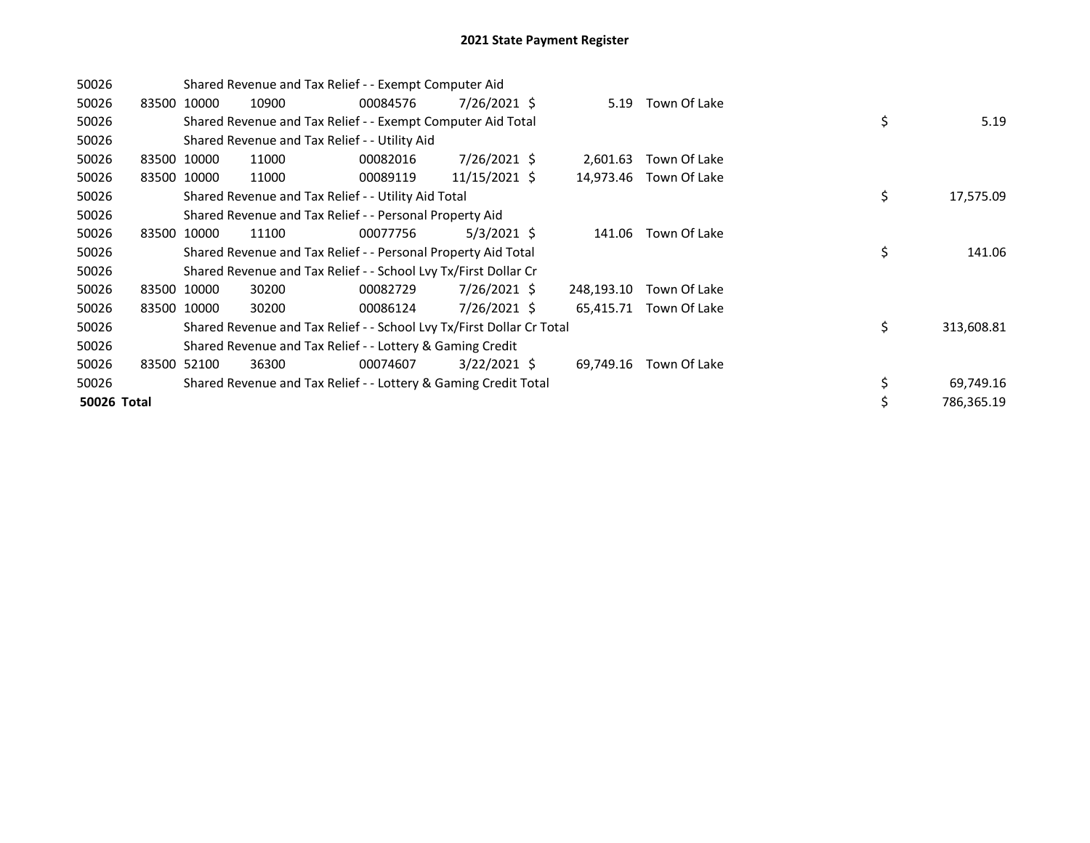| 50026       |             |             | Shared Revenue and Tax Relief - - Exempt Computer Aid                 |          |                |            |              |    |            |
|-------------|-------------|-------------|-----------------------------------------------------------------------|----------|----------------|------------|--------------|----|------------|
| 50026       |             | 83500 10000 | 10900                                                                 | 00084576 | 7/26/2021 \$   | 5.19       | Town Of Lake |    |            |
| 50026       |             |             | Shared Revenue and Tax Relief - - Exempt Computer Aid Total           |          |                |            |              | \$ | 5.19       |
| 50026       |             |             | Shared Revenue and Tax Relief - - Utility Aid                         |          |                |            |              |    |            |
| 50026       | 83500 10000 |             | 11000                                                                 | 00082016 | 7/26/2021 \$   | 2,601.63   | Town Of Lake |    |            |
| 50026       |             | 83500 10000 | 11000                                                                 | 00089119 | 11/15/2021 \$  | 14,973.46  | Town Of Lake |    |            |
| 50026       |             |             | Shared Revenue and Tax Relief - - Utility Aid Total                   |          |                |            |              | \$ | 17,575.09  |
| 50026       |             |             | Shared Revenue and Tax Relief - - Personal Property Aid               |          |                |            |              |    |            |
| 50026       | 83500       | 10000       | 11100                                                                 | 00077756 | $5/3/2021$ \$  | 141.06     | Town Of Lake |    |            |
| 50026       |             |             | Shared Revenue and Tax Relief - - Personal Property Aid Total         |          |                |            |              | \$ | 141.06     |
| 50026       |             |             | Shared Revenue and Tax Relief - - School Lvy Tx/First Dollar Cr       |          |                |            |              |    |            |
| 50026       | 83500 10000 |             | 30200                                                                 | 00082729 | 7/26/2021 \$   | 248,193.10 | Town Of Lake |    |            |
| 50026       |             | 83500 10000 | 30200                                                                 | 00086124 | 7/26/2021 \$   | 65,415.71  | Town Of Lake |    |            |
| 50026       |             |             | Shared Revenue and Tax Relief - - School Lvy Tx/First Dollar Cr Total |          |                |            |              | \$ | 313,608.81 |
| 50026       |             |             | Shared Revenue and Tax Relief - - Lottery & Gaming Credit             |          |                |            |              |    |            |
| 50026       |             | 83500 52100 | 36300                                                                 | 00074607 | $3/22/2021$ \$ | 69,749.16  | Town Of Lake |    |            |
| 50026       |             |             | Shared Revenue and Tax Relief - - Lottery & Gaming Credit Total       |          |                |            |              | \$ | 69,749.16  |
| 50026 Total |             |             |                                                                       |          |                |            |              | \$ | 786,365.19 |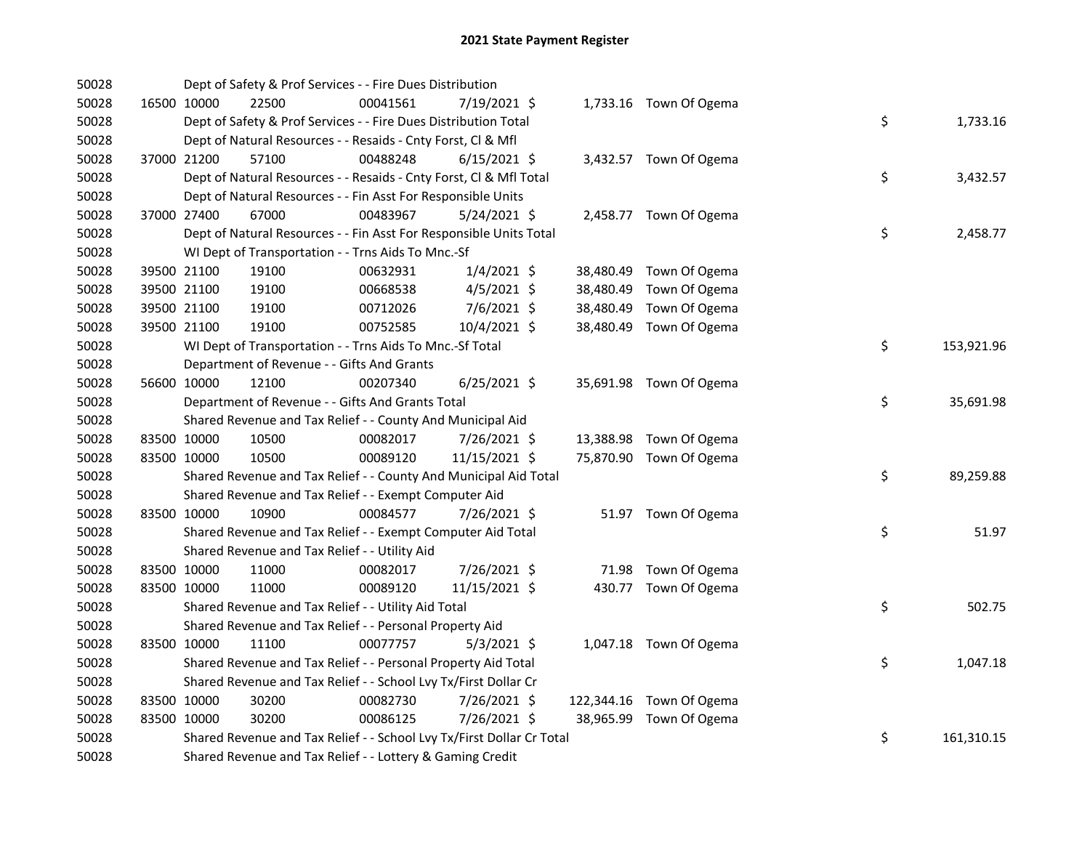| 50028 |             | Dept of Safety & Prof Services - - Fire Dues Distribution             |          |                |           |                          |    |            |
|-------|-------------|-----------------------------------------------------------------------|----------|----------------|-----------|--------------------------|----|------------|
| 50028 | 16500 10000 | 22500                                                                 | 00041561 | 7/19/2021 \$   |           | 1,733.16 Town Of Ogema   |    |            |
| 50028 |             | Dept of Safety & Prof Services - - Fire Dues Distribution Total       |          |                |           |                          | \$ | 1,733.16   |
| 50028 |             | Dept of Natural Resources - - Resaids - Cnty Forst, Cl & Mfl          |          |                |           |                          |    |            |
| 50028 | 37000 21200 | 57100                                                                 | 00488248 | $6/15/2021$ \$ |           | 3,432.57 Town Of Ogema   |    |            |
| 50028 |             | Dept of Natural Resources - - Resaids - Cnty Forst, Cl & Mfl Total    |          |                |           |                          | \$ | 3,432.57   |
| 50028 |             | Dept of Natural Resources - - Fin Asst For Responsible Units          |          |                |           |                          |    |            |
| 50028 | 37000 27400 | 67000                                                                 | 00483967 | $5/24/2021$ \$ |           | 2,458.77 Town Of Ogema   |    |            |
| 50028 |             | Dept of Natural Resources - - Fin Asst For Responsible Units Total    |          |                |           |                          | \$ | 2,458.77   |
| 50028 |             | WI Dept of Transportation - - Trns Aids To Mnc.-Sf                    |          |                |           |                          |    |            |
| 50028 | 39500 21100 | 19100                                                                 | 00632931 | $1/4/2021$ \$  |           | 38,480.49 Town Of Ogema  |    |            |
| 50028 | 39500 21100 | 19100                                                                 | 00668538 | $4/5/2021$ \$  | 38,480.49 | Town Of Ogema            |    |            |
| 50028 | 39500 21100 | 19100                                                                 | 00712026 | 7/6/2021 \$    |           | 38,480.49 Town Of Ogema  |    |            |
| 50028 | 39500 21100 | 19100                                                                 | 00752585 | 10/4/2021 \$   |           | 38,480.49 Town Of Ogema  |    |            |
| 50028 |             | WI Dept of Transportation - - Trns Aids To Mnc.-Sf Total              |          |                |           |                          | \$ | 153,921.96 |
| 50028 |             | Department of Revenue - - Gifts And Grants                            |          |                |           |                          |    |            |
| 50028 | 56600 10000 | 12100                                                                 | 00207340 | $6/25/2021$ \$ |           | 35,691.98 Town Of Ogema  |    |            |
| 50028 |             | Department of Revenue - - Gifts And Grants Total                      |          |                |           |                          | \$ | 35,691.98  |
| 50028 |             | Shared Revenue and Tax Relief - - County And Municipal Aid            |          |                |           |                          |    |            |
| 50028 | 83500 10000 | 10500                                                                 | 00082017 | 7/26/2021 \$   |           | 13,388.98 Town Of Ogema  |    |            |
| 50028 | 83500 10000 | 10500                                                                 | 00089120 | 11/15/2021 \$  |           | 75,870.90 Town Of Ogema  |    |            |
| 50028 |             | Shared Revenue and Tax Relief - - County And Municipal Aid Total      |          |                |           |                          | \$ | 89,259.88  |
| 50028 |             | Shared Revenue and Tax Relief - - Exempt Computer Aid                 |          |                |           |                          |    |            |
| 50028 | 83500 10000 | 10900                                                                 | 00084577 | 7/26/2021 \$   |           | 51.97 Town Of Ogema      |    |            |
| 50028 |             | Shared Revenue and Tax Relief - - Exempt Computer Aid Total           |          |                |           |                          | \$ | 51.97      |
| 50028 |             | Shared Revenue and Tax Relief - - Utility Aid                         |          |                |           |                          |    |            |
| 50028 | 83500 10000 | 11000                                                                 | 00082017 | 7/26/2021 \$   |           | 71.98 Town Of Ogema      |    |            |
| 50028 | 83500 10000 | 11000                                                                 | 00089120 | 11/15/2021 \$  |           | 430.77 Town Of Ogema     |    |            |
| 50028 |             | Shared Revenue and Tax Relief - - Utility Aid Total                   |          |                |           |                          | \$ | 502.75     |
| 50028 |             | Shared Revenue and Tax Relief - - Personal Property Aid               |          |                |           |                          |    |            |
| 50028 | 83500 10000 | 11100                                                                 | 00077757 | $5/3/2021$ \$  |           | 1,047.18 Town Of Ogema   |    |            |
| 50028 |             | Shared Revenue and Tax Relief - - Personal Property Aid Total         |          |                |           |                          | \$ | 1,047.18   |
| 50028 |             | Shared Revenue and Tax Relief - - School Lvy Tx/First Dollar Cr       |          |                |           |                          |    |            |
| 50028 | 83500 10000 | 30200                                                                 | 00082730 | 7/26/2021 \$   |           | 122,344.16 Town Of Ogema |    |            |
| 50028 | 83500 10000 | 30200                                                                 | 00086125 | 7/26/2021 \$   |           | 38,965.99 Town Of Ogema  |    |            |
| 50028 |             | Shared Revenue and Tax Relief - - School Lvy Tx/First Dollar Cr Total |          |                |           |                          | \$ | 161,310.15 |
| 50028 |             | Shared Revenue and Tax Relief - - Lottery & Gaming Credit             |          |                |           |                          |    |            |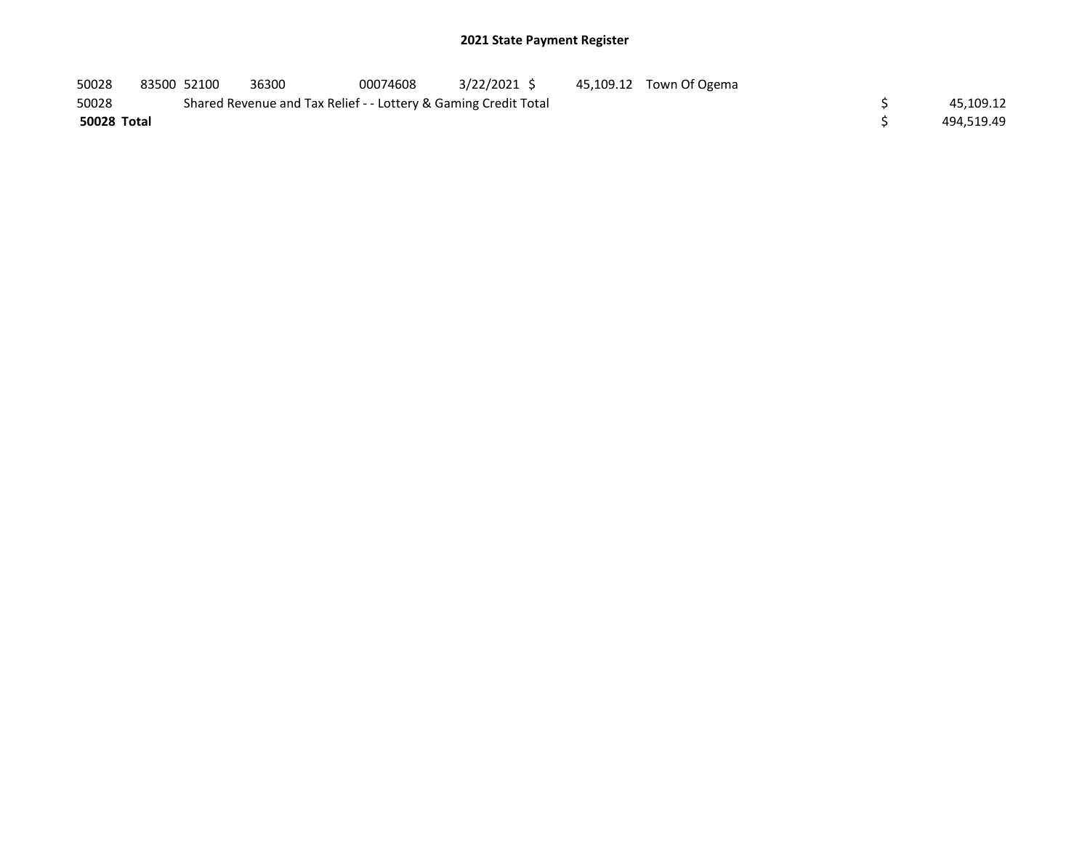| 50028       | 83500 52100 | 36300                                                           | 00074608 | 3/22/2021 S | 45,109.12 Town Of Ogema |            |
|-------------|-------------|-----------------------------------------------------------------|----------|-------------|-------------------------|------------|
| 50028       |             | Shared Revenue and Tax Relief - - Lottery & Gaming Credit Total |          |             |                         | 45.109.12  |
| 50028 Total |             |                                                                 |          |             |                         | 494.519.49 |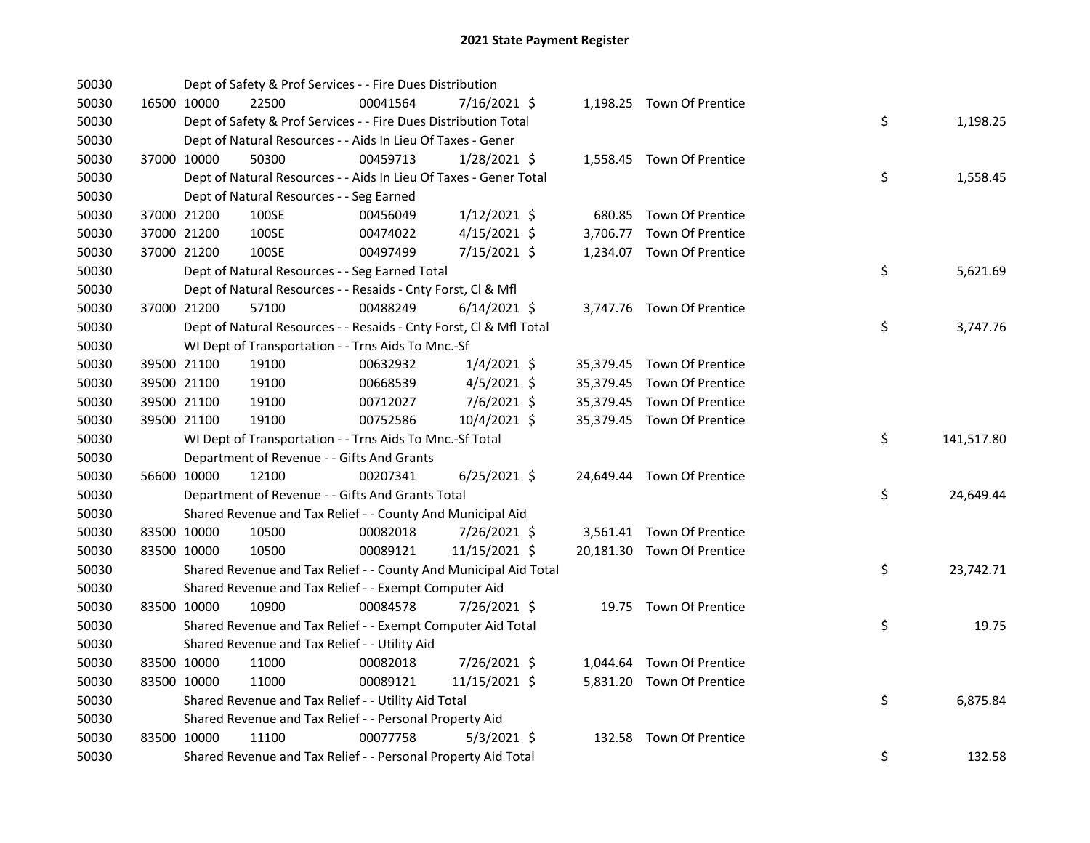| 50030 |             |             | Dept of Safety & Prof Services - - Fire Dues Distribution          |          |                |  |                            |    |            |
|-------|-------------|-------------|--------------------------------------------------------------------|----------|----------------|--|----------------------------|----|------------|
| 50030 |             | 16500 10000 | 22500                                                              | 00041564 | 7/16/2021 \$   |  | 1,198.25 Town Of Prentice  |    |            |
| 50030 |             |             | Dept of Safety & Prof Services - - Fire Dues Distribution Total    |          |                |  |                            | \$ | 1,198.25   |
| 50030 |             |             | Dept of Natural Resources - - Aids In Lieu Of Taxes - Gener        |          |                |  |                            |    |            |
| 50030 |             | 37000 10000 | 50300                                                              | 00459713 | $1/28/2021$ \$ |  | 1,558.45 Town Of Prentice  |    |            |
| 50030 |             |             | Dept of Natural Resources - - Aids In Lieu Of Taxes - Gener Total  |          |                |  |                            | \$ | 1,558.45   |
| 50030 |             |             | Dept of Natural Resources - - Seg Earned                           |          |                |  |                            |    |            |
| 50030 |             | 37000 21200 | 100SE                                                              | 00456049 | $1/12/2021$ \$ |  | 680.85 Town Of Prentice    |    |            |
| 50030 |             | 37000 21200 | 100SE                                                              | 00474022 | $4/15/2021$ \$ |  | 3,706.77 Town Of Prentice  |    |            |
| 50030 | 37000 21200 |             | 100SE                                                              | 00497499 | 7/15/2021 \$   |  | 1,234.07 Town Of Prentice  |    |            |
| 50030 |             |             | Dept of Natural Resources - - Seg Earned Total                     |          |                |  |                            | \$ | 5,621.69   |
| 50030 |             |             | Dept of Natural Resources - - Resaids - Cnty Forst, Cl & Mfl       |          |                |  |                            |    |            |
| 50030 |             | 37000 21200 | 57100                                                              | 00488249 | $6/14/2021$ \$ |  | 3,747.76 Town Of Prentice  |    |            |
| 50030 |             |             | Dept of Natural Resources - - Resaids - Cnty Forst, Cl & Mfl Total |          |                |  |                            | \$ | 3,747.76   |
| 50030 |             |             | WI Dept of Transportation - - Trns Aids To Mnc.-Sf                 |          |                |  |                            |    |            |
| 50030 |             | 39500 21100 | 19100                                                              | 00632932 | $1/4/2021$ \$  |  | 35,379.45 Town Of Prentice |    |            |
| 50030 |             | 39500 21100 | 19100                                                              | 00668539 | $4/5/2021$ \$  |  | 35,379.45 Town Of Prentice |    |            |
| 50030 |             | 39500 21100 | 19100                                                              | 00712027 | $7/6/2021$ \$  |  | 35,379.45 Town Of Prentice |    |            |
| 50030 |             | 39500 21100 | 19100                                                              | 00752586 | 10/4/2021 \$   |  | 35,379.45 Town Of Prentice |    |            |
| 50030 |             |             | WI Dept of Transportation - - Trns Aids To Mnc.-Sf Total           |          |                |  |                            | \$ | 141,517.80 |
| 50030 |             |             | Department of Revenue - - Gifts And Grants                         |          |                |  |                            |    |            |
| 50030 |             | 56600 10000 | 12100                                                              | 00207341 | $6/25/2021$ \$ |  | 24,649.44 Town Of Prentice |    |            |
| 50030 |             |             | Department of Revenue - - Gifts And Grants Total                   |          |                |  |                            | \$ | 24,649.44  |
| 50030 |             |             | Shared Revenue and Tax Relief - - County And Municipal Aid         |          |                |  |                            |    |            |
| 50030 |             | 83500 10000 | 10500                                                              | 00082018 | 7/26/2021 \$   |  | 3,561.41 Town Of Prentice  |    |            |
| 50030 |             | 83500 10000 | 10500                                                              | 00089121 | 11/15/2021 \$  |  | 20,181.30 Town Of Prentice |    |            |
| 50030 |             |             | Shared Revenue and Tax Relief - - County And Municipal Aid Total   |          |                |  |                            | \$ | 23,742.71  |
| 50030 |             |             | Shared Revenue and Tax Relief - - Exempt Computer Aid              |          |                |  |                            |    |            |
| 50030 | 83500 10000 |             | 10900                                                              | 00084578 | 7/26/2021 \$   |  | 19.75 Town Of Prentice     |    |            |
| 50030 |             |             | Shared Revenue and Tax Relief - - Exempt Computer Aid Total        |          |                |  |                            | \$ | 19.75      |
| 50030 |             |             | Shared Revenue and Tax Relief - - Utility Aid                      |          |                |  |                            |    |            |
| 50030 |             | 83500 10000 | 11000                                                              | 00082018 | 7/26/2021 \$   |  | 1,044.64 Town Of Prentice  |    |            |
| 50030 |             | 83500 10000 | 11000                                                              | 00089121 | 11/15/2021 \$  |  | 5,831.20 Town Of Prentice  |    |            |
| 50030 |             |             | Shared Revenue and Tax Relief - - Utility Aid Total                |          |                |  |                            | \$ | 6,875.84   |
| 50030 |             |             | Shared Revenue and Tax Relief - - Personal Property Aid            |          |                |  |                            |    |            |
| 50030 |             | 83500 10000 | 11100                                                              | 00077758 | $5/3/2021$ \$  |  | 132.58 Town Of Prentice    |    |            |
| 50030 |             |             | Shared Revenue and Tax Relief - - Personal Property Aid Total      |          |                |  |                            | \$ | 132.58     |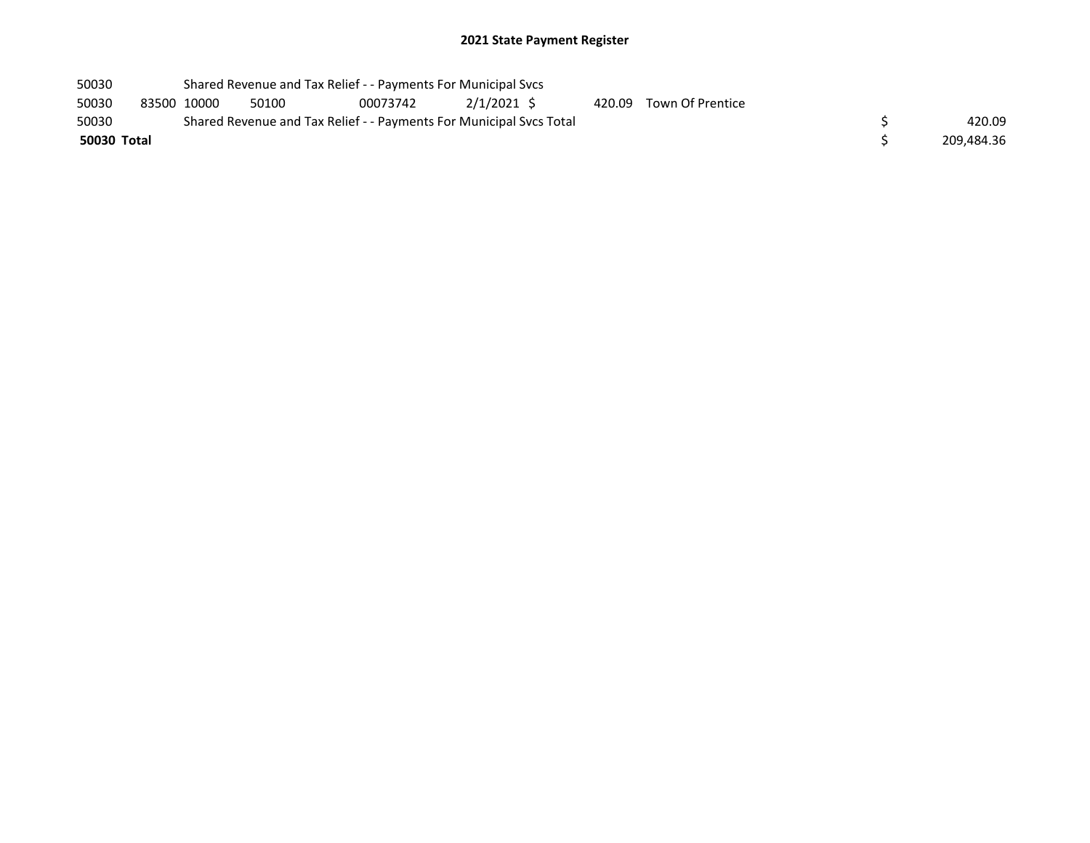| 50030       | Shared Revenue and Tax Relief - - Payments For Municipal Svcs |             |                                                                     |          |            |  |  |                         |  |            |  |
|-------------|---------------------------------------------------------------|-------------|---------------------------------------------------------------------|----------|------------|--|--|-------------------------|--|------------|--|
| 50030       |                                                               | 83500 10000 | 50100                                                               | 00073742 | 2/1/2021 S |  |  | 420.09 Town Of Prentice |  |            |  |
| 50030       |                                                               |             | Shared Revenue and Tax Relief - - Payments For Municipal Svcs Total |          |            |  |  |                         |  | 420.09     |  |
| 50030 Total |                                                               |             |                                                                     |          |            |  |  |                         |  | 209.484.36 |  |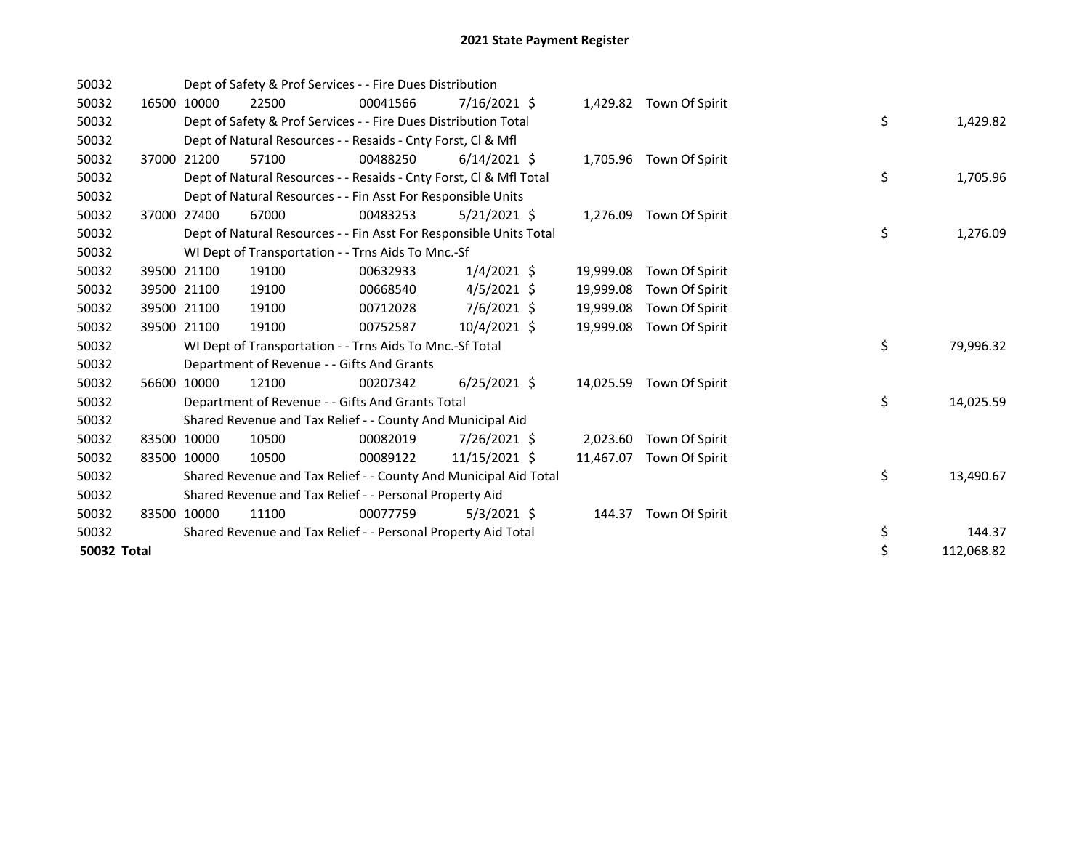| 50032       |             | Dept of Safety & Prof Services - - Fire Dues Distribution |                                                                    |          |                |           |                          |  |                  |
|-------------|-------------|-----------------------------------------------------------|--------------------------------------------------------------------|----------|----------------|-----------|--------------------------|--|------------------|
| 50032       |             | 16500 10000                                               | 22500                                                              | 00041566 | $7/16/2021$ \$ |           | 1,429.82 Town Of Spirit  |  |                  |
| 50032       |             |                                                           | Dept of Safety & Prof Services - - Fire Dues Distribution Total    |          |                |           |                          |  | \$<br>1,429.82   |
| 50032       |             |                                                           | Dept of Natural Resources - - Resaids - Cnty Forst, CI & Mfl       |          |                |           |                          |  |                  |
| 50032       |             | 37000 21200                                               | 57100                                                              | 00488250 | $6/14/2021$ \$ |           | 1,705.96 Town Of Spirit  |  |                  |
| 50032       |             |                                                           | Dept of Natural Resources - - Resaids - Cnty Forst, CI & Mfl Total |          |                |           |                          |  | \$<br>1,705.96   |
| 50032       |             |                                                           | Dept of Natural Resources - - Fin Asst For Responsible Units       |          |                |           |                          |  |                  |
| 50032       | 37000       | 27400                                                     | 67000                                                              | 00483253 | $5/21/2021$ \$ | 1,276.09  | Town Of Spirit           |  |                  |
| 50032       |             |                                                           | Dept of Natural Resources - - Fin Asst For Responsible Units Total |          |                |           |                          |  | \$<br>1,276.09   |
| 50032       |             |                                                           | WI Dept of Transportation - - Trns Aids To Mnc.-Sf                 |          |                |           |                          |  |                  |
| 50032       |             | 39500 21100                                               | 19100                                                              | 00632933 | $1/4/2021$ \$  | 19,999.08 | Town Of Spirit           |  |                  |
| 50032       |             | 39500 21100                                               | 19100                                                              | 00668540 | $4/5/2021$ \$  | 19,999.08 | Town Of Spirit           |  |                  |
| 50032       | 39500 21100 |                                                           | 19100                                                              | 00712028 | $7/6/2021$ \$  | 19,999.08 | Town Of Spirit           |  |                  |
| 50032       | 39500 21100 |                                                           | 19100                                                              | 00752587 | 10/4/2021 \$   | 19,999.08 | Town Of Spirit           |  |                  |
| 50032       |             |                                                           | WI Dept of Transportation - - Trns Aids To Mnc.-Sf Total           |          |                |           |                          |  | \$<br>79,996.32  |
| 50032       |             |                                                           | Department of Revenue - - Gifts And Grants                         |          |                |           |                          |  |                  |
| 50032       |             | 56600 10000                                               | 12100                                                              | 00207342 | $6/25/2021$ \$ |           | 14,025.59 Town Of Spirit |  |                  |
| 50032       |             |                                                           | Department of Revenue - - Gifts And Grants Total                   |          |                |           |                          |  | \$<br>14,025.59  |
| 50032       |             |                                                           | Shared Revenue and Tax Relief - - County And Municipal Aid         |          |                |           |                          |  |                  |
| 50032       |             | 83500 10000                                               | 10500                                                              | 00082019 | 7/26/2021 \$   | 2,023.60  | Town Of Spirit           |  |                  |
| 50032       |             | 83500 10000                                               | 10500                                                              | 00089122 | 11/15/2021 \$  | 11,467.07 | Town Of Spirit           |  |                  |
| 50032       |             |                                                           | Shared Revenue and Tax Relief - - County And Municipal Aid Total   |          |                |           |                          |  | \$<br>13,490.67  |
| 50032       |             |                                                           | Shared Revenue and Tax Relief - - Personal Property Aid            |          |                |           |                          |  |                  |
| 50032       |             | 83500 10000                                               | 11100                                                              | 00077759 | $5/3/2021$ \$  | 144.37    | Town Of Spirit           |  |                  |
| 50032       |             |                                                           | Shared Revenue and Tax Relief - - Personal Property Aid Total      |          |                |           |                          |  | \$<br>144.37     |
| 50032 Total |             |                                                           |                                                                    |          |                |           |                          |  | \$<br>112,068.82 |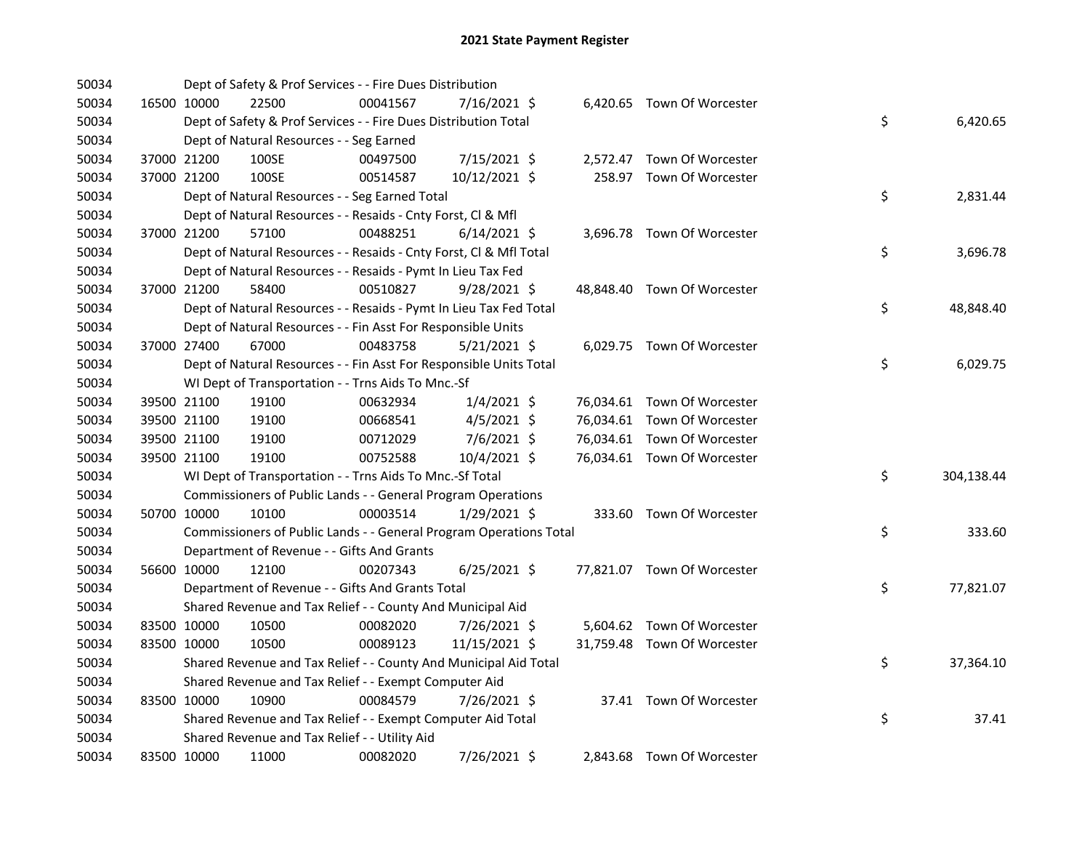| 50034 |             |             | Dept of Safety & Prof Services - - Fire Dues Distribution          |          |                |  |                             |    |            |
|-------|-------------|-------------|--------------------------------------------------------------------|----------|----------------|--|-----------------------------|----|------------|
| 50034 |             | 16500 10000 | 22500                                                              | 00041567 | 7/16/2021 \$   |  | 6,420.65 Town Of Worcester  |    |            |
| 50034 |             |             | Dept of Safety & Prof Services - - Fire Dues Distribution Total    |          |                |  |                             | \$ | 6,420.65   |
| 50034 |             |             | Dept of Natural Resources - - Seg Earned                           |          |                |  |                             |    |            |
| 50034 |             | 37000 21200 | 100SE                                                              | 00497500 | 7/15/2021 \$   |  | 2,572.47 Town Of Worcester  |    |            |
| 50034 |             | 37000 21200 | 100SE                                                              | 00514587 | 10/12/2021 \$  |  | 258.97 Town Of Worcester    |    |            |
| 50034 |             |             | Dept of Natural Resources - - Seg Earned Total                     |          |                |  |                             | \$ | 2,831.44   |
| 50034 |             |             | Dept of Natural Resources - - Resaids - Cnty Forst, Cl & Mfl       |          |                |  |                             |    |            |
| 50034 |             | 37000 21200 | 57100                                                              | 00488251 | $6/14/2021$ \$ |  | 3,696.78 Town Of Worcester  |    |            |
| 50034 |             |             | Dept of Natural Resources - - Resaids - Cnty Forst, CI & Mfl Total |          |                |  |                             | \$ | 3,696.78   |
| 50034 |             |             | Dept of Natural Resources - - Resaids - Pymt In Lieu Tax Fed       |          |                |  |                             |    |            |
| 50034 | 37000 21200 |             | 58400                                                              | 00510827 | $9/28/2021$ \$ |  | 48,848.40 Town Of Worcester |    |            |
| 50034 |             |             | Dept of Natural Resources - - Resaids - Pymt In Lieu Tax Fed Total |          |                |  |                             | \$ | 48,848.40  |
| 50034 |             |             | Dept of Natural Resources - - Fin Asst For Responsible Units       |          |                |  |                             |    |            |
| 50034 |             | 37000 27400 | 67000                                                              | 00483758 | $5/21/2021$ \$ |  | 6,029.75 Town Of Worcester  |    |            |
| 50034 |             |             | Dept of Natural Resources - - Fin Asst For Responsible Units Total |          |                |  |                             | \$ | 6,029.75   |
| 50034 |             |             | WI Dept of Transportation - - Trns Aids To Mnc.-Sf                 |          |                |  |                             |    |            |
| 50034 |             | 39500 21100 | 19100                                                              | 00632934 | $1/4/2021$ \$  |  | 76,034.61 Town Of Worcester |    |            |
| 50034 |             | 39500 21100 | 19100                                                              | 00668541 | $4/5/2021$ \$  |  | 76,034.61 Town Of Worcester |    |            |
| 50034 |             | 39500 21100 | 19100                                                              | 00712029 | 7/6/2021 \$    |  | 76,034.61 Town Of Worcester |    |            |
| 50034 |             | 39500 21100 | 19100                                                              | 00752588 | 10/4/2021 \$   |  | 76,034.61 Town Of Worcester |    |            |
| 50034 |             |             | WI Dept of Transportation - - Trns Aids To Mnc.-Sf Total           |          |                |  |                             | \$ | 304,138.44 |
| 50034 |             |             | Commissioners of Public Lands - - General Program Operations       |          |                |  |                             |    |            |
| 50034 |             | 50700 10000 | 10100                                                              | 00003514 | $1/29/2021$ \$ |  | 333.60 Town Of Worcester    |    |            |
| 50034 |             |             | Commissioners of Public Lands - - General Program Operations Total |          |                |  |                             | \$ | 333.60     |
| 50034 |             |             | Department of Revenue - - Gifts And Grants                         |          |                |  |                             |    |            |
| 50034 |             | 56600 10000 | 12100                                                              | 00207343 | $6/25/2021$ \$ |  | 77,821.07 Town Of Worcester |    |            |
| 50034 |             |             | Department of Revenue - - Gifts And Grants Total                   |          |                |  |                             | \$ | 77,821.07  |
| 50034 |             |             | Shared Revenue and Tax Relief - - County And Municipal Aid         |          |                |  |                             |    |            |
| 50034 |             | 83500 10000 | 10500                                                              | 00082020 | 7/26/2021 \$   |  | 5,604.62 Town Of Worcester  |    |            |
| 50034 |             | 83500 10000 | 10500                                                              | 00089123 | 11/15/2021 \$  |  | 31,759.48 Town Of Worcester |    |            |
| 50034 |             |             | Shared Revenue and Tax Relief - - County And Municipal Aid Total   |          |                |  |                             | \$ | 37,364.10  |
| 50034 |             |             | Shared Revenue and Tax Relief - - Exempt Computer Aid              |          |                |  |                             |    |            |
| 50034 |             | 83500 10000 | 10900                                                              | 00084579 | 7/26/2021 \$   |  | 37.41 Town Of Worcester     |    |            |
| 50034 |             |             | Shared Revenue and Tax Relief - - Exempt Computer Aid Total        |          |                |  |                             | \$ | 37.41      |
| 50034 |             |             | Shared Revenue and Tax Relief - - Utility Aid                      |          |                |  |                             |    |            |
| 50034 |             | 83500 10000 | 11000                                                              | 00082020 | 7/26/2021 \$   |  | 2,843.68 Town Of Worcester  |    |            |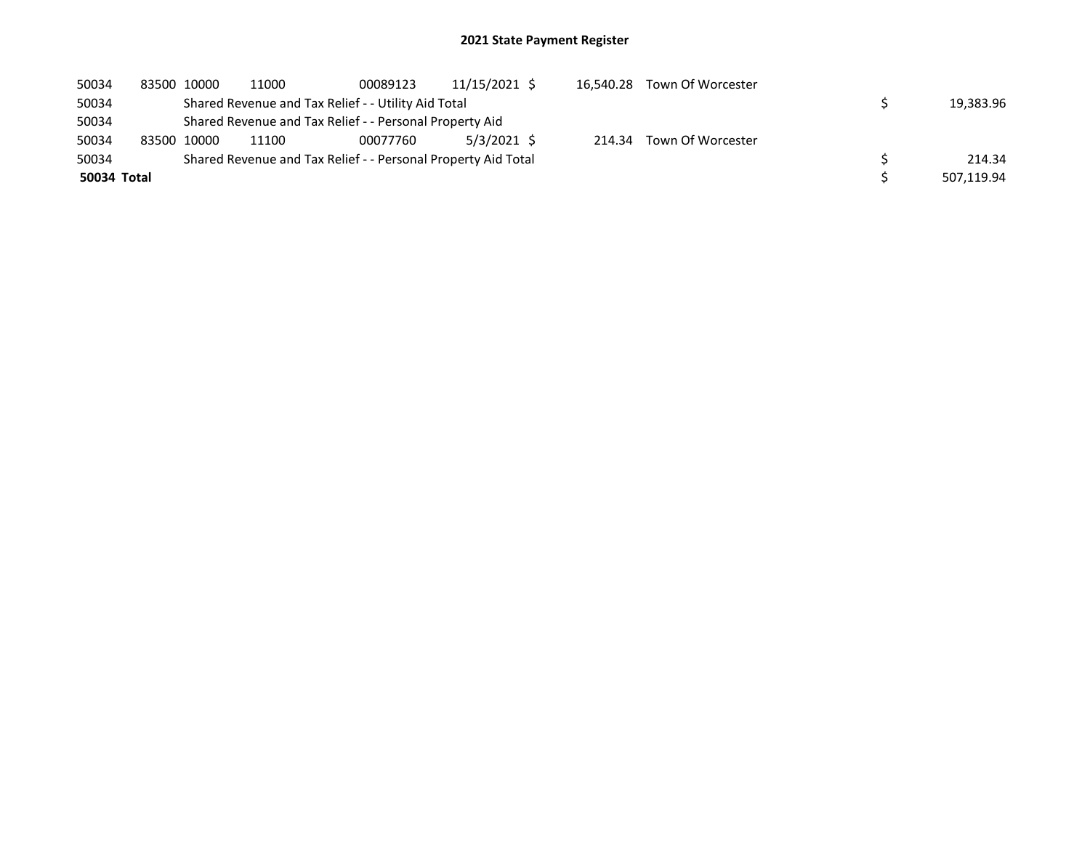| 50034       | 83500 10000 |             | 11000                                                         | 00089123 | 11/15/2021 \$ | 16.540.28 | Town Of Worcester |  |            |
|-------------|-------------|-------------|---------------------------------------------------------------|----------|---------------|-----------|-------------------|--|------------|
| 50034       |             |             | Shared Revenue and Tax Relief - - Utility Aid Total           |          |               |           |                   |  | 19,383.96  |
| 50034       |             |             | Shared Revenue and Tax Relief - - Personal Property Aid       |          |               |           |                   |  |            |
| 50034       |             | 83500 10000 | 11100                                                         | 00077760 | 5/3/2021 \$   | 214.34    | Town Of Worcester |  |            |
| 50034       |             |             | Shared Revenue and Tax Relief - - Personal Property Aid Total |          |               |           |                   |  | 214.34     |
| 50034 Total |             |             |                                                               |          |               |           |                   |  | 507,119.94 |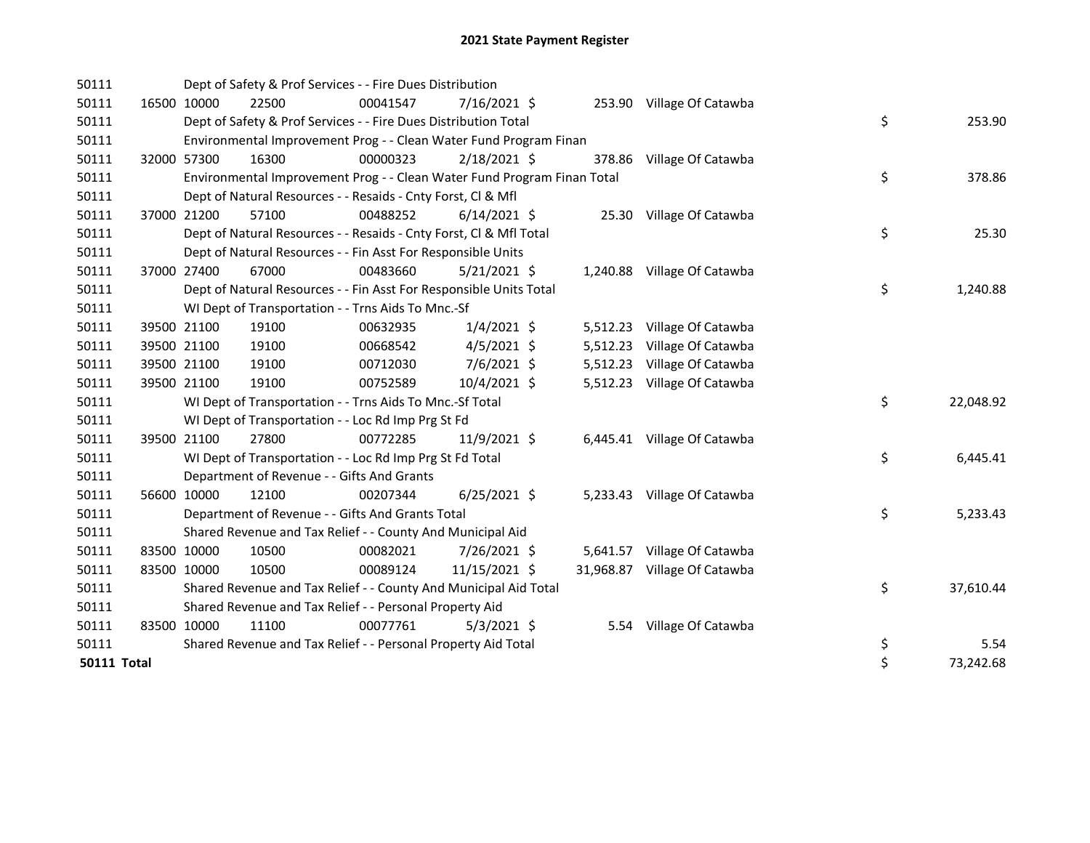| 50111              |             | Dept of Safety & Prof Services - - Fire Dues Distribution               |          |                |          |                              |    |           |
|--------------------|-------------|-------------------------------------------------------------------------|----------|----------------|----------|------------------------------|----|-----------|
| 50111              | 16500 10000 | 22500                                                                   | 00041547 | $7/16/2021$ \$ |          | 253.90 Village Of Catawba    |    |           |
| 50111              |             | Dept of Safety & Prof Services - - Fire Dues Distribution Total         |          |                |          |                              | \$ | 253.90    |
| 50111              |             | Environmental Improvement Prog - - Clean Water Fund Program Finan       |          |                |          |                              |    |           |
| 50111              | 32000 57300 | 16300                                                                   | 00000323 | $2/18/2021$ \$ |          | 378.86 Village Of Catawba    |    |           |
| 50111              |             | Environmental Improvement Prog - - Clean Water Fund Program Finan Total |          |                |          |                              | \$ | 378.86    |
| 50111              |             | Dept of Natural Resources - - Resaids - Cnty Forst, Cl & Mfl            |          |                |          |                              |    |           |
| 50111              | 37000 21200 | 57100                                                                   | 00488252 | $6/14/2021$ \$ |          | 25.30 Village Of Catawba     |    |           |
| 50111              |             | Dept of Natural Resources - - Resaids - Cnty Forst, Cl & Mfl Total      |          |                |          |                              | \$ | 25.30     |
| 50111              |             | Dept of Natural Resources - - Fin Asst For Responsible Units            |          |                |          |                              |    |           |
| 50111              | 37000 27400 | 67000                                                                   | 00483660 | $5/21/2021$ \$ |          | 1,240.88 Village Of Catawba  |    |           |
| 50111              |             | Dept of Natural Resources - - Fin Asst For Responsible Units Total      |          |                |          |                              | \$ | 1,240.88  |
| 50111              |             | WI Dept of Transportation - - Trns Aids To Mnc.-Sf                      |          |                |          |                              |    |           |
| 50111              | 39500 21100 | 19100                                                                   | 00632935 | $1/4/2021$ \$  |          | 5,512.23 Village Of Catawba  |    |           |
| 50111              | 39500 21100 | 19100                                                                   | 00668542 | $4/5/2021$ \$  |          | 5,512.23 Village Of Catawba  |    |           |
| 50111              | 39500 21100 | 19100                                                                   | 00712030 | 7/6/2021 \$    | 5,512.23 | Village Of Catawba           |    |           |
| 50111              | 39500 21100 | 19100                                                                   | 00752589 | 10/4/2021 \$   |          | 5,512.23 Village Of Catawba  |    |           |
| 50111              |             | WI Dept of Transportation - - Trns Aids To Mnc.-Sf Total                |          |                |          |                              | \$ | 22,048.92 |
| 50111              |             | WI Dept of Transportation - - Loc Rd Imp Prg St Fd                      |          |                |          |                              |    |           |
| 50111              | 39500 21100 | 27800                                                                   | 00772285 | 11/9/2021 \$   |          | 6,445.41 Village Of Catawba  |    |           |
| 50111              |             | WI Dept of Transportation - - Loc Rd Imp Prg St Fd Total                |          |                |          |                              | \$ | 6,445.41  |
| 50111              |             | Department of Revenue - - Gifts And Grants                              |          |                |          |                              |    |           |
| 50111              | 56600 10000 | 12100                                                                   | 00207344 | $6/25/2021$ \$ |          | 5,233.43 Village Of Catawba  |    |           |
| 50111              |             | Department of Revenue - - Gifts And Grants Total                        |          |                |          |                              | \$ | 5,233.43  |
| 50111              |             | Shared Revenue and Tax Relief - - County And Municipal Aid              |          |                |          |                              |    |           |
| 50111              | 83500 10000 | 10500                                                                   | 00082021 | 7/26/2021 \$   |          | 5,641.57 Village Of Catawba  |    |           |
| 50111              | 83500 10000 | 10500                                                                   | 00089124 | 11/15/2021 \$  |          | 31,968.87 Village Of Catawba |    |           |
| 50111              |             | Shared Revenue and Tax Relief - - County And Municipal Aid Total        |          |                |          |                              | \$ | 37,610.44 |
| 50111              |             | Shared Revenue and Tax Relief - - Personal Property Aid                 |          |                |          |                              |    |           |
| 50111              | 83500 10000 | 11100                                                                   | 00077761 | $5/3/2021$ \$  |          | 5.54 Village Of Catawba      |    |           |
| 50111              |             | Shared Revenue and Tax Relief - - Personal Property Aid Total           |          |                |          |                              | \$ | 5.54      |
| <b>50111 Total</b> |             |                                                                         |          |                |          |                              | \$ | 73,242.68 |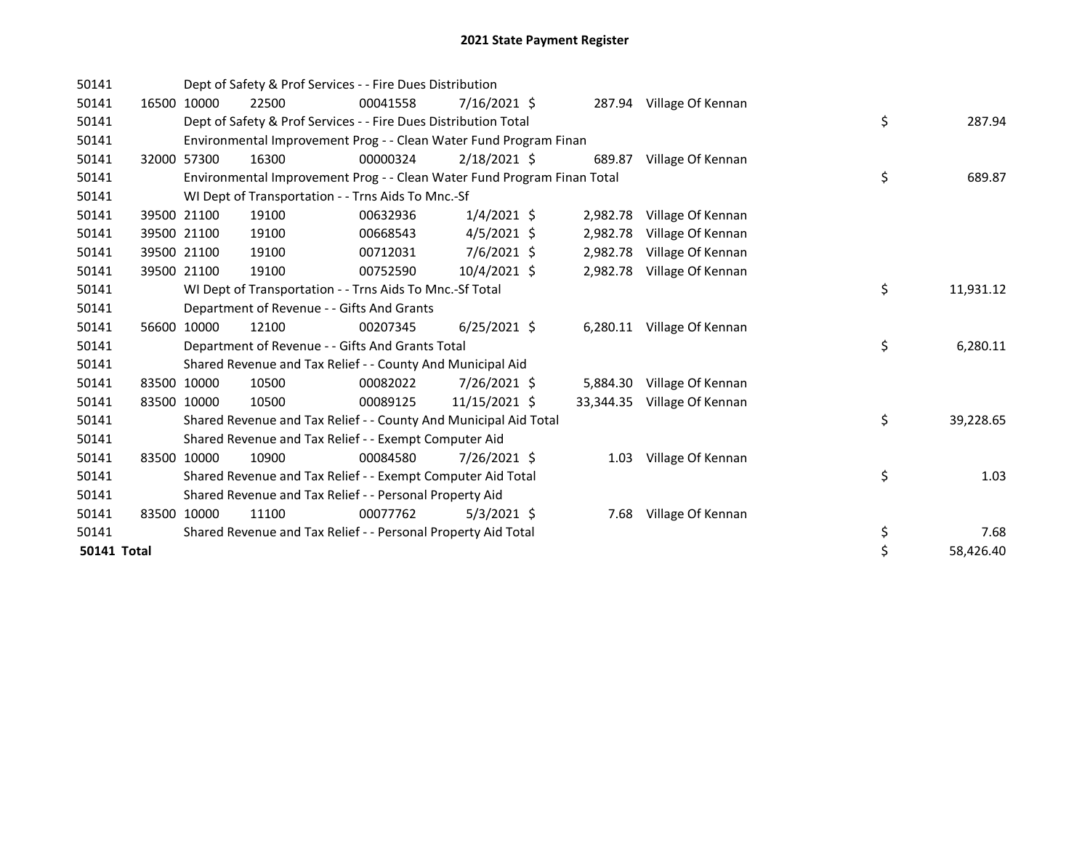| 50141              |       |             | Dept of Safety & Prof Services - - Fire Dues Distribution               |          |                |           |                            |    |           |
|--------------------|-------|-------------|-------------------------------------------------------------------------|----------|----------------|-----------|----------------------------|----|-----------|
| 50141              | 16500 | 10000       | 22500                                                                   | 00041558 | $7/16/2021$ \$ |           | 287.94 Village Of Kennan   |    |           |
| 50141              |       |             | Dept of Safety & Prof Services - - Fire Dues Distribution Total         |          |                |           |                            | \$ | 287.94    |
| 50141              |       |             | Environmental Improvement Prog - - Clean Water Fund Program Finan       |          |                |           |                            |    |           |
| 50141              |       | 32000 57300 | 16300                                                                   | 00000324 | $2/18/2021$ \$ | 689.87    | Village Of Kennan          |    |           |
| 50141              |       |             | Environmental Improvement Prog - - Clean Water Fund Program Finan Total |          |                |           |                            | \$ | 689.87    |
| 50141              |       |             | WI Dept of Transportation - - Trns Aids To Mnc.-Sf                      |          |                |           |                            |    |           |
| 50141              | 39500 | 21100       | 19100                                                                   | 00632936 | $1/4/2021$ \$  | 2,982.78  | Village Of Kennan          |    |           |
| 50141              |       | 39500 21100 | 19100                                                                   | 00668543 | $4/5/2021$ \$  | 2,982.78  | Village Of Kennan          |    |           |
| 50141              |       | 39500 21100 | 19100                                                                   | 00712031 | 7/6/2021 \$    | 2,982.78  | Village Of Kennan          |    |           |
| 50141              |       | 39500 21100 | 19100                                                                   | 00752590 | $10/4/2021$ \$ | 2,982.78  | Village Of Kennan          |    |           |
| 50141              |       |             | WI Dept of Transportation - - Trns Aids To Mnc.-Sf Total                |          |                |           |                            | \$ | 11,931.12 |
| 50141              |       |             | Department of Revenue - - Gifts And Grants                              |          |                |           |                            |    |           |
| 50141              |       | 56600 10000 | 12100                                                                   | 00207345 | $6/25/2021$ \$ |           | 6,280.11 Village Of Kennan |    |           |
| 50141              |       |             | Department of Revenue - - Gifts And Grants Total                        |          |                |           |                            | \$ | 6,280.11  |
| 50141              |       |             | Shared Revenue and Tax Relief - - County And Municipal Aid              |          |                |           |                            |    |           |
| 50141              |       | 83500 10000 | 10500                                                                   | 00082022 | 7/26/2021 \$   | 5,884.30  | Village Of Kennan          |    |           |
| 50141              |       | 83500 10000 | 10500                                                                   | 00089125 | 11/15/2021 \$  | 33,344.35 | Village Of Kennan          |    |           |
| 50141              |       |             | Shared Revenue and Tax Relief - - County And Municipal Aid Total        |          |                |           |                            | \$ | 39,228.65 |
| 50141              |       |             | Shared Revenue and Tax Relief - - Exempt Computer Aid                   |          |                |           |                            |    |           |
| 50141              |       | 83500 10000 | 10900                                                                   | 00084580 | 7/26/2021 \$   | 1.03      | Village Of Kennan          |    |           |
| 50141              |       |             | Shared Revenue and Tax Relief - - Exempt Computer Aid Total             |          |                |           |                            | \$ | 1.03      |
| 50141              |       |             | Shared Revenue and Tax Relief - - Personal Property Aid                 |          |                |           |                            |    |           |
| 50141              | 83500 | 10000       | 11100                                                                   | 00077762 | $5/3/2021$ \$  | 7.68      | Village Of Kennan          |    |           |
| 50141              |       |             | Shared Revenue and Tax Relief - - Personal Property Aid Total           |          |                |           |                            | \$ | 7.68      |
| <b>50141 Total</b> |       |             |                                                                         |          |                |           |                            | \$ | 58,426.40 |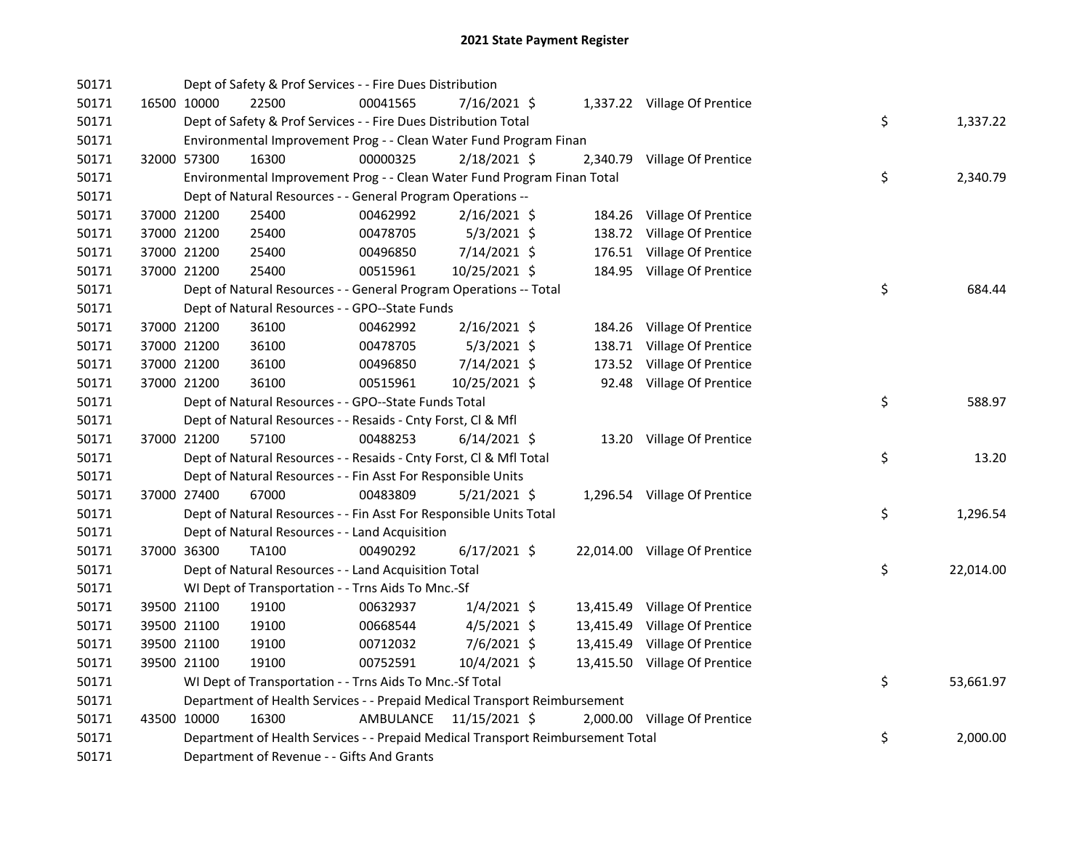| 50171 |             | Dept of Safety & Prof Services - - Fire Dues Distribution                       |                         |                |           |                               |    |           |
|-------|-------------|---------------------------------------------------------------------------------|-------------------------|----------------|-----------|-------------------------------|----|-----------|
| 50171 | 16500 10000 | 22500                                                                           | 00041565                | 7/16/2021 \$   |           | 1,337.22 Village Of Prentice  |    |           |
| 50171 |             | Dept of Safety & Prof Services - - Fire Dues Distribution Total                 |                         |                |           |                               | \$ | 1,337.22  |
| 50171 |             | Environmental Improvement Prog - - Clean Water Fund Program Finan               |                         |                |           |                               |    |           |
| 50171 | 32000 57300 | 16300                                                                           | 00000325                | 2/18/2021 \$   |           | 2,340.79 Village Of Prentice  |    |           |
| 50171 |             | Environmental Improvement Prog - - Clean Water Fund Program Finan Total         |                         |                |           |                               | \$ | 2,340.79  |
| 50171 |             | Dept of Natural Resources - - General Program Operations --                     |                         |                |           |                               |    |           |
| 50171 | 37000 21200 | 25400                                                                           | 00462992                | $2/16/2021$ \$ |           | 184.26 Village Of Prentice    |    |           |
| 50171 | 37000 21200 | 25400                                                                           | 00478705                | $5/3/2021$ \$  |           | 138.72 Village Of Prentice    |    |           |
| 50171 | 37000 21200 | 25400                                                                           | 00496850                | 7/14/2021 \$   |           | 176.51 Village Of Prentice    |    |           |
| 50171 | 37000 21200 | 25400                                                                           | 00515961                | 10/25/2021 \$  |           | 184.95 Village Of Prentice    |    |           |
| 50171 |             | Dept of Natural Resources - - General Program Operations -- Total               |                         |                |           |                               | \$ | 684.44    |
| 50171 |             | Dept of Natural Resources - - GPO--State Funds                                  |                         |                |           |                               |    |           |
| 50171 | 37000 21200 | 36100                                                                           | 00462992                | $2/16/2021$ \$ |           | 184.26 Village Of Prentice    |    |           |
| 50171 | 37000 21200 | 36100                                                                           | 00478705                | $5/3/2021$ \$  | 138.71    | Village Of Prentice           |    |           |
| 50171 | 37000 21200 | 36100                                                                           | 00496850                | 7/14/2021 \$   |           | 173.52 Village Of Prentice    |    |           |
| 50171 | 37000 21200 | 36100                                                                           | 00515961                | 10/25/2021 \$  |           | 92.48 Village Of Prentice     |    |           |
| 50171 |             | Dept of Natural Resources - - GPO--State Funds Total                            |                         |                |           |                               | \$ | 588.97    |
| 50171 |             | Dept of Natural Resources - - Resaids - Cnty Forst, Cl & Mfl                    |                         |                |           |                               |    |           |
| 50171 | 37000 21200 | 57100                                                                           | 00488253                | $6/14/2021$ \$ |           | 13.20 Village Of Prentice     |    |           |
| 50171 |             | Dept of Natural Resources - - Resaids - Cnty Forst, Cl & Mfl Total              |                         |                |           |                               | \$ | 13.20     |
| 50171 |             | Dept of Natural Resources - - Fin Asst For Responsible Units                    |                         |                |           |                               |    |           |
| 50171 | 37000 27400 | 67000                                                                           | 00483809                | 5/21/2021 \$   |           | 1,296.54 Village Of Prentice  |    |           |
| 50171 |             | Dept of Natural Resources - - Fin Asst For Responsible Units Total              |                         |                |           |                               | \$ | 1,296.54  |
| 50171 |             | Dept of Natural Resources - - Land Acquisition                                  |                         |                |           |                               |    |           |
| 50171 | 37000 36300 | TA100                                                                           | 00490292                | $6/17/2021$ \$ |           | 22,014.00 Village Of Prentice |    |           |
| 50171 |             | Dept of Natural Resources - - Land Acquisition Total                            |                         |                |           |                               | \$ | 22,014.00 |
| 50171 |             | WI Dept of Transportation - - Trns Aids To Mnc.-Sf                              |                         |                |           |                               |    |           |
| 50171 | 39500 21100 | 19100                                                                           | 00632937                | $1/4/2021$ \$  |           | 13,415.49 Village Of Prentice |    |           |
| 50171 | 39500 21100 | 19100                                                                           | 00668544                | $4/5/2021$ \$  | 13,415.49 | Village Of Prentice           |    |           |
| 50171 | 39500 21100 | 19100                                                                           | 00712032                | 7/6/2021 \$    |           | 13,415.49 Village Of Prentice |    |           |
| 50171 | 39500 21100 | 19100                                                                           | 00752591                | 10/4/2021 \$   |           | 13,415.50 Village Of Prentice |    |           |
| 50171 |             | WI Dept of Transportation - - Trns Aids To Mnc.-Sf Total                        |                         |                |           |                               | \$ | 53,661.97 |
| 50171 |             | Department of Health Services - - Prepaid Medical Transport Reimbursement       |                         |                |           |                               |    |           |
| 50171 | 43500 10000 | 16300                                                                           | AMBULANCE 11/15/2021 \$ |                |           | 2,000.00 Village Of Prentice  |    |           |
| 50171 |             | Department of Health Services - - Prepaid Medical Transport Reimbursement Total |                         |                |           |                               | \$ | 2,000.00  |
| 50171 |             | Department of Revenue - - Gifts And Grants                                      |                         |                |           |                               |    |           |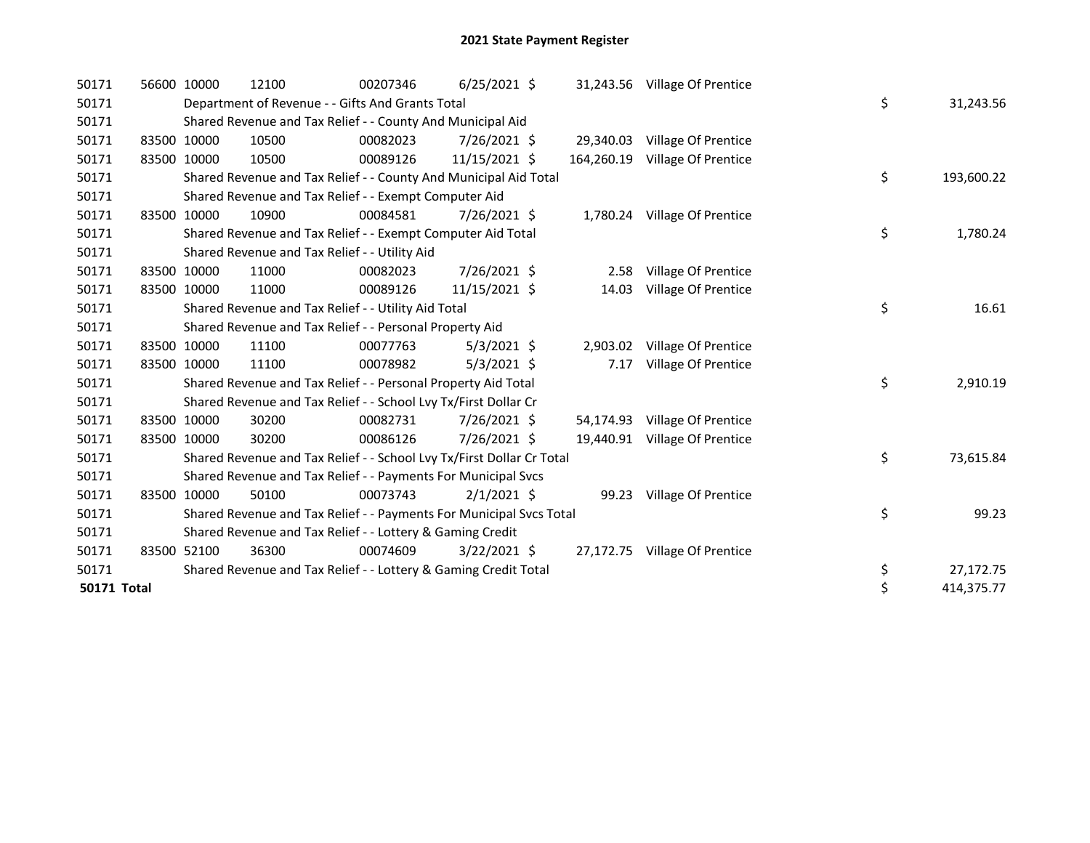| 50171              | 56600 10000 | 12100                                                                 | 00207346 | $6/25/2021$ \$ |            | 31,243.56 Village Of Prentice |    |            |
|--------------------|-------------|-----------------------------------------------------------------------|----------|----------------|------------|-------------------------------|----|------------|
| 50171              |             | Department of Revenue - - Gifts And Grants Total                      | \$       | 31,243.56      |            |                               |    |            |
| 50171              |             | Shared Revenue and Tax Relief - - County And Municipal Aid            |          |                |            |                               |    |            |
| 50171              | 83500 10000 | 10500                                                                 | 00082023 | 7/26/2021 \$   | 29,340.03  | Village Of Prentice           |    |            |
| 50171              | 83500 10000 | 10500                                                                 | 00089126 | 11/15/2021 \$  | 164,260.19 | Village Of Prentice           |    |            |
| 50171              |             | Shared Revenue and Tax Relief - - County And Municipal Aid Total      |          |                |            |                               | \$ | 193,600.22 |
| 50171              |             | Shared Revenue and Tax Relief - - Exempt Computer Aid                 |          |                |            |                               |    |            |
| 50171              | 83500 10000 | 10900                                                                 | 00084581 | 7/26/2021 \$   |            | 1,780.24 Village Of Prentice  |    |            |
| 50171              |             | Shared Revenue and Tax Relief - - Exempt Computer Aid Total           |          |                |            |                               | \$ | 1,780.24   |
| 50171              |             | Shared Revenue and Tax Relief - - Utility Aid                         |          |                |            |                               |    |            |
| 50171              | 83500 10000 | 11000                                                                 | 00082023 | 7/26/2021 \$   | 2.58       | Village Of Prentice           |    |            |
| 50171              | 83500 10000 | 11000                                                                 | 00089126 | 11/15/2021 \$  | 14.03      | Village Of Prentice           |    |            |
| 50171              |             | Shared Revenue and Tax Relief - - Utility Aid Total                   |          |                |            |                               | \$ | 16.61      |
| 50171              |             | Shared Revenue and Tax Relief - - Personal Property Aid               |          |                |            |                               |    |            |
| 50171              | 83500 10000 | 11100                                                                 | 00077763 | $5/3/2021$ \$  |            | 2,903.02 Village Of Prentice  |    |            |
| 50171              | 83500 10000 | 11100                                                                 | 00078982 | 5/3/2021 \$    | 7.17       | Village Of Prentice           |    |            |
| 50171              |             | Shared Revenue and Tax Relief - - Personal Property Aid Total         |          |                |            |                               | \$ | 2,910.19   |
| 50171              |             | Shared Revenue and Tax Relief - - School Lvy Tx/First Dollar Cr       |          |                |            |                               |    |            |
| 50171              | 83500 10000 | 30200                                                                 | 00082731 | 7/26/2021 \$   |            | 54,174.93 Village Of Prentice |    |            |
| 50171              | 83500 10000 | 30200                                                                 | 00086126 | 7/26/2021 \$   | 19,440.91  | Village Of Prentice           |    |            |
| 50171              |             | Shared Revenue and Tax Relief - - School Lvy Tx/First Dollar Cr Total |          |                |            |                               | \$ | 73,615.84  |
| 50171              |             | Shared Revenue and Tax Relief - - Payments For Municipal Svcs         |          |                |            |                               |    |            |
| 50171              | 83500 10000 | 50100                                                                 | 00073743 | $2/1/2021$ \$  |            | 99.23 Village Of Prentice     |    |            |
| 50171              |             | Shared Revenue and Tax Relief - - Payments For Municipal Svcs Total   |          |                |            |                               | \$ | 99.23      |
| 50171              |             | Shared Revenue and Tax Relief - - Lottery & Gaming Credit             |          |                |            |                               |    |            |
| 50171              | 83500 52100 | 36300                                                                 | 00074609 | $3/22/2021$ \$ |            | 27,172.75 Village Of Prentice |    |            |
| 50171              |             | Shared Revenue and Tax Relief - - Lottery & Gaming Credit Total       |          |                |            |                               | \$ | 27,172.75  |
| <b>50171 Total</b> |             |                                                                       |          |                |            |                               | \$ | 414,375.77 |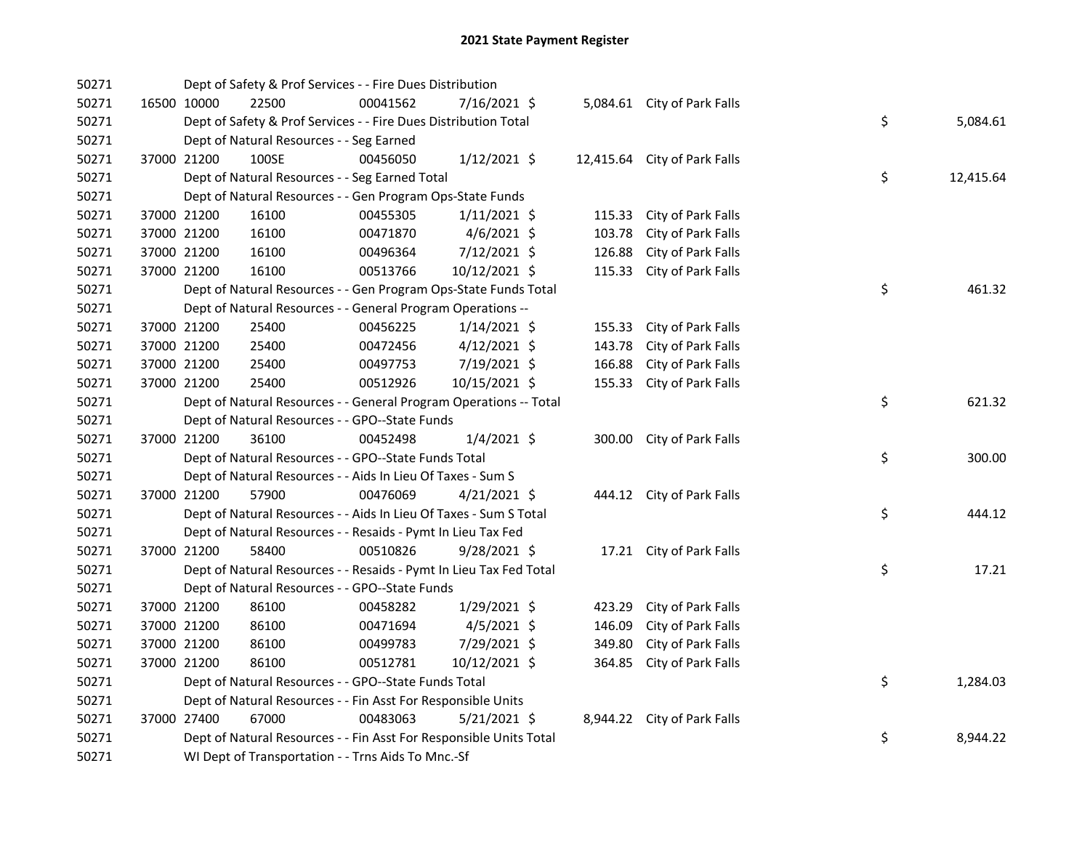| 50271 |             |                                          | Dept of Safety & Prof Services - - Fire Dues Distribution          |                |        |                              |    |           |
|-------|-------------|------------------------------------------|--------------------------------------------------------------------|----------------|--------|------------------------------|----|-----------|
| 50271 | 16500 10000 | 22500                                    | 00041562                                                           | 7/16/2021 \$   |        | 5,084.61 City of Park Falls  |    |           |
| 50271 |             |                                          | Dept of Safety & Prof Services - - Fire Dues Distribution Total    |                |        |                              | \$ | 5,084.61  |
| 50271 |             | Dept of Natural Resources - - Seg Earned |                                                                    |                |        |                              |    |           |
| 50271 | 37000 21200 | 100SE                                    | 00456050                                                           | 1/12/2021 \$   |        | 12,415.64 City of Park Falls |    |           |
| 50271 |             |                                          | Dept of Natural Resources - - Seg Earned Total                     |                |        |                              | \$ | 12,415.64 |
| 50271 |             |                                          | Dept of Natural Resources - - Gen Program Ops-State Funds          |                |        |                              |    |           |
| 50271 | 37000 21200 | 16100                                    | 00455305                                                           | $1/11/2021$ \$ | 115.33 | City of Park Falls           |    |           |
| 50271 | 37000 21200 | 16100                                    | 00471870                                                           | $4/6/2021$ \$  | 103.78 | City of Park Falls           |    |           |
| 50271 | 37000 21200 | 16100                                    | 00496364                                                           | 7/12/2021 \$   | 126.88 | City of Park Falls           |    |           |
| 50271 | 37000 21200 | 16100                                    | 00513766                                                           | 10/12/2021 \$  | 115.33 | City of Park Falls           |    |           |
| 50271 |             |                                          | Dept of Natural Resources - - Gen Program Ops-State Funds Total    |                |        |                              | \$ | 461.32    |
| 50271 |             |                                          | Dept of Natural Resources - - General Program Operations --        |                |        |                              |    |           |
| 50271 | 37000 21200 | 25400                                    | 00456225                                                           | $1/14/2021$ \$ |        | 155.33 City of Park Falls    |    |           |
| 50271 | 37000 21200 | 25400                                    | 00472456                                                           | $4/12/2021$ \$ | 143.78 | City of Park Falls           |    |           |
| 50271 | 37000 21200 | 25400                                    | 00497753                                                           | 7/19/2021 \$   | 166.88 | City of Park Falls           |    |           |
| 50271 | 37000 21200 | 25400                                    | 00512926                                                           | 10/15/2021 \$  |        | 155.33 City of Park Falls    |    |           |
| 50271 |             |                                          | Dept of Natural Resources - - General Program Operations -- Total  |                |        |                              | \$ | 621.32    |
| 50271 |             |                                          | Dept of Natural Resources - - GPO--State Funds                     |                |        |                              |    |           |
| 50271 | 37000 21200 | 36100                                    | 00452498                                                           | $1/4/2021$ \$  |        | 300.00 City of Park Falls    |    |           |
| 50271 |             |                                          | Dept of Natural Resources - - GPO--State Funds Total               |                |        |                              | \$ | 300.00    |
| 50271 |             |                                          | Dept of Natural Resources - - Aids In Lieu Of Taxes - Sum S        |                |        |                              |    |           |
| 50271 | 37000 21200 | 57900                                    | 00476069                                                           | $4/21/2021$ \$ |        | 444.12 City of Park Falls    |    |           |
| 50271 |             |                                          | Dept of Natural Resources - - Aids In Lieu Of Taxes - Sum S Total  |                |        |                              | \$ | 444.12    |
| 50271 |             |                                          | Dept of Natural Resources - - Resaids - Pymt In Lieu Tax Fed       |                |        |                              |    |           |
| 50271 | 37000 21200 | 58400                                    | 00510826                                                           | $9/28/2021$ \$ |        | 17.21 City of Park Falls     |    |           |
| 50271 |             |                                          | Dept of Natural Resources - - Resaids - Pymt In Lieu Tax Fed Total |                |        |                              | \$ | 17.21     |
| 50271 |             |                                          | Dept of Natural Resources - - GPO--State Funds                     |                |        |                              |    |           |
| 50271 | 37000 21200 | 86100                                    | 00458282                                                           | 1/29/2021 \$   | 423.29 | City of Park Falls           |    |           |
| 50271 | 37000 21200 | 86100                                    | 00471694                                                           | $4/5/2021$ \$  | 146.09 | City of Park Falls           |    |           |
| 50271 | 37000 21200 | 86100                                    | 00499783                                                           | 7/29/2021 \$   | 349.80 | City of Park Falls           |    |           |
| 50271 | 37000 21200 | 86100                                    | 00512781                                                           | 10/12/2021 \$  | 364.85 | City of Park Falls           |    |           |
| 50271 |             |                                          | Dept of Natural Resources - - GPO--State Funds Total               |                |        |                              | \$ | 1,284.03  |
| 50271 |             |                                          | Dept of Natural Resources - - Fin Asst For Responsible Units       |                |        |                              |    |           |
| 50271 | 37000 27400 | 67000                                    | 00483063                                                           | 5/21/2021 \$   |        | 8,944.22 City of Park Falls  |    |           |
| 50271 |             |                                          | Dept of Natural Resources - - Fin Asst For Responsible Units Total |                |        |                              | \$ | 8,944.22  |
| 50271 |             |                                          | WI Dept of Transportation - - Trns Aids To Mnc.-Sf                 |                |        |                              |    |           |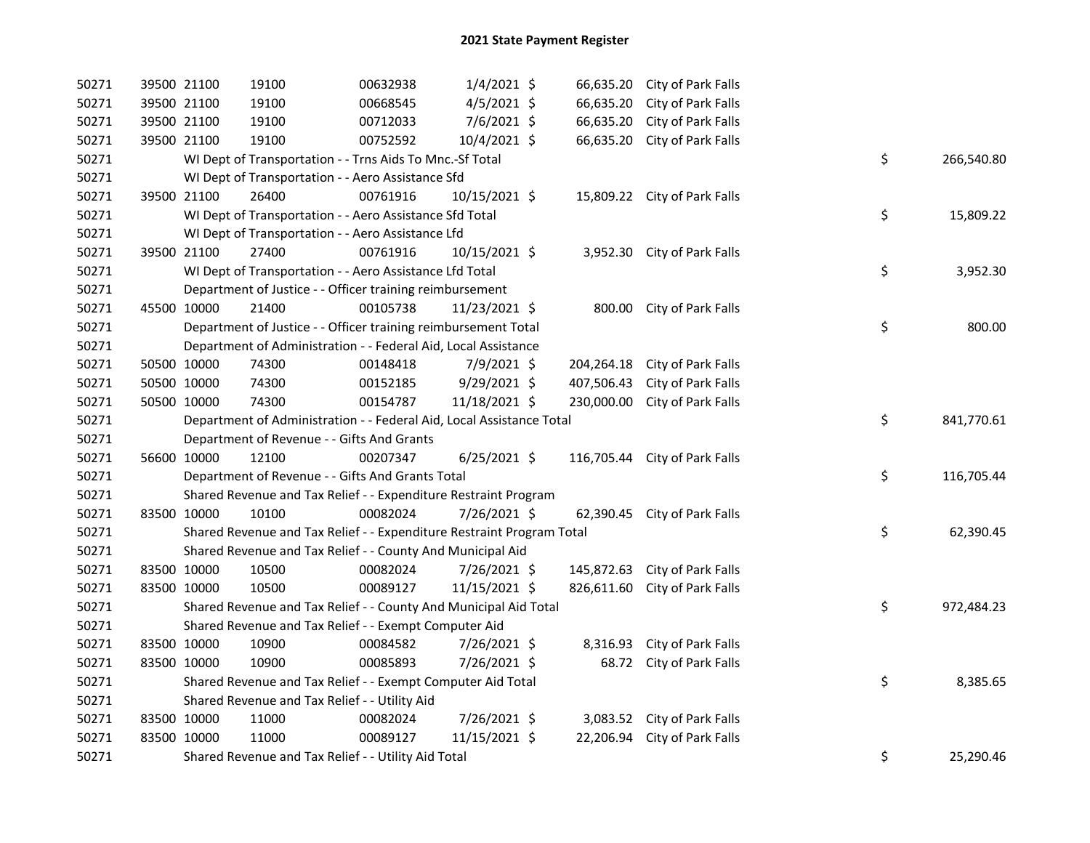| 50271 | 39500 21100 | 19100                                                                 | 00632938 | $1/4/2021$ \$  |            | 66,635.20 City of Park Falls  |    |            |
|-------|-------------|-----------------------------------------------------------------------|----------|----------------|------------|-------------------------------|----|------------|
| 50271 | 39500 21100 | 19100                                                                 | 00668545 | $4/5/2021$ \$  | 66,635.20  | City of Park Falls            |    |            |
| 50271 | 39500 21100 | 19100                                                                 | 00712033 | 7/6/2021 \$    | 66,635.20  | City of Park Falls            |    |            |
| 50271 | 39500 21100 | 19100                                                                 | 00752592 | 10/4/2021 \$   | 66,635.20  | City of Park Falls            |    |            |
| 50271 |             | WI Dept of Transportation - - Trns Aids To Mnc.-Sf Total              |          |                |            |                               | \$ | 266,540.80 |
| 50271 |             | WI Dept of Transportation - - Aero Assistance Sfd                     |          |                |            |                               |    |            |
| 50271 | 39500 21100 | 26400                                                                 | 00761916 | 10/15/2021 \$  |            | 15,809.22 City of Park Falls  |    |            |
| 50271 |             | WI Dept of Transportation - - Aero Assistance Sfd Total               |          |                |            |                               | \$ | 15,809.22  |
| 50271 |             | WI Dept of Transportation - - Aero Assistance Lfd                     |          |                |            |                               |    |            |
| 50271 | 39500 21100 | 27400                                                                 | 00761916 | 10/15/2021 \$  |            | 3,952.30 City of Park Falls   |    |            |
| 50271 |             | WI Dept of Transportation - - Aero Assistance Lfd Total               |          |                |            |                               | \$ | 3,952.30   |
| 50271 |             | Department of Justice - - Officer training reimbursement              |          |                |            |                               |    |            |
| 50271 | 45500 10000 | 21400                                                                 | 00105738 | 11/23/2021 \$  |            | 800.00 City of Park Falls     |    |            |
| 50271 |             | Department of Justice - - Officer training reimbursement Total        |          |                |            |                               | \$ | 800.00     |
| 50271 |             | Department of Administration - - Federal Aid, Local Assistance        |          |                |            |                               |    |            |
| 50271 | 50500 10000 | 74300                                                                 | 00148418 | 7/9/2021 \$    | 204,264.18 | City of Park Falls            |    |            |
| 50271 | 50500 10000 | 74300                                                                 | 00152185 | 9/29/2021 \$   | 407,506.43 | City of Park Falls            |    |            |
| 50271 | 50500 10000 | 74300                                                                 | 00154787 | 11/18/2021 \$  | 230,000.00 | City of Park Falls            |    |            |
| 50271 |             | Department of Administration - - Federal Aid, Local Assistance Total  |          |                |            |                               | \$ | 841,770.61 |
| 50271 |             | Department of Revenue - - Gifts And Grants                            |          |                |            |                               |    |            |
| 50271 | 56600 10000 | 12100                                                                 | 00207347 | $6/25/2021$ \$ |            | 116,705.44 City of Park Falls |    |            |
| 50271 |             | Department of Revenue - - Gifts And Grants Total                      |          |                |            |                               | \$ | 116,705.44 |
| 50271 |             | Shared Revenue and Tax Relief - - Expenditure Restraint Program       |          |                |            |                               |    |            |
| 50271 | 83500 10000 | 10100                                                                 | 00082024 | 7/26/2021 \$   |            | 62,390.45 City of Park Falls  |    |            |
| 50271 |             | Shared Revenue and Tax Relief - - Expenditure Restraint Program Total |          |                |            |                               | \$ | 62,390.45  |
| 50271 |             | Shared Revenue and Tax Relief - - County And Municipal Aid            |          |                |            |                               |    |            |
| 50271 | 83500 10000 | 10500                                                                 | 00082024 | 7/26/2021 \$   |            | 145,872.63 City of Park Falls |    |            |
| 50271 | 83500 10000 | 10500                                                                 | 00089127 | 11/15/2021 \$  |            | 826,611.60 City of Park Falls |    |            |
| 50271 |             | Shared Revenue and Tax Relief - - County And Municipal Aid Total      |          |                |            |                               | \$ | 972,484.23 |
| 50271 |             | Shared Revenue and Tax Relief - - Exempt Computer Aid                 |          |                |            |                               |    |            |
| 50271 | 83500 10000 | 10900                                                                 | 00084582 | 7/26/2021 \$   | 8,316.93   | City of Park Falls            |    |            |
| 50271 | 83500 10000 | 10900                                                                 | 00085893 | 7/26/2021 \$   | 68.72      | City of Park Falls            |    |            |
| 50271 |             | Shared Revenue and Tax Relief - - Exempt Computer Aid Total           |          |                |            |                               | \$ | 8,385.65   |
| 50271 |             | Shared Revenue and Tax Relief - - Utility Aid                         |          |                |            |                               |    |            |
| 50271 | 83500 10000 | 11000                                                                 | 00082024 | 7/26/2021 \$   |            | 3,083.52 City of Park Falls   |    |            |
| 50271 | 83500 10000 | 11000                                                                 | 00089127 | 11/15/2021 \$  | 22,206.94  | City of Park Falls            |    |            |
| 50271 |             | Shared Revenue and Tax Relief - - Utility Aid Total                   |          |                |            |                               | \$ | 25,290.46  |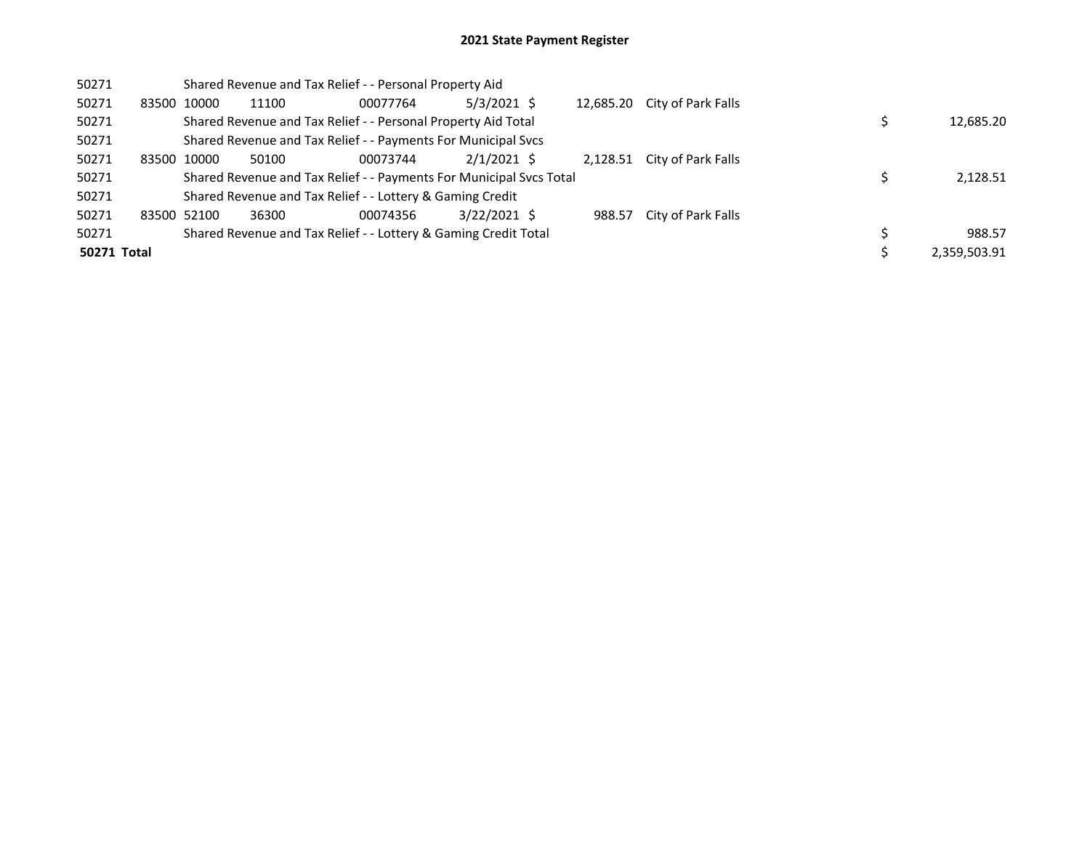| 50271       | Shared Revenue and Tax Relief - - Personal Property Aid |             |       |                                                                     |                |  |           |                             |  |  |              |
|-------------|---------------------------------------------------------|-------------|-------|---------------------------------------------------------------------|----------------|--|-----------|-----------------------------|--|--|--------------|
| 50271       |                                                         | 83500 10000 | 11100 | 00077764                                                            | $5/3/2021$ \$  |  | 12,685.20 | City of Park Falls          |  |  |              |
| 50271       |                                                         |             |       | Shared Revenue and Tax Relief - - Personal Property Aid Total       |                |  |           |                             |  |  | 12,685.20    |
| 50271       |                                                         |             |       | Shared Revenue and Tax Relief - - Payments For Municipal Svcs       |                |  |           |                             |  |  |              |
| 50271       |                                                         | 83500 10000 | 50100 | 00073744                                                            | $2/1/2021$ \$  |  |           | 2,128.51 City of Park Falls |  |  |              |
| 50271       |                                                         |             |       | Shared Revenue and Tax Relief - - Payments For Municipal Svcs Total |                |  |           |                             |  |  | 2,128.51     |
| 50271       |                                                         |             |       | Shared Revenue and Tax Relief - - Lottery & Gaming Credit           |                |  |           |                             |  |  |              |
| 50271       | 83500 52100                                             |             | 36300 | 00074356                                                            | $3/22/2021$ \$ |  | 988.57    | City of Park Falls          |  |  |              |
| 50271       |                                                         |             |       | Shared Revenue and Tax Relief - - Lottery & Gaming Credit Total     |                |  |           |                             |  |  | 988.57       |
| 50271 Total |                                                         |             |       |                                                                     |                |  |           |                             |  |  | 2.359.503.91 |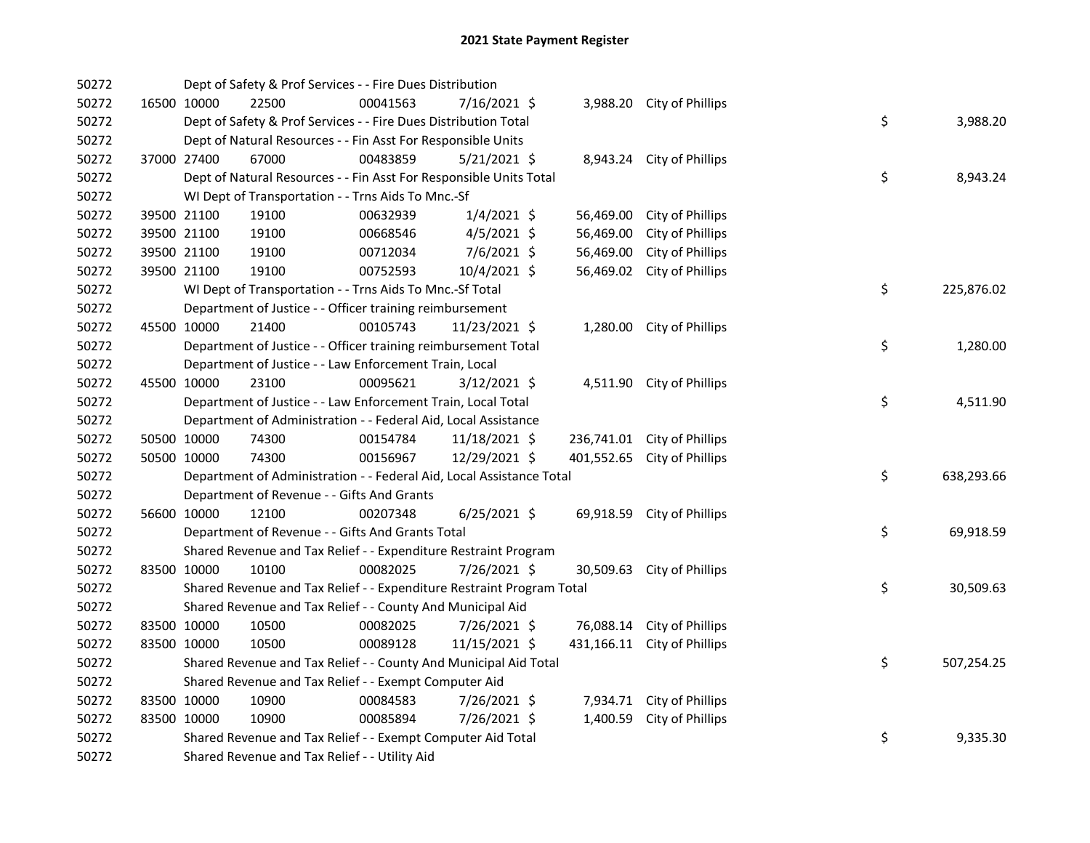| 50272 |             | Dept of Safety & Prof Services - - Fire Dues Distribution             |          |                |            |                             |    |            |
|-------|-------------|-----------------------------------------------------------------------|----------|----------------|------------|-----------------------------|----|------------|
| 50272 | 16500 10000 | 22500                                                                 | 00041563 | 7/16/2021 \$   |            | 3,988.20 City of Phillips   |    |            |
| 50272 |             | Dept of Safety & Prof Services - - Fire Dues Distribution Total       |          |                |            |                             | \$ | 3,988.20   |
| 50272 |             | Dept of Natural Resources - - Fin Asst For Responsible Units          |          |                |            |                             |    |            |
| 50272 | 37000 27400 | 67000                                                                 | 00483859 | 5/21/2021 \$   |            | 8,943.24 City of Phillips   |    |            |
| 50272 |             | Dept of Natural Resources - - Fin Asst For Responsible Units Total    |          |                |            |                             | \$ | 8,943.24   |
| 50272 |             | WI Dept of Transportation - - Trns Aids To Mnc.-Sf                    |          |                |            |                             |    |            |
| 50272 | 39500 21100 | 19100                                                                 | 00632939 | $1/4/2021$ \$  | 56,469.00  | City of Phillips            |    |            |
| 50272 | 39500 21100 | 19100                                                                 | 00668546 | $4/5/2021$ \$  | 56,469.00  | City of Phillips            |    |            |
| 50272 | 39500 21100 | 19100                                                                 | 00712034 | $7/6/2021$ \$  | 56,469.00  | City of Phillips            |    |            |
| 50272 | 39500 21100 | 19100                                                                 | 00752593 | 10/4/2021 \$   | 56,469.02  | City of Phillips            |    |            |
| 50272 |             | WI Dept of Transportation - - Trns Aids To Mnc.-Sf Total              |          |                |            |                             | \$ | 225,876.02 |
| 50272 |             | Department of Justice - - Officer training reimbursement              |          |                |            |                             |    |            |
| 50272 | 45500 10000 | 21400                                                                 | 00105743 | 11/23/2021 \$  |            | 1,280.00 City of Phillips   |    |            |
| 50272 |             | Department of Justice - - Officer training reimbursement Total        |          |                |            |                             | \$ | 1,280.00   |
| 50272 |             | Department of Justice - - Law Enforcement Train, Local                |          |                |            |                             |    |            |
| 50272 | 45500 10000 | 23100                                                                 | 00095621 | $3/12/2021$ \$ |            | 4,511.90 City of Phillips   |    |            |
| 50272 |             | Department of Justice - - Law Enforcement Train, Local Total          |          |                |            |                             | \$ | 4,511.90   |
| 50272 |             | Department of Administration - - Federal Aid, Local Assistance        |          |                |            |                             |    |            |
| 50272 | 50500 10000 | 74300                                                                 | 00154784 | 11/18/2021 \$  |            | 236,741.01 City of Phillips |    |            |
| 50272 | 50500 10000 | 74300                                                                 | 00156967 | 12/29/2021 \$  | 401,552.65 | City of Phillips            |    |            |
| 50272 |             | Department of Administration - - Federal Aid, Local Assistance Total  |          |                |            |                             | \$ | 638,293.66 |
| 50272 |             | Department of Revenue - - Gifts And Grants                            |          |                |            |                             |    |            |
| 50272 | 56600 10000 | 12100                                                                 | 00207348 | $6/25/2021$ \$ | 69,918.59  | City of Phillips            |    |            |
| 50272 |             | Department of Revenue - - Gifts And Grants Total                      |          |                |            |                             | \$ | 69,918.59  |
| 50272 |             | Shared Revenue and Tax Relief - - Expenditure Restraint Program       |          |                |            |                             |    |            |
| 50272 | 83500 10000 | 10100                                                                 | 00082025 | 7/26/2021 \$   |            | 30,509.63 City of Phillips  |    |            |
| 50272 |             | Shared Revenue and Tax Relief - - Expenditure Restraint Program Total |          |                |            |                             | \$ | 30,509.63  |
| 50272 |             | Shared Revenue and Tax Relief - - County And Municipal Aid            |          |                |            |                             |    |            |
| 50272 | 83500 10000 | 10500                                                                 | 00082025 | 7/26/2021 \$   | 76,088.14  | City of Phillips            |    |            |
| 50272 | 83500 10000 | 10500                                                                 | 00089128 | 11/15/2021 \$  |            | 431,166.11 City of Phillips |    |            |
| 50272 |             | Shared Revenue and Tax Relief - - County And Municipal Aid Total      |          |                |            |                             | \$ | 507,254.25 |
| 50272 |             | Shared Revenue and Tax Relief - - Exempt Computer Aid                 |          |                |            |                             |    |            |
| 50272 | 83500 10000 | 10900                                                                 | 00084583 | 7/26/2021 \$   |            | 7,934.71 City of Phillips   |    |            |
| 50272 | 83500 10000 | 10900                                                                 | 00085894 | 7/26/2021 \$   | 1,400.59   | City of Phillips            |    |            |
| 50272 |             | Shared Revenue and Tax Relief - - Exempt Computer Aid Total           |          |                |            |                             | \$ | 9,335.30   |
| 50272 |             | Shared Revenue and Tax Relief - - Utility Aid                         |          |                |            |                             |    |            |